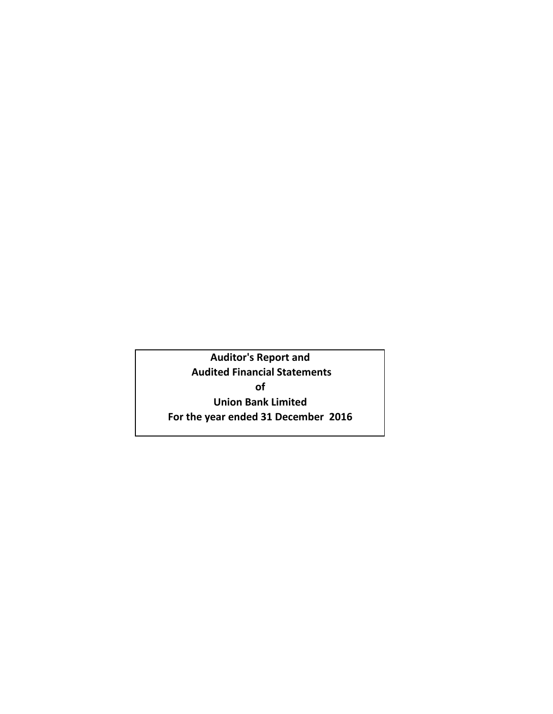**Auditor's Report and Audited Financial Statements of Union Bank Limited For the year ended 31 December 2016**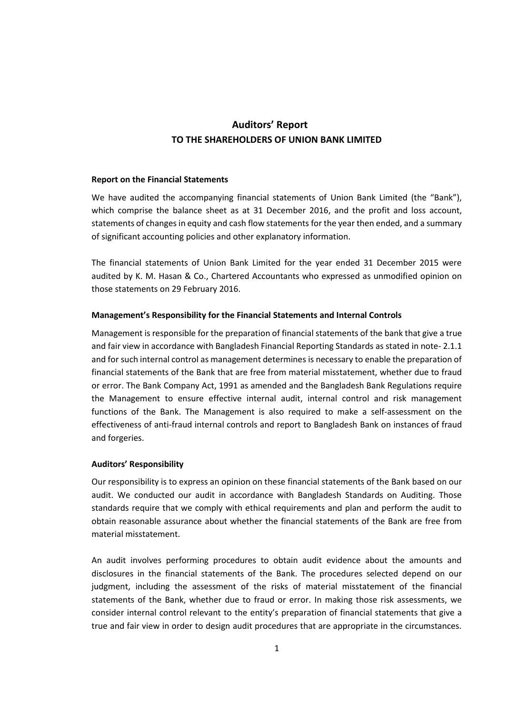# **Auditors' Report TO THE SHAREHOLDERS OF UNION BANK LIMITED**

## **Report on the Financial Statements**

We have audited the accompanying financial statements of Union Bank Limited (the "Bank"), which comprise the balance sheet as at 31 December 2016, and the profit and loss account, statements of changes in equity and cash flow statements for the year then ended, and a summary of significant accounting policies and other explanatory information.

The financial statements of Union Bank Limited for the year ended 31 December 2015 were audited by K. M. Hasan & Co., Chartered Accountants who expressed as unmodified opinion on those statements on 29 February 2016.

# **Management's Responsibility for the Financial Statements and Internal Controls**

Management is responsible for the preparation of financial statements of the bank that give a true and fair view in accordance with Bangladesh Financial Reporting Standards as stated in note- 2.1.1 and for such internal control as management determines is necessary to enable the preparation of financial statements of the Bank that are free from material misstatement, whether due to fraud or error. The Bank Company Act, 1991 as amended and the Bangladesh Bank Regulations require the Management to ensure effective internal audit, internal control and risk management functions of the Bank. The Management is also required to make a self-assessment on the effectiveness of anti-fraud internal controls and report to Bangladesh Bank on instances of fraud and forgeries.

## **Auditors' Responsibility**

Our responsibility is to express an opinion on these financial statements of the Bank based on our audit. We conducted our audit in accordance with Bangladesh Standards on Auditing. Those standards require that we comply with ethical requirements and plan and perform the audit to obtain reasonable assurance about whether the financial statements of the Bank are free from material misstatement.

An audit involves performing procedures to obtain audit evidence about the amounts and disclosures in the financial statements of the Bank. The procedures selected depend on our judgment, including the assessment of the risks of material misstatement of the financial statements of the Bank, whether due to fraud or error. In making those risk assessments, we consider internal control relevant to the entity's preparation of financial statements that give a true and fair view in order to design audit procedures that are appropriate in the circumstances.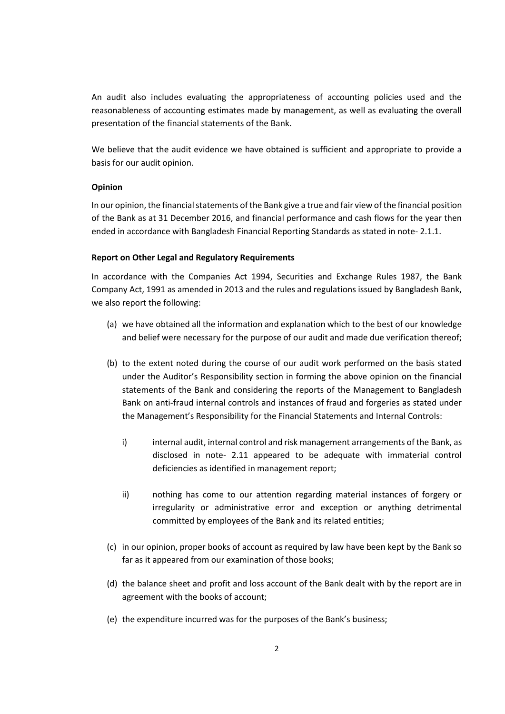An audit also includes evaluating the appropriateness of accounting policies used and the reasonableness of accounting estimates made by management, as well as evaluating the overall presentation of the financial statements of the Bank.

We believe that the audit evidence we have obtained is sufficient and appropriate to provide a basis for our audit opinion.

## **Opinion**

In our opinion, the financial statements of the Bank give a true and fair view of the financial position of the Bank as at 31 December 2016, and financial performance and cash flows for the year then ended in accordance with Bangladesh Financial Reporting Standards as stated in note- 2.1.1.

## **Report on Other Legal and Regulatory Requirements**

In accordance with the Companies Act 1994, Securities and Exchange Rules 1987, the Bank Company Act, 1991 as amended in 2013 and the rules and regulations issued by Bangladesh Bank, we also report the following:

- (a) we have obtained all the information and explanation which to the best of our knowledge and belief were necessary for the purpose of our audit and made due verification thereof;
- (b) to the extent noted during the course of our audit work performed on the basis stated under the Auditor's Responsibility section in forming the above opinion on the financial statements of the Bank and considering the reports of the Management to Bangladesh Bank on anti-fraud internal controls and instances of fraud and forgeries as stated under the Management's Responsibility for the Financial Statements and Internal Controls:
	- i) internal audit, internal control and risk management arrangements of the Bank, as disclosed in note- 2.11 appeared to be adequate with immaterial control deficiencies as identified in management report;
	- ii) nothing has come to our attention regarding material instances of forgery or irregularity or administrative error and exception or anything detrimental committed by employees of the Bank and its related entities;
- (c) in our opinion, proper books of account as required by law have been kept by the Bank so far as it appeared from our examination of those books;
- (d) the balance sheet and profit and loss account of the Bank dealt with by the report are in agreement with the books of account;
- (e) the expenditure incurred was for the purposes of the Bank's business;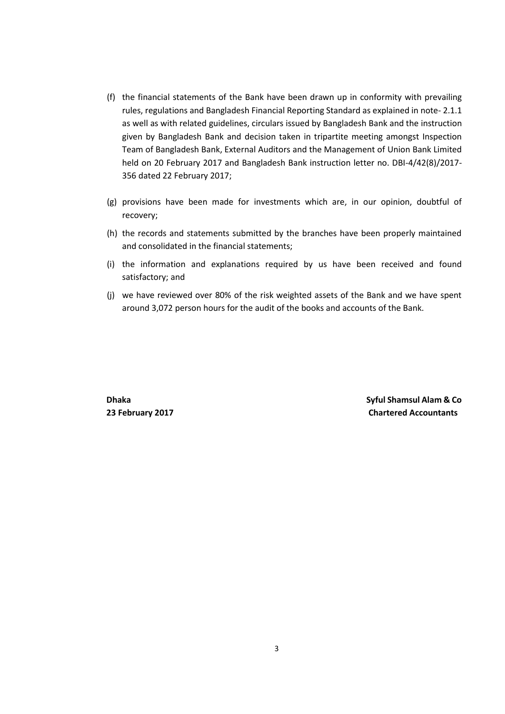- (f) the financial statements of the Bank have been drawn up in conformity with prevailing rules, regulations and Bangladesh Financial Reporting Standard as explained in note- 2.1.1 as well as with related guidelines, circulars issued by Bangladesh Bank and the instruction given by Bangladesh Bank and decision taken in tripartite meeting amongst Inspection Team of Bangladesh Bank, External Auditors and the Management of Union Bank Limited held on 20 February 2017 and Bangladesh Bank instruction letter no. DBI-4/42(8)/2017- 356 dated 22 February 2017;
- (g) provisions have been made for investments which are, in our opinion, doubtful of recovery;
- (h) the records and statements submitted by the branches have been properly maintained and consolidated in the financial statements;
- (i) the information and explanations required by us have been received and found satisfactory; and
- (j) we have reviewed over 80% of the risk weighted assets of the Bank and we have spent around 3,072 person hours for the audit of the books and accounts of the Bank.

 **Dhaka Syful Shamsul Alam & Co 23 February 2017 Chartered Accountants**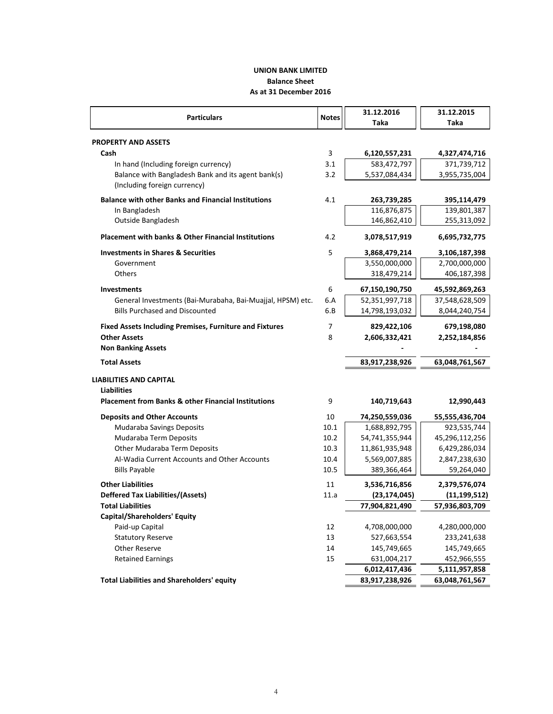# **As at 31 December 2016 Balance Sheet UNION BANK LIMITED**

 $\overline{a}$ 

| <b>Particulars</b>                                             | <b>Notes</b> | 31.12.2016     | 31.12.2015     |
|----------------------------------------------------------------|--------------|----------------|----------------|
|                                                                |              | Taka           | Taka           |
| <b>PROPERTY AND ASSETS</b>                                     |              |                |                |
| Cash                                                           | 3            | 6,120,557,231  | 4,327,474,716  |
| In hand (Including foreign currency)                           | 3.1          | 583,472,797    | 371,739,712    |
| Balance with Bangladesh Bank and its agent bank(s)             | 3.2          | 5,537,084,434  | 3,955,735,004  |
| (Including foreign currency)                                   |              |                |                |
| <b>Balance with other Banks and Financial Institutions</b>     | 4.1          | 263,739,285    | 395,114,479    |
| In Bangladesh                                                  |              | 116,876,875    | 139,801,387    |
| Outside Bangladesh                                             |              | 146,862,410    | 255,313,092    |
| <b>Placement with banks &amp; Other Financial Institutions</b> | 4.2          | 3,078,517,919  | 6,695,732,775  |
| <b>Investments in Shares &amp; Securities</b>                  | 5            | 3,868,479,214  | 3,106,187,398  |
| Government                                                     |              | 3,550,000,000  | 2,700,000,000  |
| <b>Others</b>                                                  |              | 318,479,214    | 406,187,398    |
| <b>Investments</b>                                             | 6            | 67,150,190,750 | 45,592,869,263 |
| General Investments (Bai-Murabaha, Bai-Muajjal, HPSM) etc.     | 6.A          | 52,351,997,718 | 37,548,628,509 |
| <b>Bills Purchased and Discounted</b>                          | 6.B          | 14,798,193,032 | 8,044,240,754  |
| <b>Fixed Assets Including Premises, Furniture and Fixtures</b> | 7            | 829,422,106    | 679,198,080    |
| <b>Other Assets</b>                                            | 8            | 2,606,332,421  | 2,252,184,856  |
| <b>Non Banking Assets</b>                                      |              |                |                |
| <b>Total Assets</b>                                            |              | 83,917,238,926 | 63,048,761,567 |
| <b>LIABILITIES AND CAPITAL</b>                                 |              |                |                |
| <b>Liabilities</b>                                             |              |                |                |
| <b>Placement from Banks &amp; other Financial Institutions</b> | 9            | 140,719,643    | 12,990,443     |
| <b>Deposits and Other Accounts</b>                             | 10           | 74,250,559,036 | 55,555,436,704 |
| <b>Mudaraba Savings Deposits</b>                               | 10.1         | 1,688,892,795  | 923,535,744    |
| Mudaraba Term Deposits                                         | 10.2         | 54,741,355,944 | 45,296,112,256 |
| Other Mudaraba Term Deposits                                   | 10.3         | 11,861,935,948 | 6,429,286,034  |
| Al-Wadia Current Accounts and Other Accounts                   | 10.4         | 5,569,007,885  | 2,847,238,630  |
| <b>Bills Payable</b>                                           | 10.5         | 389,366,464    | 59,264,040     |
| <b>Other Liabilities</b>                                       | 11           | 3,536,716,856  | 2,379,576,074  |
| <b>Deffered Tax Liabilities/(Assets)</b>                       | 11.a         | (23, 174, 045) | (11, 199, 512) |
| <b>Total Liabilities</b>                                       |              | 77,904,821,490 | 57,936,803,709 |
| Capital/Shareholders' Equity                                   |              |                |                |
| Paid-up Capital                                                | 12           | 4,708,000,000  | 4,280,000,000  |
| <b>Statutory Reserve</b>                                       | 13           | 527,663,554    | 233,241,638    |
| Other Reserve                                                  | 14           | 145,749,665    | 145,749,665    |
| <b>Retained Earnings</b>                                       | 15           | 631,004,217    | 452,966,555    |
|                                                                |              | 6,012,417,436  | 5,111,957,858  |
| <b>Total Liabilities and Shareholders' equity</b>              |              | 83,917,238,926 | 63,048,761,567 |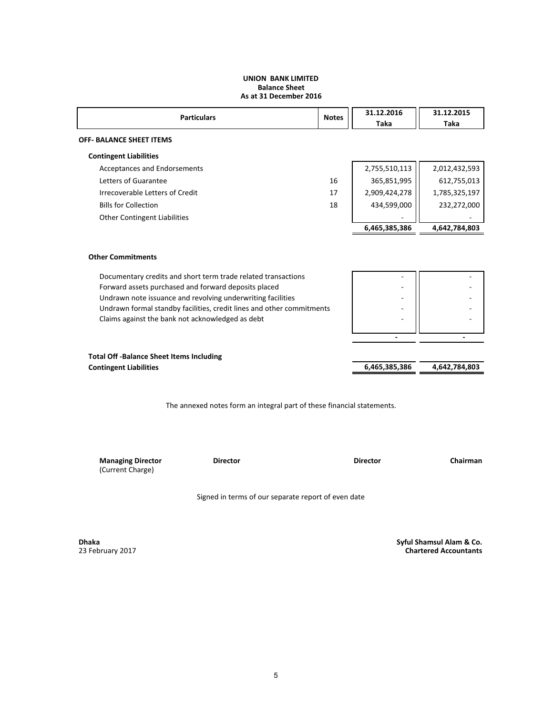#### **UNION BANK LIMITED Balance Sheet As at 31 December 2016**

| <b>Particulars</b>                  | <b>Notes</b> | 31.12.2016<br>Taka | 31.12.2015<br>Taka |
|-------------------------------------|--------------|--------------------|--------------------|
| <b>OFF- BALANCE SHEET ITEMS</b>     |              |                    |                    |
| <b>Contingent Liabilities</b>       |              |                    |                    |
| Acceptances and Endorsements        |              | 2,755,510,113      | 2,012,432,593      |
| Letters of Guarantee                | 16           | 365,851,995        | 612,755,013        |
| Irrecoverable Letters of Credit     | 17           | 2,909,424,278      | 1,785,325,197      |
| <b>Bills for Collection</b>         | 18           | 434,599,000        | 232,272,000        |
| <b>Other Contingent Liabilities</b> |              | -                  |                    |
|                                     |              | 6,465,385,386      | 4,642,784,803      |

### **Other Commitments**

Documentary credits and short term trade related transactions Forward assets purchased and forward deposits placed Undrawn note issuance and revolving underwriting facilities - - Undrawn formal standby facilities, credit lines and other commitments  $\begin{vmatrix} 1 & 1 \\ 1 & 1 \end{vmatrix}$ Claims against the bank not acknowledged as debt

|                                                | $\overline{\phantom{0}}$ | -             |
|------------------------------------------------|--------------------------|---------------|
|                                                |                          |               |
| <b>Total Off-Balance Sheet Items Including</b> |                          |               |
| <b>Contingent Liabilities</b>                  | 6,465,385,386            | 4.642.784.803 |

The annexed notes form an integral part of these financial statements.

**Managing Director Director Director Chairman** (Current Charge)

Signed in terms of our separate report of even date

**Dhaka** 23 February 2017  **Syful Shamsul Alam & Co. Chartered Accountants**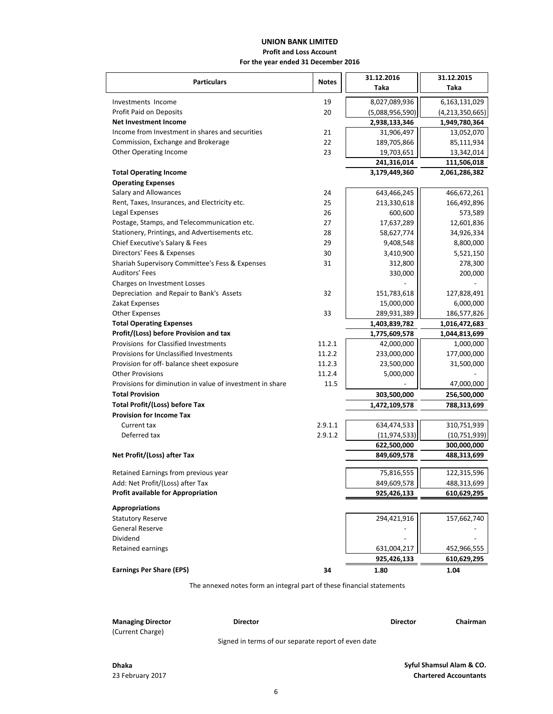# **UNION BANK LIMITED**

## **Profit and Loss Account**

**For the year ended 31 December 2016**

| <b>Particulars</b>                                        |              | 31.12.2016      | 31.12.2015      |  |
|-----------------------------------------------------------|--------------|-----------------|-----------------|--|
|                                                           | <b>Notes</b> | Taka            | Taka            |  |
| Investments Income                                        | 19           | 8,027,089,936   | 6,163,131,029   |  |
| Profit Paid on Deposits                                   | 20           | (5,088,956,590) | (4,213,350,665) |  |
| <b>Net Investment Income</b>                              |              | 2,938,133,346   | 1,949,780,364   |  |
| Income from Investment in shares and securities           | 21           | 31,906,497      | 13,052,070      |  |
| Commission, Exchange and Brokerage                        | 22           | 189,705,866     | 85,111,934      |  |
| <b>Other Operating Income</b>                             | 23           | 19,703,651      | 13,342,014      |  |
|                                                           |              | 241,316,014     | 111,506,018     |  |
| <b>Total Operating Income</b>                             |              | 3,179,449,360   | 2,061,286,382   |  |
| <b>Operating Expenses</b>                                 |              |                 |                 |  |
| Salary and Allowances                                     | 24           | 643,466,245     | 466,672,261     |  |
| Rent, Taxes, Insurances, and Electricity etc.             | 25           | 213,330,618     | 166,492,896     |  |
| Legal Expenses                                            | 26           | 600,600         | 573,589         |  |
| Postage, Stamps, and Telecommunication etc.               | 27           | 17,637,289      | 12,601,836      |  |
| Stationery, Printings, and Advertisements etc.            | 28           | 58,627,774      | 34,926,334      |  |
| Chief Executive's Salary & Fees                           | 29           | 9,408,548       | 8,800,000       |  |
| Directors' Fees & Expenses                                | 30           | 3,410,900       | 5,521,150       |  |
| Shariah Supervisory Committee's Fess & Expenses           | 31           | 312,800         | 278,300         |  |
| Auditors' Fees                                            |              | 330,000         | 200,000         |  |
| Charges on Investment Losses                              |              |                 |                 |  |
| Depreciation and Repair to Bank's Assets                  | 32           | 151,783,618     | 127,828,491     |  |
| Zakat Expenses                                            |              | 15,000,000      | 6,000,000       |  |
| <b>Other Expenses</b>                                     | 33           | 289,931,389     | 186,577,826     |  |
| <b>Total Operating Expenses</b>                           |              | 1,403,839,782   | 1,016,472,683   |  |
| Profit/(Loss) before Provision and tax                    |              | 1,775,609,578   | 1,044,813,699   |  |
| Provisions for Classified Investments                     | 11.2.1       | 42,000,000      | 1,000,000       |  |
| Provisions for Unclassified Investments                   | 11.2.2       | 233,000,000     | 177,000,000     |  |
| Provision for off- balance sheet exposure                 | 11.2.3       | 23,500,000      | 31,500,000      |  |
| <b>Other Provisions</b>                                   | 11.2.4       | 5,000,000       |                 |  |
| Provisions for diminution in value of investment in share | 11.5         |                 | 47,000,000      |  |
| <b>Total Provision</b>                                    |              | 303,500,000     | 256,500,000     |  |
| <b>Total Profit/(Loss) before Tax</b>                     |              | 1,472,109,578   | 788,313,699     |  |
| <b>Provision for Income Tax</b>                           |              |                 |                 |  |
| Current tax                                               | 2.9.1.1      | 634,474,533     | 310,751,939     |  |
| Deferred tax                                              | 2.9.1.2      | (11, 974, 533)  | (10,751,939)    |  |
|                                                           |              | 622,500,000     | 300,000,000     |  |
| Net Profit/(Loss) after Tax                               |              | 849,609,578     | 488,313,699     |  |
| Retained Earnings from previous year                      |              | 75,816,555      | 122,315,596     |  |
| Add: Net Profit/(Loss) after Tax                          |              | 849,609,578     | 488,313,699     |  |
| Profit available for Appropriation                        |              | 925,426,133     | 610,629,295     |  |
|                                                           |              |                 |                 |  |
| <b>Appropriations</b>                                     |              |                 |                 |  |
| <b>Statutory Reserve</b>                                  |              | 294,421,916     | 157,662,740     |  |
| General Reserve                                           |              |                 |                 |  |
| Dividend                                                  |              |                 |                 |  |
| Retained earnings                                         |              | 631,004,217     | 452,966,555     |  |
|                                                           |              | 925,426,133     | 610,629,295     |  |
| <b>Earnings Per Share (EPS)</b>                           | 34           | 1.80            | 1.04            |  |

The annexed notes form an integral part of these financial statements

| <b>Managing Director</b><br>(Current Charge) | <b>Director</b>                                     | <b>Director</b> | Chairman |
|----------------------------------------------|-----------------------------------------------------|-----------------|----------|
|                                              | Signed in terms of our separate report of even date |                 |          |

**Dhaka**

23 February 2017 **Chartered Accountants Syful Shamsul Alam & CO.**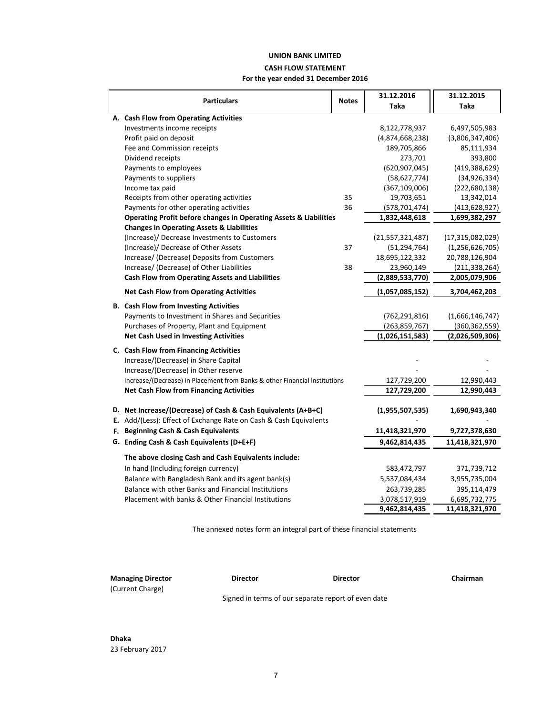# **UNION BANK LIMITED CASH FLOW STATEMENT**

## **For the year ended 31 December 2016**

|                                                                              |              | 31.12.2016          | 31.12.2015         |
|------------------------------------------------------------------------------|--------------|---------------------|--------------------|
| <b>Particulars</b>                                                           | <b>Notes</b> | Taka                | Taka               |
| A. Cash Flow from Operating Activities                                       |              |                     |                    |
| Investments income receipts                                                  |              | 8,122,778,937       | 6,497,505,983      |
| Profit paid on deposit                                                       |              | (4,874,668,238)     | (3,806,347,406)    |
| Fee and Commission receipts                                                  |              | 189,705,866         | 85,111,934         |
| Dividend receipts                                                            |              | 273,701             | 393,800            |
| Payments to employees                                                        |              | (620, 907, 045)     | (419, 388, 629)    |
| Payments to suppliers                                                        |              | (58, 627, 774)      | (34, 926, 334)     |
| Income tax paid                                                              |              | (367, 109, 006)     | (222, 680, 138)    |
| Receipts from other operating activities                                     | 35           | 19,703,651          | 13,342,014         |
| Payments for other operating activities                                      | 36           | (578, 701, 474)     | (413, 628, 927)    |
| <b>Operating Profit before changes in Operating Assets &amp; Liabilities</b> |              | 1,832,448,618       | 1,699,382,297      |
| <b>Changes in Operating Assets &amp; Liabilities</b>                         |              |                     |                    |
| (Increase)/ Decrease Investments to Customers                                |              | (21, 557, 321, 487) | (17,315,082,029)   |
| (Increase)/ Decrease of Other Assets                                         | 37           | (51, 294, 764)      | (1, 256, 626, 705) |
| Increase/ (Decrease) Deposits from Customers                                 |              | 18,695,122,332      | 20,788,126,904     |
| Increase/ (Decrease) of Other Liabilities                                    | 38           | 23,960,149          | (211, 338, 264)    |
| <b>Cash Flow from Operating Assets and Liabilities</b>                       |              | (2,889,533,770)     | 2,005,079,906      |
| <b>Net Cash Flow from Operating Activities</b>                               |              | (1,057,085,152)     | 3,704,462,203      |
| <b>B.</b> Cash Flow from Investing Activities                                |              |                     |                    |
| Payments to Investment in Shares and Securities                              |              | (762, 291, 816)     | (1,666,146,747)    |
| Purchases of Property, Plant and Equipment                                   |              | (263, 859, 767)     | (360, 362, 559)    |
| <b>Net Cash Used in Investing Activities</b>                                 |              | (1,026,151,583)     | (2,026,509,306)    |
| C. Cash Flow from Financing Activities                                       |              |                     |                    |
| Increase/(Decrease) in Share Capital                                         |              |                     |                    |
| Increase/(Decrease) in Other reserve                                         |              |                     |                    |
| Increase/(Decrease) in Placement from Banks & other Financial Institutions   |              | 127,729,200         | 12,990,443         |
| <b>Net Cash Flow from Financing Activities</b>                               |              | 127,729,200         | 12,990,443         |
|                                                                              |              |                     |                    |
| D. Net Increase/(Decrease) of Cash & Cash Equivalents (A+B+C)                |              | (1,955,507,535)     | 1,690,943,340      |
| E. Add/(Less): Effect of Exchange Rate on Cash & Cash Equivalents            |              |                     |                    |
| F. Beginning Cash & Cash Equivalents                                         |              | 11,418,321,970      | 9,727,378,630      |
| G. Ending Cash & Cash Equivalents (D+E+F)                                    |              | 9,462,814,435       | 11,418,321,970     |
| The above closing Cash and Cash Equivalents include:                         |              |                     |                    |
| In hand (Including foreign currency)                                         |              | 583,472,797         | 371,739,712        |
| Balance with Bangladesh Bank and its agent bank(s)                           |              | 5,537,084,434       | 3,955,735,004      |
| Balance with other Banks and Financial Institutions                          |              | 263,739,285         | 395,114,479        |
| Placement with banks & Other Financial Institutions                          |              | 3,078,517,919       | 6,695,732,775      |
|                                                                              |              | 9,462,814,435       | 11,418,321,970     |

The annexed notes form an integral part of these financial statements

| <b>Managing Director</b> | <b>Director</b> | <b>Director</b>                                     | Chairman |
|--------------------------|-----------------|-----------------------------------------------------|----------|
| (Current Charge)         |                 |                                                     |          |
|                          |                 | Signed in terms of our separate report of even date |          |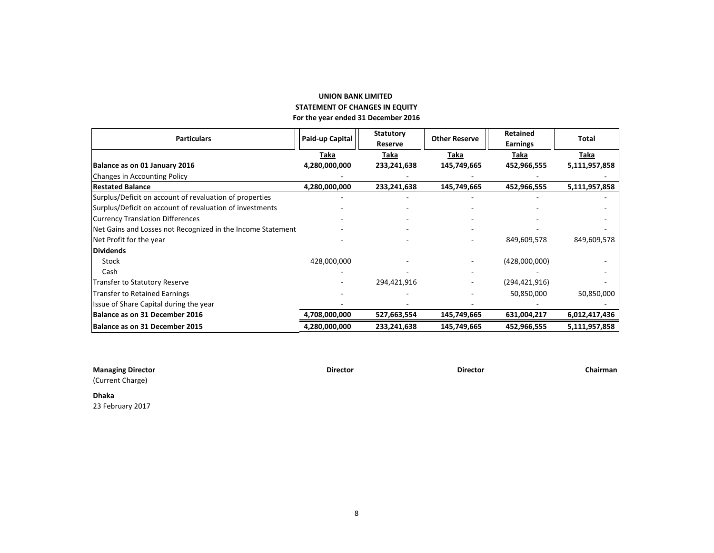## **UNION BANK LIMITED For the year ended 31 December 2016 STATEMENT OF CHANGES IN EQUITY**

| <b>Particulars</b>                                          | Paid-up Capital | <b>Statutory</b> | <b>Other Reserve</b> | <b>Retained</b> | Total         |
|-------------------------------------------------------------|-----------------|------------------|----------------------|-----------------|---------------|
|                                                             |                 | Reserve          |                      | Earnings        |               |
|                                                             | Taka            | Taka             | Taka                 | Taka            | <u>Taka</u>   |
| Balance as on 01 January 2016                               | 4,280,000,000   | 233,241,638      | 145,749,665          | 452,966,555     | 5,111,957,858 |
| <b>Changes in Accounting Policy</b>                         |                 |                  |                      |                 |               |
| Restated Balance                                            | 4,280,000,000   | 233,241,638      | 145,749,665          | 452,966,555     | 5,111,957,858 |
| Surplus/Deficit on account of revaluation of properties     |                 |                  |                      |                 |               |
| Surplus/Deficit on account of revaluation of investments    |                 |                  |                      |                 |               |
| <b>Currency Translation Differences</b>                     |                 |                  |                      |                 |               |
| Net Gains and Losses not Recognized in the Income Statement |                 |                  |                      |                 |               |
| Net Profit for the year                                     |                 |                  |                      | 849,609,578     | 849,609,578   |
| <b>Dividends</b>                                            |                 |                  |                      |                 |               |
| Stock                                                       | 428,000,000     |                  |                      | (428,000,000)   |               |
| Cash                                                        |                 |                  |                      |                 |               |
| <b>Transfer to Statutory Reserve</b>                        |                 | 294,421,916      |                      | (294, 421, 916) |               |
| <b>Transfer to Retained Earnings</b>                        |                 |                  |                      | 50,850,000      | 50,850,000    |
| Issue of Share Capital during the year                      |                 |                  |                      |                 |               |
| Balance as on 31 December 2016                              | 4,708,000,000   | 527,663,554      | 145,749,665          | 631,004,217     | 6,012,417,436 |
| Balance as on 31 December 2015                              | 4,280,000,000   | 233,241,638      | 145,749,665          | 452,966,555     | 5,111,957,858 |

| <b>Managing Director</b> | <b>Director</b> | <b>Director</b> | Chairman |
|--------------------------|-----------------|-----------------|----------|
| (Current Charge)         |                 |                 |          |
| <b>Dhaka</b>             |                 |                 |          |

23 February 2017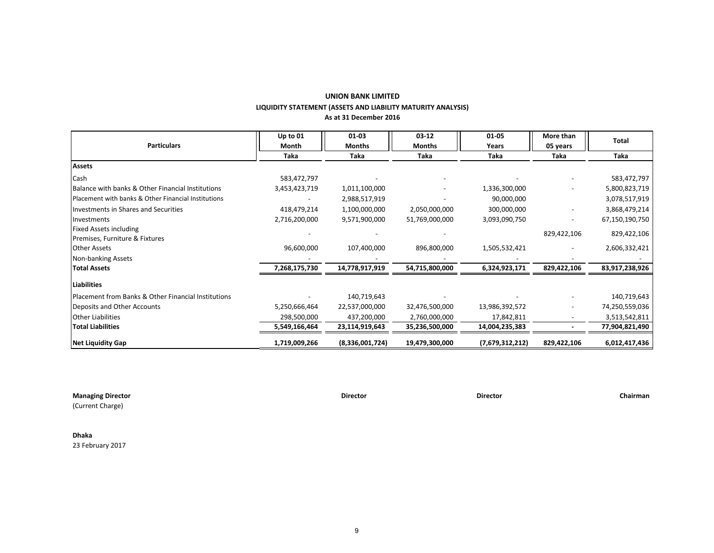## **UNION BANK LIMITED LIQUIDITY STATEMENT (ASSETS AND LIABILITY MATURITY ANALYSIS) As at 31 December 2016**

| <b>Particulars</b>                                  | Up to 01<br>Month | $01 - 03$<br><b>Months</b> | $03 - 12$<br><b>Months</b> | $01 - 05$<br>Years | More than<br>05 years | Total          |
|-----------------------------------------------------|-------------------|----------------------------|----------------------------|--------------------|-----------------------|----------------|
|                                                     | Taka              | Taka                       | Taka                       | Taka               | Taka                  | Taka           |
| <b>Assets</b>                                       |                   |                            |                            |                    |                       |                |
| Cash                                                | 583,472,797       |                            |                            |                    |                       | 583,472,797    |
| Balance with banks & Other Financial Institutions   | 3,453,423,719     | 1,011,100,000              |                            | 1,336,300,000      |                       | 5,800,823,719  |
| Placement with banks & Other Financial Institutions |                   | 2,988,517,919              |                            | 90,000,000         |                       | 3,078,517,919  |
| Investments in Shares and Securities                | 418,479,214       | 1,100,000,000              | 2,050,000,000              | 300,000,000        |                       | 3,868,479,214  |
| Investments                                         | 2,716,200,000     | 9,571,900,000              | 51,769,000,000             | 3,093,090,750      |                       | 67,150,190,750 |
| <b>Fixed Assets including</b>                       |                   |                            |                            |                    | 829,422,106           | 829,422,106    |
| Premises, Furniture & Fixtures                      |                   |                            |                            |                    |                       |                |
| <b>Other Assets</b>                                 | 96,600,000        | 107,400,000                | 896,800,000                | 1,505,532,421      |                       | 2,606,332,421  |
| Non-banking Assets                                  |                   |                            |                            |                    |                       |                |
| <b>Total Assets</b>                                 | 7,268,175,730     | 14,778,917,919             | 54,715,800,000             | 6,324,923,171      | 829,422,106           | 83,917,238,926 |
| <b>Liabilities</b>                                  |                   |                            |                            |                    |                       |                |
| Placement from Banks & Other Financial Institutions |                   | 140,719,643                |                            |                    |                       | 140,719,643    |
| Deposits and Other Accounts                         | 5,250,666,464     | 22,537,000,000             | 32,476,500,000             | 13,986,392,572     |                       | 74,250,559,036 |
| <b>Other Liabilities</b>                            | 298,500,000       | 437,200,000                | 2,760,000,000              | 17,842,811         |                       | 3,513,542,811  |
| <b>Total Liabilities</b>                            | 5,549,166,464     | 23,114,919,643             | 35,236,500,000             | 14,004,235,383     |                       | 77,904,821,490 |
| <b>Net Liquidity Gap</b>                            | 1,719,009,266     | (8,336,001,724)            | 19,479,300,000             | (7,679,312,212)    | 829,422,106           | 6,012,417,436  |

**Managing Director Director Director Chairman**

(Current Charge)

**Dhaka** 23 February 2017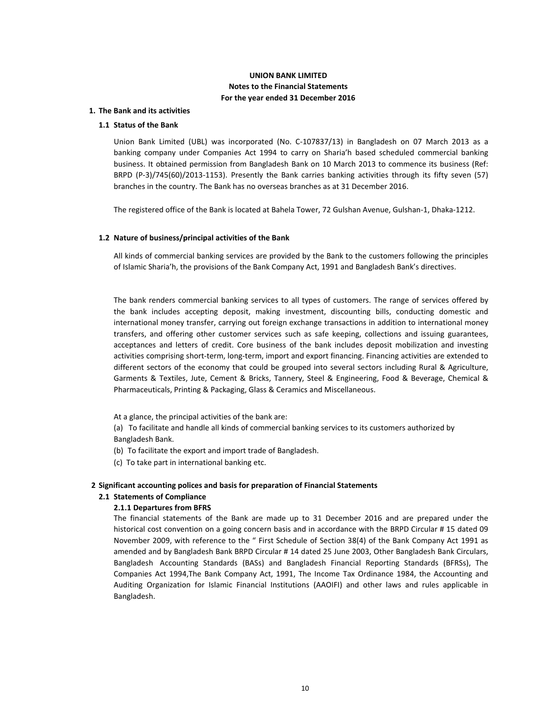## **UNION BANK LIMITED Notes to the Financial Statements For the year ended 31 December 2016**

### **1. The Bank and its activities**

## **1.1 Status of the Bank**

Union Bank Limited (UBL) was incorporated (No. C-107837/13) in Bangladesh on 07 March 2013 as a banking company under Companies Act 1994 to carry on Sharia'h based scheduled commercial banking business. It obtained permission from Bangladesh Bank on 10 March 2013 to commence its business (Ref: BRPD (P-3)/745(60)/2013-1153). Presently the Bank carries banking activities through its fifty seven (57) branches in the country. The Bank has no overseas branches as at 31 December 2016.

The registered office of the Bank is located at Bahela Tower, 72 Gulshan Avenue, Gulshan-1, Dhaka-1212.

### **1.2 Nature of business/principal activities of the Bank**

All kinds of commercial banking services are provided by the Bank to the customers following the principles of Islamic Sharia'h, the provisions of the Bank Company Act, 1991 and Bangladesh Bank's directives.

The bank renders commercial banking services to all types of customers. The range of services offered by the bank includes accepting deposit, making investment, discounting bills, conducting domestic and international money transfer, carrying out foreign exchange transactions in addition to international money transfers, and offering other customer services such as safe keeping, collections and issuing guarantees, acceptances and letters of credit. Core business of the bank includes deposit mobilization and investing activities comprising short-term, long-term, import and export financing. Financing activities are extended to different sectors of the economy that could be grouped into several sectors including Rural & Agriculture, Garments & Textiles, Jute, Cement & Bricks, Tannery, Steel & Engineering, Food & Beverage, Chemical & Pharmaceuticals, Printing & Packaging, Glass & Ceramics and Miscellaneous.

At a glance, the principal activities of the bank are:

(a) To facilitate and handle all kinds of commercial banking services to its customers authorized by Bangladesh Bank.

- (b) To facilitate the export and import trade of Bangladesh.
- (c) To take part in international banking etc.

### **2 Significant accounting polices and basis for preparation of Financial Statements**

#### **2.1 Statements of Compliance**

#### **2.1.1 Departures from BFRS**

The financial statements of the Bank are made up to 31 December 2016 and are prepared under the historical cost convention on a going concern basis and in accordance with the BRPD Circular # 15 dated 09 November 2009, with reference to the " First Schedule of Section 38(4) of the Bank Company Act 1991 as amended and by Bangladesh Bank BRPD Circular # 14 dated 25 June 2003, Other Bangladesh Bank Circulars, Bangladesh Accounting Standards (BASs) and Bangladesh Financial Reporting Standards (BFRSs), The Companies Act 1994,The Bank Company Act, 1991, The Income Tax Ordinance 1984, the Accounting and Auditing Organization for Islamic Financial Institutions (AAOIFI) and other laws and rules applicable in Bangladesh.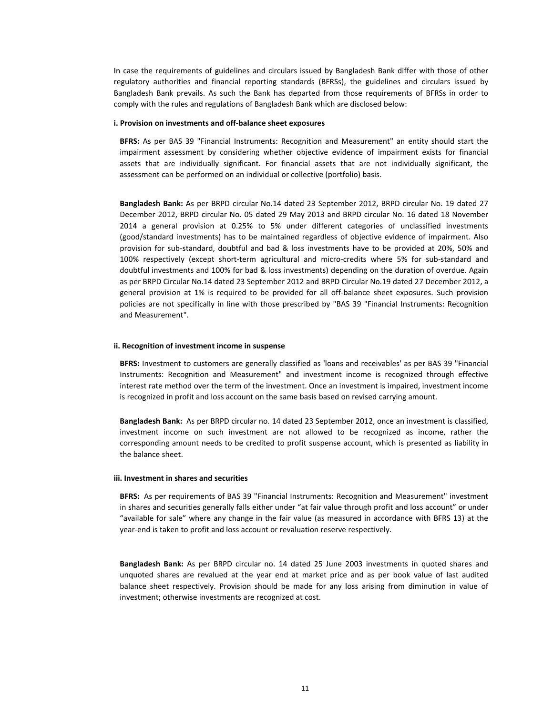In case the requirements of guidelines and circulars issued by Bangladesh Bank differ with those of other regulatory authorities and financial reporting standards (BFRSs), the guidelines and circulars issued by Bangladesh Bank prevails. As such the Bank has departed from those requirements of BFRSs in order to comply with the rules and regulations of Bangladesh Bank which are disclosed below:

#### **i. Provision on investments and off-balance sheet exposures**

**BFRS:** As per BAS 39 "Financial Instruments: Recognition and Measurement" an entity should start the impairment assessment by considering whether objective evidence of impairment exists for financial assets that are individually significant. For financial assets that are not individually significant, the assessment can be performed on an individual or collective (portfolio) basis.

**Bangladesh Bank:** As per BRPD circular No.14 dated 23 September 2012, BRPD circular No. 19 dated 27 December 2012, BRPD circular No. 05 dated 29 May 2013 and BRPD circular No. 16 dated 18 November 2014 a general provision at 0.25% to 5% under different categories of unclassified investments (good/standard investments) has to be maintained regardless of objective evidence of impairment. Also provision for sub-standard, doubtful and bad & loss investments have to be provided at 20%, 50% and 100% respectively (except short-term agricultural and micro-credits where 5% for sub-standard and doubtful investments and 100% for bad & loss investments) depending on the duration of overdue. Again as per BRPD Circular No.14 dated 23 September 2012 and BRPD Circular No.19 dated 27 December 2012, a general provision at 1% is required to be provided for all off-balance sheet exposures. Such provision policies are not specifically in line with those prescribed by "BAS 39 "Financial Instruments: Recognition and Measurement".

#### **ii. Recognition of investment income in suspense**

**BFRS:** Investment to customers are generally classified as 'loans and receivables' as per BAS 39 "Financial Instruments: Recognition and Measurement" and investment income is recognized through effective interest rate method over the term of the investment. Once an investment is impaired, investment income is recognized in profit and loss account on the same basis based on revised carrying amount.

**Bangladesh Bank:** As per BRPD circular no. 14 dated 23 September 2012, once an investment is classified, investment income on such investment are not allowed to be recognized as income, rather the corresponding amount needs to be credited to profit suspense account, which is presented as liability in the balance sheet.

### **iii. Investment in shares and securities**

**BFRS:** As per requirements of BAS 39 "Financial Instruments: Recognition and Measurement" investment in shares and securities generally falls either under "at fair value through profit and loss account" or under ͞aǀailaďle for sale͟ where any change in the fair value (as measured in accordance with BFRS 13) at the year-end is taken to profit and loss account or revaluation reserve respectively.

**Bangladesh Bank:** As per BRPD circular no. 14 dated 25 June 2003 investments in quoted shares and unquoted shares are revalued at the year end at market price and as per book value of last audited balance sheet respectively. Provision should be made for any loss arising from diminution in value of investment; otherwise investments are recognized at cost.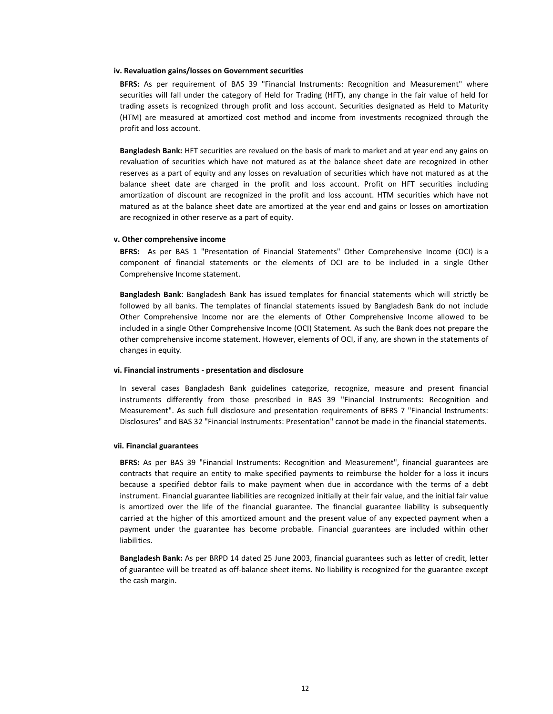#### **iv. Revaluation gains/losses on Government securities**

**BFRS:** As per requirement of BAS 39 "Financial Instruments: Recognition and Measurement" where securities will fall under the category of Held for Trading (HFT), any change in the fair value of held for trading assets is recognized through profit and loss account. Securities designated as Held to Maturity (HTM) are measured at amortized cost method and income from investments recognized through the profit and loss account.

**Bangladesh Bank:** HFT securities are revalued on the basis of mark to market and at year end any gains on revaluation of securities which have not matured as at the balance sheet date are recognized in other reserves as a part of equity and any losses on revaluation of securities which have not matured as at the balance sheet date are charged in the profit and loss account. Profit on HFT securities including amortization of discount are recognized in the profit and loss account. HTM securities which have not matured as at the balance sheet date are amortized at the year end and gains or losses on amortization are recognized in other reserve as a part of equity.

#### **v. Other comprehensive income**

**BFRS:** As per BAS 1 "Presentation of Financial Statements" Other Comprehensive Income (OCI) is a component of financial statements or the elements of OCI are to be included in a single Other Comprehensive Income statement.

**Bangladesh Bank**: Bangladesh Bank has issued templates for financial statements which will strictly be followed by all banks. The templates of financial statements issued by Bangladesh Bank do not include Other Comprehensive Income nor are the elements of Other Comprehensive Income allowed to be included in a single Other Comprehensive Income (OCI) Statement. As such the Bank does not prepare the other comprehensive income statement. However, elements of OCI, if any, are shown in the statements of changes in equity.

## **vi. Financial instruments - presentation and disclosure**

In several cases Bangladesh Bank guidelines categorize, recognize, measure and present financial instruments differently from those prescribed in BAS 39 "Financial Instruments: Recognition and Measurement". As such full disclosure and presentation requirements of BFRS 7 "Financial Instruments: Disclosures" and BAS 32 "Financial Instruments: Presentation" cannot be made in the financial statements.

#### **vii. Financial guarantees**

**BFRS:** As per BAS 39 "Financial Instruments: Recognition and Measurement", financial guarantees are contracts that require an entity to make specified payments to reimburse the holder for a loss it incurs because a specified debtor fails to make payment when due in accordance with the terms of a debt instrument. Financial guarantee liabilities are recognized initially at their fair value, and the initial fair value is amortized over the life of the financial guarantee. The financial guarantee liability is subsequently carried at the higher of this amortized amount and the present value of any expected payment when a payment under the guarantee has become probable. Financial guarantees are included within other liabilities.

**Bangladesh Bank:** As per BRPD 14 dated 25 June 2003, financial guarantees such as letter of credit, letter of guarantee will be treated as off-balance sheet items. No liability is recognized for the guarantee except the cash margin.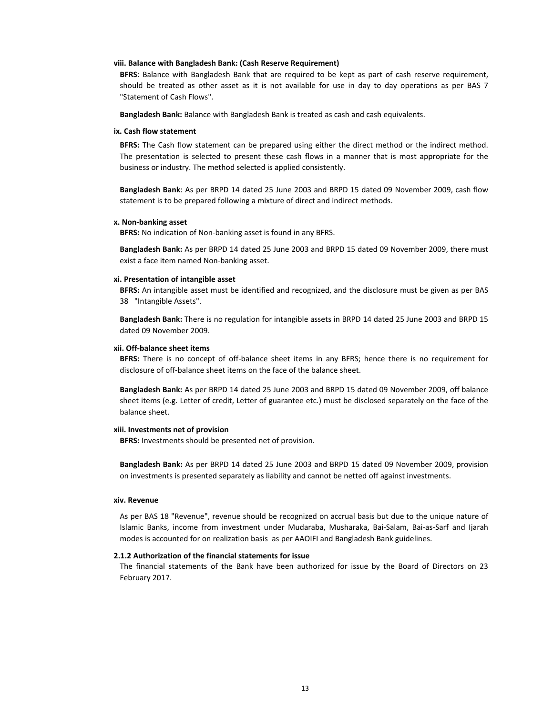### **viii. Balance with Bangladesh Bank: (Cash Reserve Requirement)**

**BFRS**: Balance with Bangladesh Bank that are required to be kept as part of cash reserve requirement, should be treated as other asset as it is not available for use in day to day operations as per BAS 7 "Statement of Cash Flows".

**Bangladesh Bank:** Balance with Bangladesh Bank is treated as cash and cash equivalents.

#### **ix. Cash flow statement**

**BFRS:** The Cash flow statement can be prepared using either the direct method or the indirect method. The presentation is selected to present these cash flows in a manner that is most appropriate for the business or industry. The method selected is applied consistently.

**Bangladesh Bank**: As per BRPD 14 dated 25 June 2003 and BRPD 15 dated 09 November 2009, cash flow statement is to be prepared following a mixture of direct and indirect methods.

### **x. Non-banking asset**

**BFRS:** No indication of Non-banking asset is found in any BFRS.

**Bangladesh Bank:** As per BRPD 14 dated 25 June 2003 and BRPD 15 dated 09 November 2009, there must exist a face item named Non-banking asset.

## **xi. Presentation of intangible asset**

**BFRS:** An intangible asset must be identified and recognized, and the disclosure must be given as per BAS 38 "Intangible Assets".

**Bangladesh Bank:** There is no regulation for intangible assets in BRPD 14 dated 25 June 2003 and BRPD 15 dated 09 November 2009.

### **xii. Off-balance sheet items**

**BFRS:** There is no concept of off-balance sheet items in any BFRS; hence there is no requirement for disclosure of off-balance sheet items on the face of the balance sheet.

**Bangladesh Bank:** As per BRPD 14 dated 25 June 2003 and BRPD 15 dated 09 November 2009, off balance sheet items (e.g. Letter of credit, Letter of guarantee etc.) must be disclosed separately on the face of the balance sheet.

## **xiii. Investments net of provision**

**BFRS:** Investments should be presented net of provision.

**Bangladesh Bank:** As per BRPD 14 dated 25 June 2003 and BRPD 15 dated 09 November 2009, provision on investments is presented separately as liability and cannot be netted off against investments.

### **xiv. Revenue**

As per BAS 18 "Revenue", revenue should be recognized on accrual basis but due to the unique nature of Islamic Banks, income from investment under Mudaraba, Musharaka, Bai-Salam, Bai-as-Sarf and Ijarah modes is accounted for on realization basis as per AAOIFI and Bangladesh Bank guidelines.

## **2.1.2 Authorization of the financial statements for issue**

The financial statements of the Bank have been authorized for issue by the Board of Directors on 23 February 2017.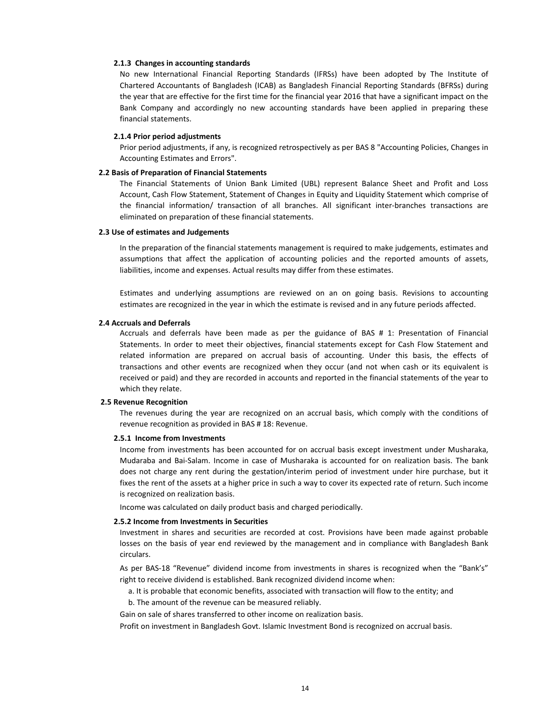### **2.1.3 Changes in accounting standards**

No new International Financial Reporting Standards (IFRSs) have been adopted by The Institute of Chartered Accountants of Bangladesh (ICAB) as Bangladesh Financial Reporting Standards (BFRSs) during the year that are effective for the first time for the financial year 2016 that have a significant impact on the Bank Company and accordingly no new accounting standards have been applied in preparing these financial statements.

### **2.1.4 Prior period adjustments**

Prior period adjustments, if any, is recognized retrospectively as per BAS 8 "Accounting Policies, Changes in Accounting Estimates and Errors".

## **2.2 Basis of Preparation of Financial Statements**

The Financial Statements of Union Bank Limited (UBL) represent Balance Sheet and Profit and Loss Account, Cash Flow Statement, Statement of Changes in Equity and Liquidity Statement which comprise of the financial information/ transaction of all branches. All significant inter-branches transactions are eliminated on preparation of these financial statements.

#### **2.3 Use of estimates and Judgements**

In the preparation of the financial statements management is required to make judgements, estimates and assumptions that affect the application of accounting policies and the reported amounts of assets, liabilities, income and expenses. Actual results may differ from these estimates.

Estimates and underlying assumptions are reviewed on an on going basis. Revisions to accounting estimates are recognized in the year in which the estimate is revised and in any future periods affected.

#### **2.4 Accruals and Deferrals**

Accruals and deferrals have been made as per the guidance of BAS # 1: Presentation of Financial Statements. In order to meet their objectives, financial statements except for Cash Flow Statement and related information are prepared on accrual basis of accounting. Under this basis, the effects of transactions and other events are recognized when they occur (and not when cash or its equivalent is received or paid) and they are recorded in accounts and reported in the financial statements of the year to which they relate.

### **2.5 Revenue Recognition**

The revenues during the year are recognized on an accrual basis, which comply with the conditions of revenue recognition as provided in BAS # 18: Revenue.

#### **2.5.1 Income from Investments**

Income from investments has been accounted for on accrual basis except investment under Musharaka, Mudaraba and Bai-Salam. Income in case of Musharaka is accounted for on realization basis. The bank does not charge any rent during the gestation/interim period of investment under hire purchase, but it fixes the rent of the assets at a higher price in such a way to cover its expected rate of return. Such income is recognized on realization basis.

Income was calculated on daily product basis and charged periodically.

#### **2.5.2 Income from Investments in Securities**

Investment in shares and securities are recorded at cost. Provisions have been made against probable losses on the basis of year end reviewed by the management and in compliance with Bangladesh Bank circulars.

As per BAS-18 "Revenue" dividend income from investments in shares is recognized when the "Bank's" right to receive dividend is established. Bank recognized dividend income when:

- a. It is probable that economic benefits, associated with transaction will flow to the entity; and
- b. The amount of the revenue can be measured reliably.

Gain on sale of shares transferred to other income on realization basis.

Profit on investment in Bangladesh Govt. Islamic Investment Bond is recognized on accrual basis.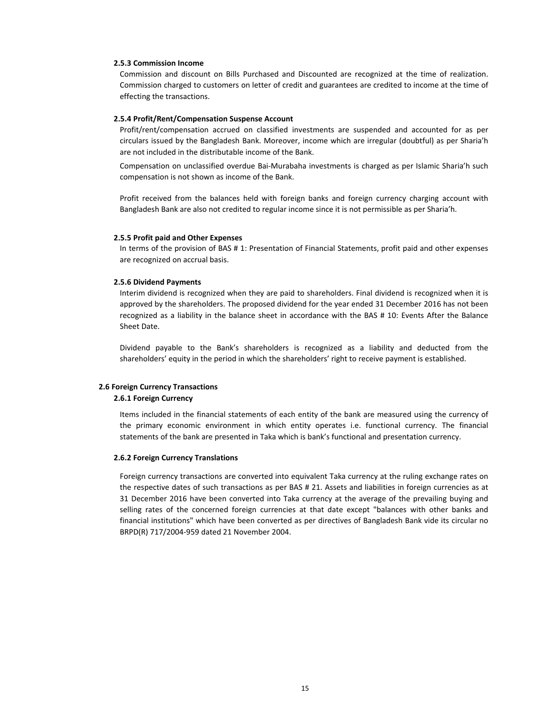### **2.5.3 Commission Income**

Commission and discount on Bills Purchased and Discounted are recognized at the time of realization. Commission charged to customers on letter of credit and guarantees are credited to income at the time of effecting the transactions.

## **2.5.4 Profit/Rent/Compensation Suspense Account**

Profit/rent/compensation accrued on classified investments are suspended and accounted for as per circulars issued by the Bangladesh Bank. Moreover, income which are irregular (doubtful) as per Sharia'h are not included in the distributable income of the Bank.

Compensation on unclassified overdue Bai-Murabaha investments is charged as per Islamic Sharia'h such compensation is not shown as income of the Bank.

Profit received from the balances held with foreign banks and foreign currency charging account with Bangladesh Bank are also not credited to regular income since it is not permissible as per Sharia'h.

## **2.5.5 Profit paid and Other Expenses**

In terms of the provision of BAS # 1: Presentation of Financial Statements, profit paid and other expenses are recognized on accrual basis.

#### **2.5.6 Dividend Payments**

Interim dividend is recognized when they are paid to shareholders. Final dividend is recognized when it is approved by the shareholders. The proposed dividend for the year ended 31 December 2016 has not been recognized as a liability in the balance sheet in accordance with the BAS # 10: Events After the Balance Sheet Date.

Dividend payable to the Bank's shareholders is recognized as a liability and deducted from the shareholders' equity in the period in which the shareholders' right to receive payment is established.

## **2.6 Foreign Currency Transactions**

#### **2.6.1 Foreign Currency**

Items included in the financial statements of each entity of the bank are measured using the currency of the primary economic environment in which entity operates i.e. functional currency. The financial statements of the bank are presented in Taka which is bank's functional and presentation currency.

#### **2.6.2 Foreign Currency Translations**

Foreign currency transactions are converted into equivalent Taka currency at the ruling exchange rates on the respective dates of such transactions as per BAS # 21. Assets and liabilities in foreign currencies as at 31 December 2016 have been converted into Taka currency at the average of the prevailing buying and selling rates of the concerned foreign currencies at that date except "balances with other banks and financial institutions" which have been converted as per directives of Bangladesh Bank vide its circular no BRPD(R) 717/2004-959 dated 21 November 2004.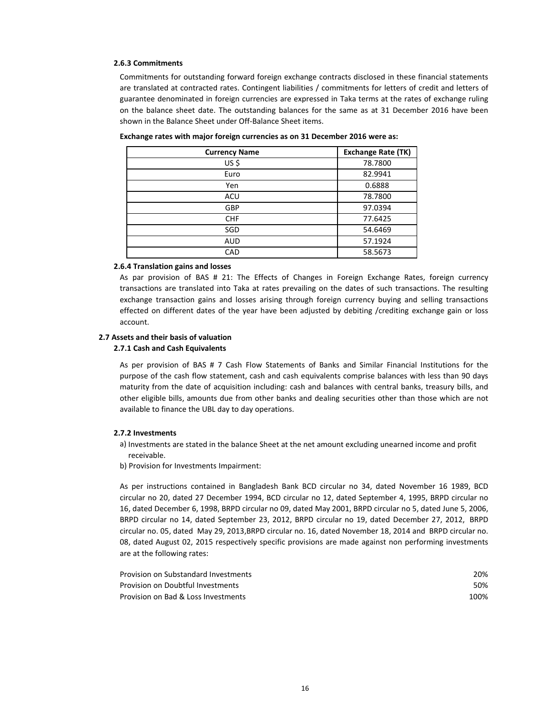#### **2.6.3 Commitments**

Commitments for outstanding forward foreign exchange contracts disclosed in these financial statements are translated at contracted rates. Contingent liabilities / commitments for letters of credit and letters of guarantee denominated in foreign currencies are expressed in Taka terms at the rates of exchange ruling on the balance sheet date. The outstanding balances for the same as at 31 December 2016 have been shown in the Balance Sheet under Off-Balance Sheet items.

| <b>Currency Name</b> | <b>Exchange Rate (TK)</b> |
|----------------------|---------------------------|
| US\$                 | 78.7800                   |
| Euro                 | 82.9941                   |
| Yen                  | 0.6888                    |
| ACU                  | 78.7800                   |
| <b>GBP</b>           | 97.0394                   |
| <b>CHF</b>           | 77.6425                   |
| SGD                  | 54.6469                   |
| <b>AUD</b>           | 57.1924                   |
| CAD                  | 58.5673                   |

**Exchange rates with major foreign currencies as on 31 December 2016 were as:**

### **2.6.4 Translation gains and losses**

As par provision of BAS # 21: The Effects of Changes in Foreign Exchange Rates, foreign currency transactions are translated into Taka at rates prevailing on the dates of such transactions. The resulting exchange transaction gains and losses arising through foreign currency buying and selling transactions effected on different dates of the year have been adjusted by debiting /crediting exchange gain or loss account.

### **2.7 Assets and their basis of valuation**

## **2.7.1 Cash and Cash Equivalents**

As per provision of BAS # 7 Cash Flow Statements of Banks and Similar Financial Institutions for the purpose of the cash flow statement, cash and cash equivalents comprise balances with less than 90 days maturity from the date of acquisition including: cash and balances with central banks, treasury bills, and other eligible bills, amounts due from other banks and dealing securities other than those which are not available to finance the UBL day to day operations.

#### **2.7.2 Investments**

- a) Investments are stated in the balance Sheet at the net amount excluding unearned income and profit receivable.
- b) Provision for Investments Impairment:

As per instructions contained in Bangladesh Bank BCD circular no 34, dated November 16 1989, BCD circular no 20, dated 27 December 1994, BCD circular no 12, dated September 4, 1995, BRPD circular no 16, dated December 6, 1998, BRPD circular no 09, dated May 2001, BRPD circular no 5, dated June 5, 2006, BRPD circular no 14, dated September 23, 2012, BRPD circular no 19, dated December 27, 2012, BRPD circular no. 05, dated May 29, 2013,BRPD circular no. 16, dated November 18, 2014 and BRPD circular no. 08, dated August 02, 2015 respectively specific provisions are made against non performing investments are at the following rates:

| Provision on Substandard Investments | 20%  |
|--------------------------------------|------|
| Provision on Doubtful Investments    | 50%  |
| Provision on Bad & Loss Investments  | 100% |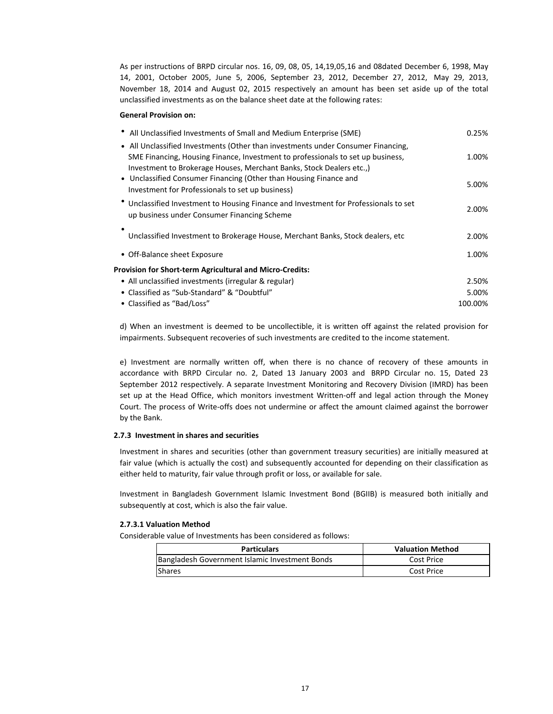As per instructions of BRPD circular nos. 16, 09, 08, 05, 14,19,05,16 and 08dated December 6, 1998, May 14, 2001, October 2005, June 5, 2006, September 23, 2012, December 27, 2012, May 29, 2013, November 18, 2014 and August 02, 2015 respectively an amount has been set aside up of the total unclassified investments as on the balance sheet date at the following rates:

### **General Provision on:**

| All Unclassified Investments of Small and Medium Enterprise (SME)                                                                                       | 0.25%   |
|---------------------------------------------------------------------------------------------------------------------------------------------------------|---------|
| • All Unclassified Investments (Other than investments under Consumer Financing,                                                                        |         |
| SME Financing, Housing Finance, Investment to professionals to set up business,<br>Investment to Brokerage Houses, Merchant Banks, Stock Dealers etc.,) | 1.00%   |
| • Unclassified Consumer Financing (Other than Housing Finance and<br>Investment for Professionals to set up business)                                   | 5.00%   |
| * Unclassified Investment to Housing Finance and Investment for Professionals to set<br>up business under Consumer Financing Scheme                     | 2.00%   |
| Unclassified Investment to Brokerage House, Merchant Banks, Stock dealers, etc.                                                                         | 2.00%   |
| • Off-Balance sheet Exposure                                                                                                                            | 1.00%   |
| <b>Provision for Short-term Agricultural and Micro-Credits:</b>                                                                                         |         |
| • All unclassified investments (irregular & regular)                                                                                                    | 2.50%   |
| • Classified as "Sub-Standard" & "Doubtful"                                                                                                             | 5.00%   |
| • Classified as "Bad/Loss"                                                                                                                              | 100.00% |

d) When an investment is deemed to be uncollectible, it is written off against the related provision for impairments. Subsequent recoveries of such investments are credited to the income statement.

e) Investment are normally written off, when there is no chance of recovery of these amounts in accordance with BRPD Circular no. 2, Dated 13 January 2003 and BRPD Circular no. 15, Dated 23 September 2012 respectively. A separate Investment Monitoring and Recovery Division (IMRD) has been set up at the Head Office, which monitors investment Written-off and legal action through the Money Court. The process of Write-offs does not undermine or affect the amount claimed against the borrower by the Bank.

## **2.7.3 Investment in shares and securities**

Investment in shares and securities (other than government treasury securities) are initially measured at fair value (which is actually the cost) and subsequently accounted for depending on their classification as either held to maturity, fair value through profit or loss, or available for sale.

Investment in Bangladesh Government Islamic Investment Bond (BGIIB) is measured both initially and subsequently at cost, which is also the fair value.

## **2.7.3.1 Valuation Method**

Considerable value of Investments has been considered as follows:

| <b>Particulars</b>                             | <b>Valuation Method</b> |
|------------------------------------------------|-------------------------|
| Bangladesh Government Islamic Investment Bonds | Cost Price              |
| Shares                                         | Cost Price              |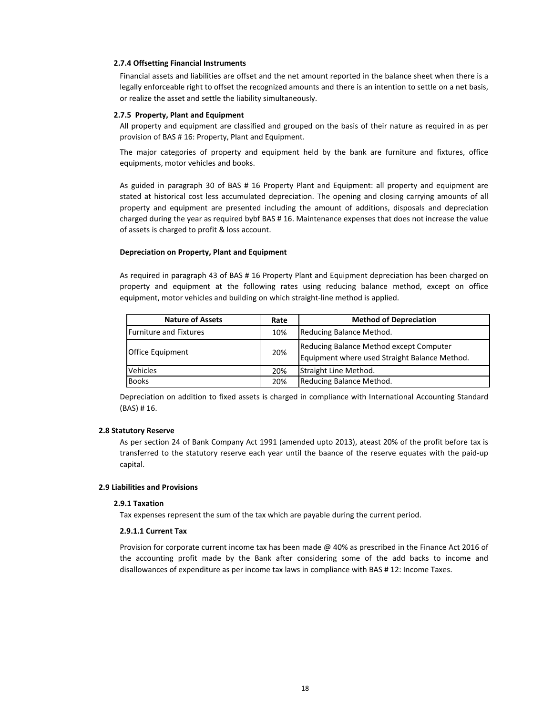## **2.7.4 Offsetting Financial Instruments**

Financial assets and liabilities are offset and the net amount reported in the balance sheet when there is a legally enforceable right to offset the recognized amounts and there is an intention to settle on a net basis, or realize the asset and settle the liability simultaneously.

## **2.7.5 Property, Plant and Equipment**

All property and equipment are classified and grouped on the basis of their nature as required in as per provision of BAS # 16: Property, Plant and Equipment.

The major categories of property and equipment held by the bank are furniture and fixtures, office equipments, motor vehicles and books.

As guided in paragraph 30 of BAS # 16 Property Plant and Equipment: all property and equipment are stated at historical cost less accumulated depreciation. The opening and closing carrying amounts of all property and equipment are presented including the amount of additions, disposals and depreciation charged during the year as required bybf BAS # 16. Maintenance expenses that does not increase the value of assets is charged to profit & loss account.

## **Depreciation on Property, Plant and Equipment**

As required in paragraph 43 of BAS # 16 Property Plant and Equipment depreciation has been charged on property and equipment at the following rates using reducing balance method, except on office equipment, motor vehicles and building on which straight-line method is applied.

| <b>Nature of Assets</b>       | Rate | <b>Method of Depreciation</b>                                                            |
|-------------------------------|------|------------------------------------------------------------------------------------------|
| <b>Furniture and Fixtures</b> | 10%  | Reducing Balance Method.                                                                 |
| <b>Office Equipment</b>       | 20%  | Reducing Balance Method except Computer<br>Equipment where used Straight Balance Method. |
| <b>Vehicles</b>               | 20%  | Straight Line Method.                                                                    |
| <b>Books</b>                  | 20%  | Reducing Balance Method.                                                                 |

Depreciation on addition to fixed assets is charged in compliance with International Accounting Standard (BAS) # 16.

## **2.8 Statutory Reserve**

As per section 24 of Bank Company Act 1991 (amended upto 2013), ateast 20% of the profit before tax is transferred to the statutory reserve each year until the baance of the reserve equates with the paid-up capital.

### **2.9 Liabilities and Provisions**

### **2.9.1 Taxation**

Tax expenses represent the sum of the tax which are payable during the current period.

## **2.9.1.1 Current Tax**

Provision for corporate current income tax has been made @ 40% as prescribed in the Finance Act 2016 of the accounting profit made by the Bank after considering some of the add backs to income and disallowances of expenditure as per income tax laws in compliance with BAS # 12: Income Taxes.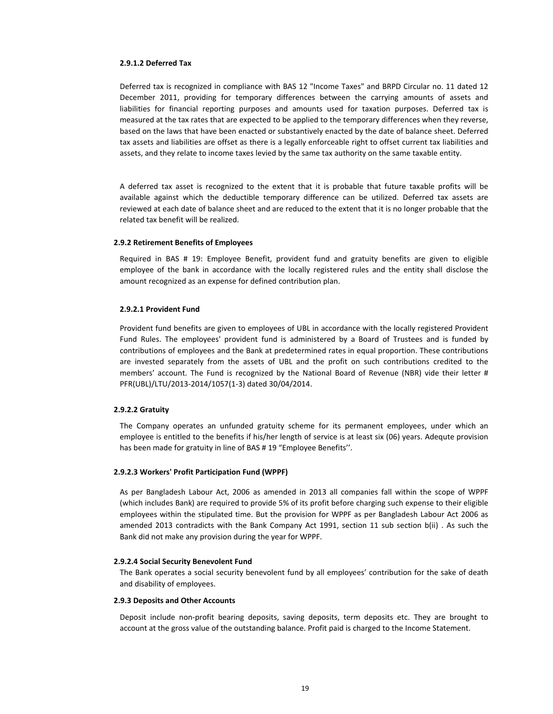#### **2.9.1.2 Deferred Tax**

Deferred tax is recognized in compliance with BAS 12 "Income Taxes" and BRPD Circular no. 11 dated 12 December 2011, providing for temporary differences between the carrying amounts of assets and liabilities for financial reporting purposes and amounts used for taxation purposes. Deferred tax is measured at the tax rates that are expected to be applied to the temporary differences when they reverse, based on the laws that have been enacted or substantively enacted by the date of balance sheet. Deferred tax assets and liabilities are offset as there is a legally enforceable right to offset current tax liabilities and assets, and they relate to income taxes levied by the same tax authority on the same taxable entity.

A deferred tax asset is recognized to the extent that it is probable that future taxable profits will be available against which the deductible temporary difference can be utilized. Deferred tax assets are reviewed at each date of balance sheet and are reduced to the extent that it is no longer probable that the related tax benefit will be realized.

### **2.9.2 Retirement Benefits of Employees**

Required in BAS # 19: Employee Benefit, provident fund and gratuity benefits are given to eligible employee of the bank in accordance with the locally registered rules and the entity shall disclose the amount recognized as an expense for defined contribution plan.

### **2.9.2.1 Provident Fund**

Provident fund benefits are given to employees of UBL in accordance with the locally registered Provident Fund Rules. The employees' provident fund is administered by a Board of Trustees and is funded by contributions of employees and the Bank at predetermined rates in equal proportion. These contributions are invested separately from the assets of UBL and the profit on such contributions credited to the members' account. The Fund is recognized by the National Board of Revenue (NBR) vide their letter # PFR(UBL)/LTU/2013-2014/1057(1-3) dated 30/04/2014.

#### **2.9.2.2 Gratuity**

The Company operates an unfunded gratuity scheme for its permanent employees, under which an employee is entitled to the benefits if his/her length of service is at least six (06) years. Adequte provision has been made for gratuity in line of BAS # 19 "Employee Benefits".

### **2.9.2.3 Workers' Profit Participation Fund (WPPF)**

As per Bangladesh Labour Act, 2006 as amended in 2013 all companies fall within the scope of WPPF (which includes Bank) are required to provide 5% of its profit before charging such expense to their eligible employees within the stipulated time. But the provision for WPPF as per Bangladesh Labour Act 2006 as amended 2013 contradicts with the Bank Company Act 1991, section 11 sub section b(ii) . As such the Bank did not make any provision during the year for WPPF.

#### **2.9.2.4 Social Security Benevolent Fund**

The Bank operates a social security benevolent fund by all employees' contribution for the sake of death and disability of employees.

### **2.9.3 Deposits and Other Accounts**

Deposit include non-profit bearing deposits, saving deposits, term deposits etc. They are brought to account at the gross value of the outstanding balance. Profit paid is charged to the Income Statement.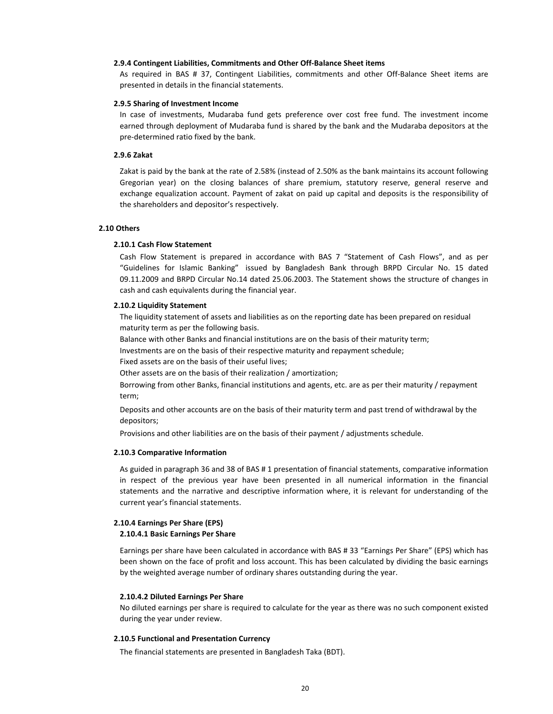## **2.9.4 Contingent Liabilities, Commitments and Other Off-Balance Sheet items**

As required in BAS # 37, Contingent Liabilities, commitments and other Off-Balance Sheet items are presented in details in the financial statements.

#### **2.9.5 Sharing of Investment Income**

In case of investments, Mudaraba fund gets preference over cost free fund. The investment income earned through deployment of Mudaraba fund is shared by the bank and the Mudaraba depositors at the pre-determined ratio fixed by the bank.

### **2.9.6 Zakat**

Zakat is paid by the bank at the rate of 2.58% (instead of 2.50% as the bank maintains its account following Gregorian year) on the closing balances of share premium, statutory reserve, general reserve and exchange equalization account. Payment of zakat on paid up capital and deposits is the responsibility of the shareholders and depositor's respectively.

### **2.10 Others**

#### **2.10.1 Cash Flow Statement**

Cash Flow Statement is prepared in accordance with BAS 7 "Statement of Cash Flows", and as per "Guidelines for Islamic Banking" issued by Bangladesh Bank through BRPD Circular No. 15 dated 09.11.2009 and BRPD Circular No.14 dated 25.06.2003. The Statement shows the structure of changes in cash and cash equivalents during the financial year.

#### **2.10.2 Liquidity Statement**

The liquidity statement of assets and liabilities as on the reporting date has been prepared on residual maturity term as per the following basis.

Balance with other Banks and financial institutions are on the basis of their maturity term;

Investments are on the basis of their respective maturity and repayment schedule;

Fixed assets are on the basis of their useful lives;

Other assets are on the basis of their realization / amortization;

Borrowing from other Banks, financial institutions and agents, etc. are as per their maturity / repayment term;

Deposits and other accounts are on the basis of their maturity term and past trend of withdrawal by the depositors;

Provisions and other liabilities are on the basis of their payment / adjustments schedule.

#### **2.10.3 Comparative Information**

As guided in paragraph 36 and 38 of BAS # 1 presentation of financial statements, comparative information in respect of the previous year have been presented in all numerical information in the financial statements and the narrative and descriptive information where, it is relevant for understanding of the current year's financial statements.

#### **2.10.4 Earnings Per Share (EPS)**

### **2.10.4.1 Basic Earnings Per Share**

Earnings per share have been calculated in accordance with BAS # 33 "Earnings Per Share" (EPS) which has been shown on the face of profit and loss account. This has been calculated by dividing the basic earnings by the weighted average number of ordinary shares outstanding during the year.

#### **2.10.4.2 Diluted Earnings Per Share**

No diluted earnings per share is required to calculate for the year as there was no such component existed during the year under review.

#### **2.10.5 Functional and Presentation Currency**

The financial statements are presented in Bangladesh Taka (BDT).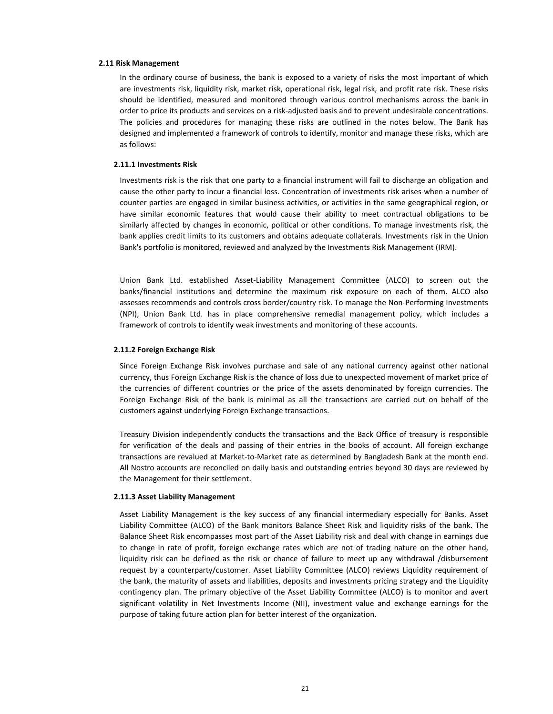#### **2.11 Risk Management**

In the ordinary course of business, the bank is exposed to a variety of risks the most important of which are investments risk, liquidity risk, market risk, operational risk, legal risk, and profit rate risk. These risks should be identified, measured and monitored through various control mechanisms across the bank in order to price its products and services on a risk-adjusted basis and to prevent undesirable concentrations. The policies and procedures for managing these risks are outlined in the notes below. The Bank has designed and implemented a framework of controls to identify, monitor and manage these risks, which are as follows:

### **2.11.1 Investments Risk**

Investments risk is the risk that one party to a financial instrument will fail to discharge an obligation and cause the other party to incur a financial loss. Concentration of investments risk arises when a number of counter parties are engaged in similar business activities, or activities in the same geographical region, or have similar economic features that would cause their ability to meet contractual obligations to be similarly affected by changes in economic, political or other conditions. To manage investments risk, the bank applies credit limits to its customers and obtains adequate collaterals. Investments risk in the Union Bank's portfolio is monitored, reviewed and analyzed by the Investments Risk Management (IRM).

Union Bank Ltd. established Asset-Liability Management Committee (ALCO) to screen out the banks/financial institutions and determine the maximum risk exposure on each of them. ALCO also assesses recommends and controls cross border/country risk. To manage the Non-Performing Investments (NPI), Union Bank Ltd. has in place comprehensive remedial management policy, which includes a framework of controls to identify weak investments and monitoring of these accounts.

#### **2.11.2 Foreign Exchange Risk**

Since Foreign Exchange Risk involves purchase and sale of any national currency against other national currency, thus Foreign Exchange Risk is the chance of loss due to unexpected movement of market price of the currencies of different countries or the price of the assets denominated by foreign currencies. The Foreign Exchange Risk of the bank is minimal as all the transactions are carried out on behalf of the customers against underlying Foreign Exchange transactions.

Treasury Division independently conducts the transactions and the Back Office of treasury is responsible for verification of the deals and passing of their entries in the books of account. All foreign exchange transactions are revalued at Market-to-Market rate as determined by Bangladesh Bank at the month end. All Nostro accounts are reconciled on daily basis and outstanding entries beyond 30 days are reviewed by the Management for their settlement.

#### **2.11.3 Asset Liability Management**

Asset Liability Management is the key success of any financial intermediary especially for Banks. Asset Liability Committee (ALCO) of the Bank monitors Balance Sheet Risk and liquidity risks of the bank. The Balance Sheet Risk encompasses most part of the Asset Liability risk and deal with change in earnings due to change in rate of profit, foreign exchange rates which are not of trading nature on the other hand, liquidity risk can be defined as the risk or chance of failure to meet up any withdrawal /disbursement request by a counterparty/customer. Asset Liability Committee (ALCO) reviews Liquidity requirement of the bank, the maturity of assets and liabilities, deposits and investments pricing strategy and the Liquidity contingency plan. The primary objective of the Asset Liability Committee (ALCO) is to monitor and avert significant volatility in Net Investments Income (NII), investment value and exchange earnings for the purpose of taking future action plan for better interest of the organization.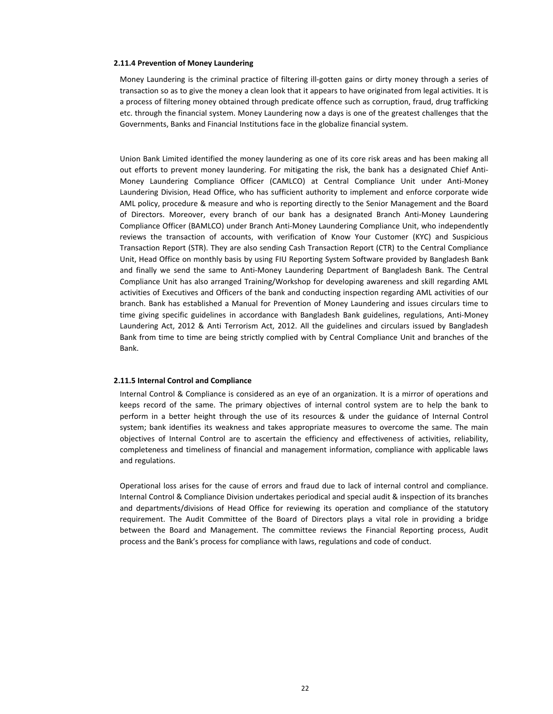#### **2.11.4 Prevention of Money Laundering**

Money Laundering is the criminal practice of filtering ill-gotten gains or dirty money through a series of transaction so as to give the money a clean look that it appears to have originated from legal activities. It is a process of filtering money obtained through predicate offence such as corruption, fraud, drug trafficking etc. through the financial system. Money Laundering now a days is one of the greatest challenges that the Governments, Banks and Financial Institutions face in the globalize financial system.

Union Bank Limited identified the money laundering as one of its core risk areas and has been making all out efforts to prevent money laundering. For mitigating the risk, the bank has a designated Chief Anti-Money Laundering Compliance Officer (CAMLCO) at Central Compliance Unit under Anti-Money Laundering Division, Head Office, who has sufficient authority to implement and enforce corporate wide AML policy, procedure & measure and who is reporting directly to the Senior Management and the Board of Directors. Moreover, every branch of our bank has a designated Branch Anti-Money Laundering Compliance Officer (BAMLCO) under Branch Anti-Money Laundering Compliance Unit, who independently reviews the transaction of accounts, with verification of Know Your Customer (KYC) and Suspicious Transaction Report (STR). They are also sending Cash Transaction Report (CTR) to the Central Compliance Unit, Head Office on monthly basis by using FIU Reporting System Software provided by Bangladesh Bank and finally we send the same to Anti-Money Laundering Department of Bangladesh Bank. The Central Compliance Unit has also arranged Training/Workshop for developing awareness and skill regarding AML activities of Executives and Officers of the bank and conducting inspection regarding AML activities of our branch. Bank has established a Manual for Prevention of Money Laundering and issues circulars time to time giving specific guidelines in accordance with Bangladesh Bank guidelines, regulations, Anti-Money Laundering Act, 2012 & Anti Terrorism Act, 2012. All the guidelines and circulars issued by Bangladesh Bank from time to time are being strictly complied with by Central Compliance Unit and branches of the Bank.

## **2.11.5 Internal Control and Compliance**

Internal Control & Compliance is considered as an eye of an organization. It is a mirror of operations and keeps record of the same. The primary objectives of internal control system are to help the bank to perform in a better height through the use of its resources & under the guidance of Internal Control system; bank identifies its weakness and takes appropriate measures to overcome the same. The main objectives of Internal Control are to ascertain the efficiency and effectiveness of activities, reliability, completeness and timeliness of financial and management information, compliance with applicable laws and regulations.

Operational loss arises for the cause of errors and fraud due to lack of internal control and compliance. Internal Control & Compliance Division undertakes periodical and special audit & inspection of its branches and departments/divisions of Head Office for reviewing its operation and compliance of the statutory requirement. The Audit Committee of the Board of Directors plays a vital role in providing a bridge between the Board and Management. The committee reviews the Financial Reporting process, Audit process and the Bank's process for compliance with laws, regulations and code of conduct.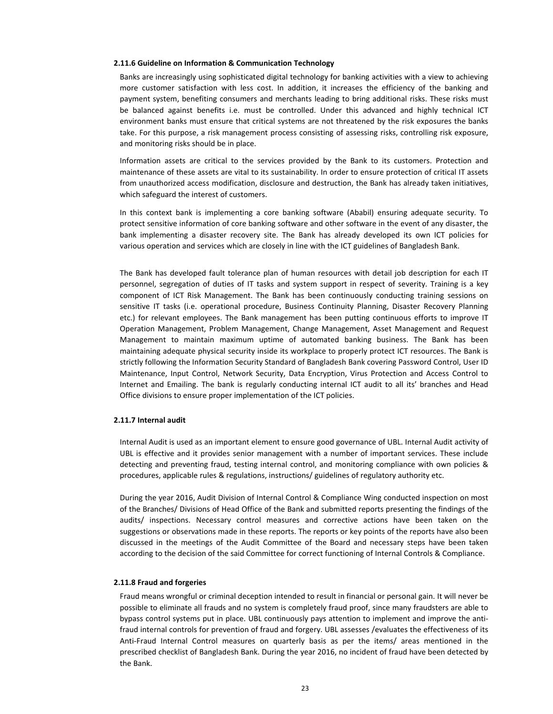#### **2.11.6 Guideline on Information & Communication Technology**

Banks are increasingly using sophisticated digital technology for banking activities with a view to achieving more customer satisfaction with less cost. In addition, it increases the efficiency of the banking and payment system, benefiting consumers and merchants leading to bring additional risks. These risks must be balanced against benefits i.e. must be controlled. Under this advanced and highly technical ICT environment banks must ensure that critical systems are not threatened by the risk exposures the banks take. For this purpose, a risk management process consisting of assessing risks, controlling risk exposure, and monitoring risks should be in place.

Information assets are critical to the services provided by the Bank to its customers. Protection and maintenance of these assets are vital to its sustainability. In order to ensure protection of critical IT assets from unauthorized access modification, disclosure and destruction, the Bank has already taken initiatives, which safeguard the interest of customers.

In this context bank is implementing a core banking software (Ababil) ensuring adequate security. To protect sensitive information of core banking software and other software in the event of any disaster, the bank implementing a disaster recovery site. The Bank has already developed its own ICT policies for various operation and services which are closely in line with the ICT guidelines of Bangladesh Bank.

The Bank has developed fault tolerance plan of human resources with detail job description for each IT personnel, segregation of duties of IT tasks and system support in respect of severity. Training is a key component of ICT Risk Management. The Bank has been continuously conducting training sessions on sensitive IT tasks (i.e. operational procedure, Business Continuity Planning, Disaster Recovery Planning etc.) for relevant employees. The Bank management has been putting continuous efforts to improve IT Operation Management, Problem Management, Change Management, Asset Management and Request Management to maintain maximum uptime of automated banking business. The Bank has been maintaining adequate physical security inside its workplace to properly protect ICT resources. The Bank is strictly following the Information Security Standard of Bangladesh Bank covering Password Control, User ID Maintenance, Input Control, Network Security, Data Encryption, Virus Protection and Access Control to Internet and Emailing. The bank is regularly conducting internal ICT audit to all its' branches and Head Office divisions to ensure proper implementation of the ICT policies.

## **2.11.7 Internal audit**

Internal Audit is used as an important element to ensure good governance of UBL. Internal Audit activity of UBL is effective and it provides senior management with a number of important services. These include detecting and preventing fraud, testing internal control, and monitoring compliance with own policies & procedures, applicable rules & regulations, instructions/ guidelines of regulatory authority etc.

During the year 2016, Audit Division of Internal Control & Compliance Wing conducted inspection on most of the Branches/ Divisions of Head Office of the Bank and submitted reports presenting the findings of the audits/ inspections. Necessary control measures and corrective actions have been taken on the suggestions or observations made in these reports. The reports or key points of the reports have also been discussed in the meetings of the Audit Committee of the Board and necessary steps have been taken according to the decision of the said Committee for correct functioning of Internal Controls & Compliance.

### **2.11.8 Fraud and forgeries**

Fraud means wrongful or criminal deception intended to result in financial or personal gain. It will never be possible to eliminate all frauds and no system is completely fraud proof, since many fraudsters are able to bypass control systems put in place. UBL continuously pays attention to implement and improve the antifraud internal controls for prevention of fraud and forgery. UBL assesses /evaluates the effectiveness of its Anti-Fraud Internal Control measures on quarterly basis as per the items/ areas mentioned in the prescribed checklist of Bangladesh Bank. During the year 2016, no incident of fraud have been detected by the Bank.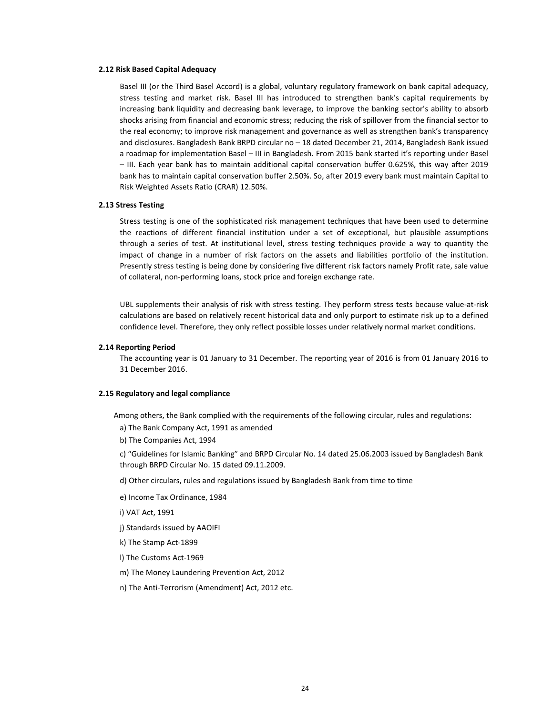## **2.12 Risk Based Capital Adequacy**

Basel III (or the Third Basel Accord) is a global, voluntary regulatory framework on bank capital adequacy, stress testing and market risk. Basel III has introduced to strengthen bank's capital requirements by increasing bank liquidity and decreasing bank leverage, to improve the banking sector's ability to absorb shocks arising from financial and economic stress; reducing the risk of spillover from the financial sector to the real economy; to improve risk management and governance as well as strengthen bank's transparency and disclosures. Bangladesh Bank BRPD circular no – 18 dated December 21, 2014, Bangladesh Bank issued a roadmap for implementation Basel – III in Bangladesh. From 2015 bank started it's reporting under Basel – III. Each year bank has to maintain additional capital conservation buffer 0.625%, this way after 2019 bank has to maintain capital conservation buffer 2.50%. So, after 2019 every bank must maintain Capital to Risk Weighted Assets Ratio (CRAR) 12.50%.

#### **2.13 Stress Testing**

Stress testing is one of the sophisticated risk management techniques that have been used to determine the reactions of different financial institution under a set of exceptional, but plausible assumptions through a series of test. At institutional level, stress testing techniques provide a way to quantity the impact of change in a number of risk factors on the assets and liabilities portfolio of the institution. Presently stress testing is being done by considering five different risk factors namely Profit rate, sale value of collateral, non-performing loans, stock price and foreign exchange rate.

UBL supplements their analysis of risk with stress testing. They perform stress tests because value-at-risk calculations are based on relatively recent historical data and only purport to estimate risk up to a defined confidence level. Therefore, they only reflect possible losses under relatively normal market conditions.

### **2.14 Reporting Period**

The accounting year is 01 January to 31 December. The reporting year of 2016 is from 01 January 2016 to 31 December 2016.

#### **2.15 Regulatory and legal compliance**

Among others, the Bank complied with the requirements of the following circular, rules and regulations:

a) The Bank Company Act, 1991 as amended

b) The Companies Act, 1994

c) "Guidelines for Islamic Banking" and BRPD Circular No. 14 dated 25.06.2003 issued by Bangladesh Bank through BRPD Circular No. 15 dated 09.11.2009.

d) Other circulars, rules and regulations issued by Bangladesh Bank from time to time

e) Income Tax Ordinance, 1984

i) VAT Act, 1991

j) Standards issued by AAOIFI

k) The Stamp Act-1899

- l) The Customs Act-1969
- m) The Money Laundering Prevention Act, 2012
- n) The Anti-Terrorism (Amendment) Act, 2012 etc.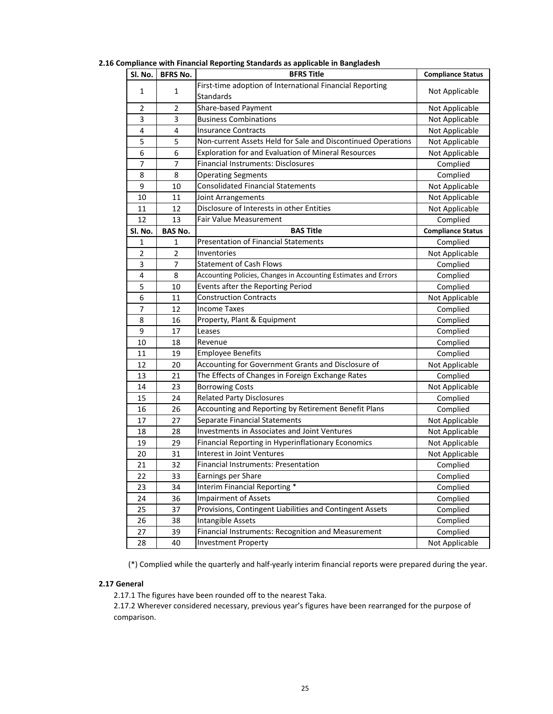| Sl. No.        | <b>BFRS Title</b><br><b>BFRS No.</b> |                                                                 | <b>Compliance Status</b> |
|----------------|--------------------------------------|-----------------------------------------------------------------|--------------------------|
|                |                                      | First-time adoption of International Financial Reporting        |                          |
| 1<br>1         |                                      | Standards                                                       | Not Applicable           |
| $\overline{2}$ | $\overline{2}$                       | Share-based Payment                                             | Not Applicable           |
| 3              | 3                                    | <b>Business Combinations</b>                                    | Not Applicable           |
| 4              | 4                                    | <b>Insurance Contracts</b>                                      | Not Applicable           |
| 5              | 5                                    | Non-current Assets Held for Sale and Discontinued Operations    | Not Applicable           |
| 6              | 6                                    | Exploration for and Evaluation of Mineral Resources             | Not Applicable           |
| $\overline{7}$ | $\overline{7}$                       | Financial Instruments: Disclosures                              | Complied                 |
| 8              | 8                                    | <b>Operating Segments</b>                                       | Complied                 |
| 9              | 10                                   | <b>Consolidated Financial Statements</b>                        | Not Applicable           |
| 10             | 11                                   | Joint Arrangements                                              | Not Applicable           |
| 11             | 12                                   | Disclosure of Interests in other Entities                       | Not Applicable           |
| 12             | 13                                   | <b>Fair Value Measurement</b>                                   | Complied                 |
| Sl. No.        | <b>BAS No.</b>                       | <b>BAS Title</b>                                                | <b>Compliance Status</b> |
| 1              | 1                                    | <b>Presentation of Financial Statements</b>                     | Complied                 |
| 2              | 2                                    | Inventories                                                     | Not Applicable           |
| 3              | $\overline{7}$                       | <b>Statement of Cash Flows</b>                                  | Complied                 |
| 4              | 8                                    | Accounting Policies, Changes in Accounting Estimates and Errors | Complied                 |
| 5              | 10                                   | Events after the Reporting Period                               |                          |
| 6              | 11                                   | <b>Construction Contracts</b>                                   | Not Applicable           |
| $\overline{7}$ | 12<br><b>Income Taxes</b>            |                                                                 | Complied                 |
| 8              | 16                                   | Property, Plant & Equipment                                     | Complied                 |
| 9              | 17                                   | Leases                                                          | Complied                 |
| 10             | 18                                   | Revenue                                                         | Complied                 |
| 11             | 19                                   | <b>Employee Benefits</b>                                        | Complied                 |
| 12             | 20                                   | Accounting for Government Grants and Disclosure of              |                          |
| 13             | 21                                   | The Effects of Changes in Foreign Exchange Rates                | Complied                 |
| 14             | 23                                   | <b>Borrowing Costs</b>                                          | Not Applicable           |
| 15             | 24                                   | <b>Related Party Disclosures</b>                                | Complied                 |
| 16             | 26                                   | Accounting and Reporting by Retirement Benefit Plans            | Complied                 |
| 17             | 27                                   | Separate Financial Statements                                   | Not Applicable           |
| 18             | 28                                   | <b>Investments in Associates and Joint Ventures</b>             | Not Applicable           |
| 19             | 29                                   | Financial Reporting in Hyperinflationary Economics              | Not Applicable           |
| 20             | 31                                   | Interest in Joint Ventures                                      | Not Applicable           |
| 21             | 32                                   | Financial Instruments: Presentation                             | Complied                 |
| 22             | 33                                   | Earnings per Share                                              | Complied                 |
| 23             | 34                                   | Interim Financial Reporting *                                   | Complied                 |
| 24             | 36                                   | <b>Impairment of Assets</b>                                     | Complied                 |
| 25             | 37                                   | Provisions, Contingent Liabilities and Contingent Assets        | Complied                 |
| 26             | 38                                   | Intangible Assets                                               | Complied                 |
| 27             | 39                                   | Financial Instruments: Recognition and Measurement              | Complied                 |
| 28             | 40                                   | <b>Investment Property</b>                                      | Not Applicable           |

**2.16 Compliance with Financial Reporting Standards as applicable in Bangladesh**

(\*) Complied while the quarterly and half-yearly interim financial reports were prepared during the year.

## **2.17 General**

2.17.1 The figures have been rounded off to the nearest Taka.

2.17.2 Wherever considered necessary, previous year's figures have been rearranged for the purpose of comparison.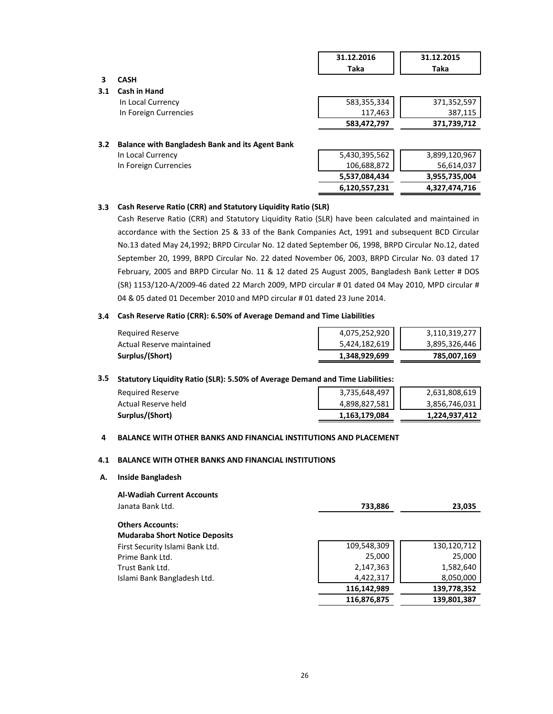|     |                                                        | 31.12.2016<br>Taka | 31.12.2015<br>Taka |
|-----|--------------------------------------------------------|--------------------|--------------------|
| 3   | <b>CASH</b>                                            |                    |                    |
| 3.1 | <b>Cash in Hand</b>                                    |                    |                    |
|     | In Local Currency                                      | 583,355,334        | 371,352,597        |
|     | In Foreign Currencies                                  | 117,463            | 387,115            |
|     |                                                        | 583,472,797        | 371,739,712        |
| 3.2 | <b>Balance with Bangladesh Bank and its Agent Bank</b> |                    |                    |
|     | In Local Currency                                      | 5,430,395,562      | 3,899,120,967      |
|     | In Foreign Currencies                                  | 106,688,872        | 56,614,037         |
|     |                                                        | 5,537,084,434      | 3,955,735,004      |
|     |                                                        | 6,120,557,231      | 4,327,474,716      |
|     |                                                        |                    |                    |

## **3.3 Cash Reserve Ratio (CRR) and Statutory Liquidity Ratio (SLR)**

Cash Reserve Ratio (CRR) and Statutory Liquidity Ratio (SLR) have been calculated and maintained in accordance with the Section 25 & 33 of the Bank Companies Act, 1991 and subsequent BCD Circular No.13 dated May 24,1992; BRPD Circular No. 12 dated September 06, 1998, BRPD Circular No.12, dated September 20, 1999, BRPD Circular No. 22 dated November 06, 2003, BRPD Circular No. 03 dated 17 February, 2005 and BRPD Circular No. 11 & 12 dated 25 August 2005, Bangladesh Bank Letter # DOS (SR) 1153/120-A/2009-46 dated 22 March 2009, MPD circular # 01 dated 04 May 2010, MPD circular # 04 & 05 dated 01 December 2010 and MPD circular # 01 dated 23 June 2014.

## **3.4 Cash Reserve Ratio (CRR): 6.50% of Average Demand and Time Liabilities**

| Required Reserve          | 4,075,252,920 | 3,110,319,277 |
|---------------------------|---------------|---------------|
| Actual Reserve maintained | 5,424,182,619 | 3,895,326,446 |
| Surplus/(Short)           | 1,348,929,699 | 785,007,169   |

## **3.5 Statutory Liquidity Ratio (SLR): 5.50% of Average Demand and Time Liabilities:**

| Surplus/(Short)     | 1,163,179,084 | 1,224,937,412 |
|---------------------|---------------|---------------|
| Actual Reserve held | 4,898,827,581 | 3,856,746,031 |
| Required Reserve    | 3,735,648,497 | 2,631,808,619 |
|                     |               |               |

## **4 BALANCE WITH OTHER BANKS AND FINANCIAL INSTITUTIONS AND PLACEMENT**

## **4.1 BALANCE WITH OTHER BANKS AND FINANCIAL INSTITUTIONS**

### **A. Inside Bangladesh**

| <b>Al-Wadiah Current Accounts</b>     |             |             |
|---------------------------------------|-------------|-------------|
| Janata Bank Ltd.                      | 733,886     | 23,035      |
| <b>Others Accounts:</b>               |             |             |
| <b>Mudaraba Short Notice Deposits</b> |             |             |
| First Security Islami Bank Ltd.       | 109,548,309 | 130,120,712 |
| Prime Bank Ltd.                       | 25,000      | 25,000      |
| Trust Bank Ltd.                       | 2,147,363   | 1,582,640   |
| Islami Bank Bangladesh Ltd.           | 4,422,317   | 8,050,000   |
|                                       | 116,142,989 | 139,778,352 |
|                                       | 116,876,875 | 139,801,387 |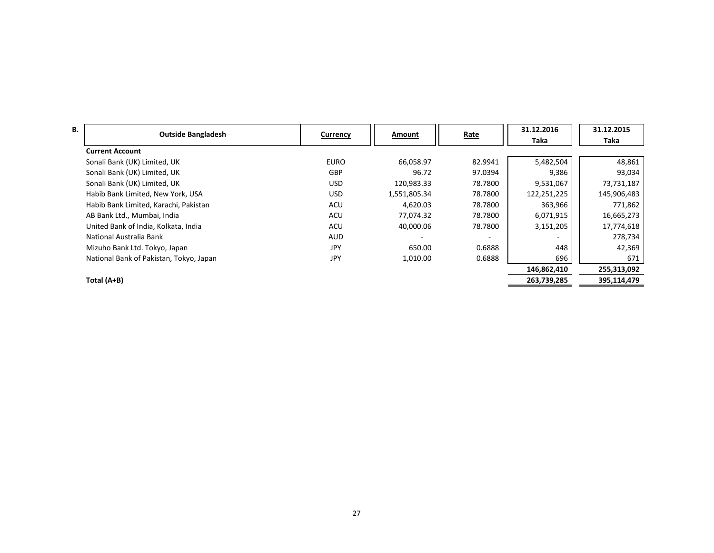| В. |                                         |             |              |         | 31.12.2016  | 31.12.2015  |
|----|-----------------------------------------|-------------|--------------|---------|-------------|-------------|
|    | <b>Outside Bangladesh</b>               | Currency    | Amount       | Rate    | Taka        | Taka        |
|    | <b>Current Account</b>                  |             |              |         |             |             |
|    | Sonali Bank (UK) Limited, UK            | <b>EURO</b> | 66,058.97    | 82.9941 | 5,482,504   | 48,861      |
|    | Sonali Bank (UK) Limited, UK            | <b>GBP</b>  | 96.72        | 97.0394 | 9,386       | 93,034      |
|    | Sonali Bank (UK) Limited, UK            | <b>USD</b>  | 120,983.33   | 78.7800 | 9,531,067   | 73,731,187  |
|    | Habib Bank Limited, New York, USA       | <b>USD</b>  | 1,551,805.34 | 78.7800 | 122,251,225 | 145,906,483 |
|    | Habib Bank Limited, Karachi, Pakistan   | ACU         | 4,620.03     | 78.7800 | 363,966     | 771,862     |
|    | AB Bank Ltd., Mumbai, India             | ACU         | 77,074.32    | 78.7800 | 6,071,915   | 16,665,273  |
|    | United Bank of India, Kolkata, India    | ACU         | 40,000.06    | 78.7800 | 3,151,205   | 17,774,618  |
|    | National Australia Bank                 | <b>AUD</b>  |              |         |             | 278,734     |
|    | Mizuho Bank Ltd. Tokyo, Japan           | <b>JPY</b>  | 650.00       | 0.6888  | 448         | 42,369      |
|    | National Bank of Pakistan, Tokyo, Japan | JPY         | 1,010.00     | 0.6888  | 696         | 671         |
|    |                                         |             |              |         | 146,862,410 | 255,313,092 |
|    | Total (A+B)                             |             |              |         | 263,739,285 | 395,114,479 |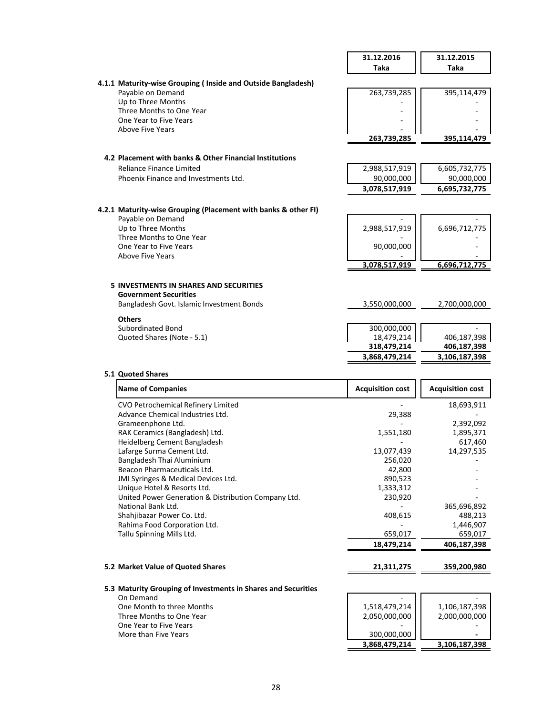|                                                                               | 31.12.2016    | 31.12.2015    |
|-------------------------------------------------------------------------------|---------------|---------------|
|                                                                               | Taka          | Taka          |
| 4.1.1 Maturity-wise Grouping (Inside and Outside Bangladesh)                  |               |               |
| Payable on Demand                                                             | 263,739,285   | 395,114,479   |
| Up to Three Months                                                            |               |               |
| Three Months to One Year                                                      |               |               |
| One Year to Five Years                                                        |               |               |
| Above Five Years                                                              |               |               |
|                                                                               | 263,739,285   | 395,114,479   |
| 4.2 Placement with banks & Other Financial Institutions                       |               |               |
| Reliance Finance Limited                                                      | 2,988,517,919 | 6,605,732,775 |
| Phoenix Finance and Investments Ltd.                                          | 90,000,000    | 90,000,000    |
|                                                                               | 3,078,517,919 | 6,695,732,775 |
|                                                                               |               |               |
| 4.2.1 Maturity-wise Grouping (Placement with banks & other FI)                |               |               |
| Payable on Demand                                                             |               |               |
| Up to Three Months                                                            | 2,988,517,919 | 6,696,712,775 |
| Three Months to One Year                                                      |               |               |
| One Year to Five Years<br>Above Five Years                                    | 90,000,000    |               |
|                                                                               | 3,078,517,919 | 6,696,712,775 |
|                                                                               |               |               |
| <b>5 INVESTMENTS IN SHARES AND SECURITIES</b><br><b>Government Securities</b> |               |               |
| Bangladesh Govt. Islamic Investment Bonds                                     | 3,550,000,000 | 2,700,000,000 |
| <b>Others</b>                                                                 |               |               |
| Subordinated Bond                                                             | 300,000,000   |               |
| Quoted Shares (Note - 5.1)                                                    | 18,479,214    | 406,187,398   |
|                                                                               | 318,479,214   | 406,187,398   |
|                                                                               | 3,868,479,214 | 3,106,187,398 |
|                                                                               |               |               |

# **5.1 Quoted Shares**

| <b>Name of Companies</b>                            | <b>Acquisition cost</b> | <b>Acquisition cost</b> |
|-----------------------------------------------------|-------------------------|-------------------------|
| CVO Petrochemical Refinery Limited                  |                         | 18,693,911              |
| Advance Chemical Industries Ltd.                    | 29,388                  |                         |
| Grameenphone Ltd.                                   |                         | 2,392,092               |
| RAK Ceramics (Bangladesh) Ltd.                      | 1,551,180               | 1,895,371               |
| Heidelberg Cement Bangladesh                        |                         | 617,460                 |
| Lafarge Surma Cement Ltd.                           | 13,077,439              | 14,297,535              |
| Bangladesh Thai Aluminium                           | 256,020                 |                         |
| Beacon Pharmaceuticals Ltd.                         | 42,800                  |                         |
| JMI Syringes & Medical Devices Ltd.                 | 890,523                 |                         |
| Unique Hotel & Resorts Ltd.                         | 1,333,312               |                         |
| United Power Generation & Distribution Company Ltd. | 230,920                 |                         |
| National Bank Ltd.                                  |                         | 365,696,892             |
| Shahjibazar Power Co. Ltd.                          | 408,615                 | 488,213                 |
| Rahima Food Corporation Ltd.                        |                         | 1,446,907               |
| Tallu Spinning Mills Ltd.                           | 659,017                 | 659,017                 |
|                                                     | 18,479,214              | 406,187,398             |
| 5.2 Market Value of Quoted Shares                   | 21,311,275              | 359,200,980             |

| 5.3 Maturity Grouping of Investments in Shares and Securities |               |               |
|---------------------------------------------------------------|---------------|---------------|
| On Demand                                                     | -             |               |
| One Month to three Months                                     | 1,518,479,214 | 1,106,187,398 |
| Three Months to One Year                                      | 2,050,000,000 | 2,000,000,000 |
| One Year to Five Years                                        |               |               |
| More than Five Years                                          | 300,000,000   |               |
|                                                               | 3,868,479,214 | 3,106,187,398 |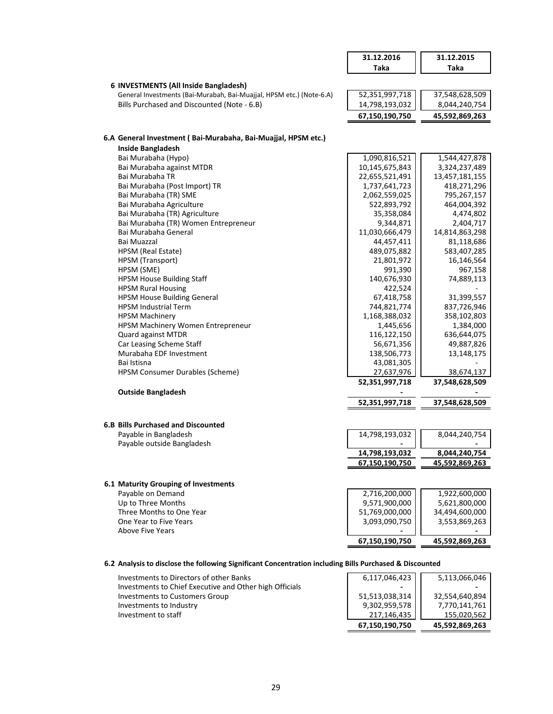|                                                                                                               | 31.12.2016               | 31.12.2015                   |
|---------------------------------------------------------------------------------------------------------------|--------------------------|------------------------------|
|                                                                                                               | <b>Taka</b>              | <b>Taka</b>                  |
|                                                                                                               |                          |                              |
| 6 INVESTMENTS (All Inside Bangladesh)<br>General Investments (Bai-Murabah, Bai-Muajjal, HPSM etc.) (Note-6.A) | 52,351,997,718           | 37,548,628,509               |
| Bills Purchased and Discounted (Note - 6.B)                                                                   | 14,798,193,032           | 8,044,240,754                |
|                                                                                                               | 67,150,190,750           |                              |
|                                                                                                               |                          | 45,592,869,263               |
|                                                                                                               |                          |                              |
| 6.A General Investment (Bai-Murabaha, Bai-Muajjal, HPSM etc.)<br><b>Inside Bangladesh</b>                     |                          |                              |
| Bai Murabaha (Hypo)                                                                                           | 1,090,816,521            | 1,544,427,878                |
| Bai Murabaha against MTDR                                                                                     | 10,145,675,843           | 3,324,237,489                |
| Bai Murabaha TR                                                                                               | 22,655,521,491           | 13,457,181,155               |
| Bai Murabaha (Post Import) TR                                                                                 | 1,737,641,723            | 418,271,296                  |
| Bai Murabaha (TR) SME                                                                                         | 2,062,559,025            | 795,267,157                  |
| Bai Murabaha Agriculture                                                                                      | 522,893,792              | 464,004,392                  |
| Bai Murabaha (TR) Agriculture                                                                                 | 35,358,084               | 4,474,802                    |
| Bai Murabaha (TR) Women Entrepreneur                                                                          | 9,344,871                | 2,404,717                    |
| Bai Murabaha General                                                                                          | 11,030,666,479           | 14,814,863,298               |
| Bai Muazzal                                                                                                   | 44,457,411               | 81,118,686                   |
| HPSM (Real Estate)                                                                                            | 489,075,882              | 583,407,285                  |
| HPSM (Transport)                                                                                              | 21,801,972               | 16,146,564                   |
| HPSM (SME)                                                                                                    | 991,390                  | 967,158                      |
| <b>HPSM House Building Staff</b>                                                                              | 140,676,930              | 74,889,113                   |
| <b>HPSM Rural Housing</b>                                                                                     | 422,524                  |                              |
| <b>HPSM House Building General</b>                                                                            | 67,418,758               | 31,399,557                   |
| <b>HPSM Industrial Term</b>                                                                                   | 744,821,774              | 837,726,946                  |
| <b>HPSM Machinery</b>                                                                                         | 1,168,388,032            | 358,102,803                  |
| HPSM Machinery Women Entrepreneur                                                                             | 1,445,656                | 1,384,000                    |
| Quard against MTDR                                                                                            | 116,122,150              | 636,644,075                  |
| Car Leasing Scheme Staff                                                                                      | 56,671,356               | 49,887,826                   |
| Murabaha EDF Investment                                                                                       | 138,506,773              | 13,148,175                   |
| Bai Istisna<br>HPSM Consumer Durables (Scheme)                                                                | 43,081,305<br>27,637,976 |                              |
|                                                                                                               | 52,351,997,718           | 38,674,137<br>37,548,628,509 |
| <b>Outside Bangladesh</b>                                                                                     |                          |                              |
|                                                                                                               | 52,351,997,718           | 37,548,628,509               |
|                                                                                                               |                          |                              |
| <b>6.B Bills Purchased and Discounted</b>                                                                     |                          |                              |
| Pavable in Bangladesh                                                                                         | 14,798,193,032           | 8,044,240,754                |
| Payable outside Bangladesh                                                                                    |                          |                              |
|                                                                                                               | 14,798,193,032           | 8,044,240,754                |
|                                                                                                               | 67,150,190,750           | 45,592,869,263               |
| 6.1 Maturity Grouping of Investments                                                                          |                          |                              |
| Payable on Demand                                                                                             | 2,716,200,000            | 1,922,600,000                |
| Up to Three Months                                                                                            | 9,571,900,000            | 5,621,800,000                |
| Three Months to One Year                                                                                      | 51,769,000,000           | 34,494,600,000               |
| One Year to Five Years                                                                                        | 3,093,090,750            | 3,553,869,263                |
| <b>Above Five Years</b>                                                                                       |                          |                              |
|                                                                                                               | 67,150,190,750           | 45,592,869,263               |
|                                                                                                               |                          |                              |

# **6.2 Analysis to disclose the following Significant Concentration including Bills Purchased & Discounted**

|                                                         | 67,150,190,750 | 45,592,869,263 |
|---------------------------------------------------------|----------------|----------------|
| Investment to staff                                     | 217,146,435    | 155,020,562    |
| Investments to Industry                                 | 9,302,959,578  | 7,770,141,761  |
| Investments to Customers Group                          | 51,513,038,314 | 32.554.640.894 |
| Investments to Chief Executive and Other high Officials |                |                |
| Investments to Directors of other Banks                 | 6,117,046,423  | 5,113,066,046  |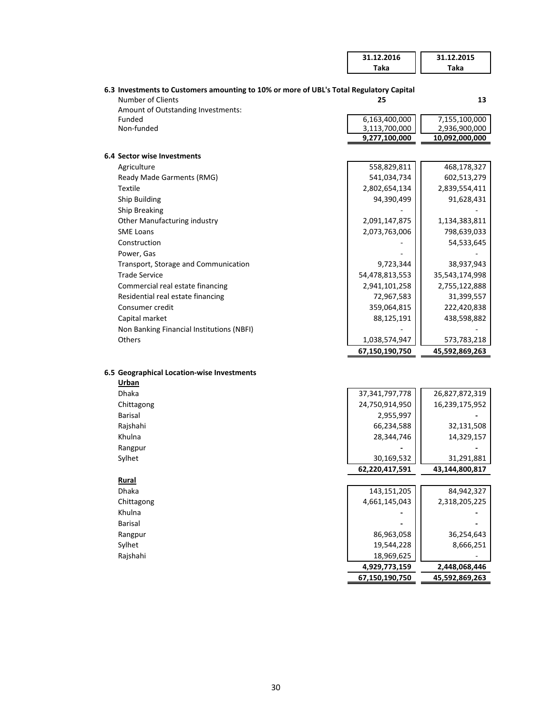|                                                                                         | 31.12.2016                     | 31.12.2015                      |
|-----------------------------------------------------------------------------------------|--------------------------------|---------------------------------|
|                                                                                         | Taka                           | Taka                            |
|                                                                                         |                                |                                 |
| 6.3 Investments to Customers amounting to 10% or more of UBL's Total Regulatory Capital |                                |                                 |
| <b>Number of Clients</b>                                                                | 25                             | 13                              |
| Amount of Outstanding Investments:                                                      |                                |                                 |
| Funded                                                                                  | 6,163,400,000                  | 7,155,100,000                   |
| Non-funded                                                                              | 3,113,700,000<br>9,277,100,000 | 2,936,900,000<br>10,092,000,000 |
|                                                                                         |                                |                                 |
| <b>6.4 Sector wise Investments</b>                                                      |                                |                                 |
| Agriculture                                                                             | 558,829,811                    | 468,178,327                     |
| Ready Made Garments (RMG)                                                               | 541,034,734                    | 602,513,279                     |
| <b>Textile</b>                                                                          | 2,802,654,134                  | 2,839,554,411                   |
| Ship Building                                                                           | 94,390,499                     | 91,628,431                      |
| <b>Ship Breaking</b>                                                                    |                                |                                 |
| Other Manufacturing industry                                                            | 2,091,147,875                  | 1,134,383,811                   |
| <b>SME Loans</b>                                                                        | 2,073,763,006                  | 798,639,033                     |
| Construction                                                                            |                                | 54,533,645                      |
| Power, Gas                                                                              |                                |                                 |
| Transport, Storage and Communication                                                    | 9,723,344                      | 38,937,943                      |
| <b>Trade Service</b>                                                                    | 54,478,813,553                 | 35,543,174,998                  |
| Commercial real estate financing                                                        | 2,941,101,258                  | 2,755,122,888                   |
| Residential real estate financing                                                       | 72,967,583                     | 31,399,557                      |
| Consumer credit                                                                         | 359,064,815                    | 222,420,838                     |
| Capital market                                                                          | 88,125,191                     | 438,598,882                     |
| Non Banking Financial Institutions (NBFI)                                               |                                |                                 |
| <b>Others</b>                                                                           | 1,038,574,947                  | 573,783,218                     |
|                                                                                         | 67,150,190,750                 | 45,592,869,263                  |
|                                                                                         |                                |                                 |
| 6.5 Geographical Location-wise Investments                                              |                                |                                 |
| Urban                                                                                   |                                |                                 |
| <b>Dhaka</b>                                                                            | 37, 341, 797, 778              | 26,827,872,319                  |
| Chittagong                                                                              | 24,750,914,950                 | 16,239,175,952                  |
| Barisal                                                                                 | 2,955,997                      |                                 |
| Rajshahi                                                                                | 66,234,588                     | 32,131,508                      |
| Khulna                                                                                  | 28,344,746                     | 14,329,157                      |
| Rangpur                                                                                 |                                |                                 |
| Sylhet                                                                                  | 30,169,532                     | 31,291,881                      |
|                                                                                         | 62,220,417,591                 | 43,144,800,817                  |
| Rural                                                                                   |                                |                                 |
| Dhaka                                                                                   | 143, 151, 205                  | 84,942,327                      |
| Chittagong                                                                              | 4,661,145,043                  | 2,318,205,225                   |
| Khulna                                                                                  |                                |                                 |
| <b>Barisal</b>                                                                          |                                |                                 |
| Rangpur                                                                                 | 86,963,058                     | 36,254,643                      |
| Sylhet                                                                                  | 19,544,228                     | 8,666,251                       |
| Rajshahi                                                                                | 18,969,625                     |                                 |
|                                                                                         | 4,929,773,159                  | 2,448,068,446                   |
|                                                                                         | 67,150,190,750                 | 45,592,869,263                  |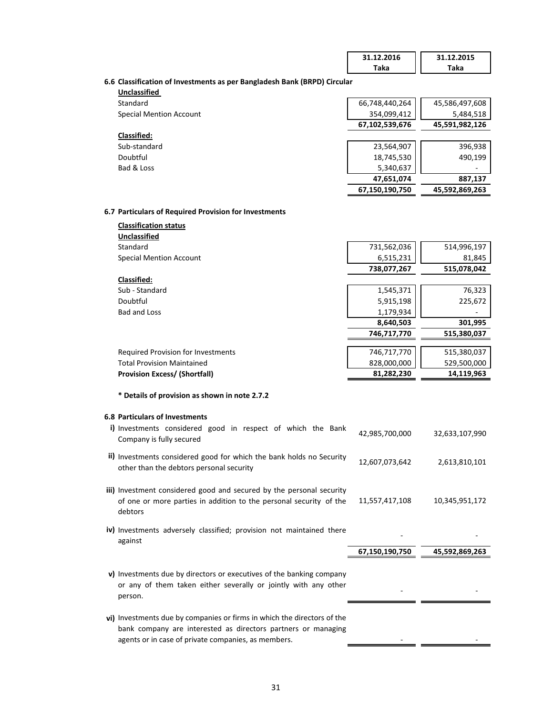|                                                                          | 31.12.2016     | 31.12.2015     |
|--------------------------------------------------------------------------|----------------|----------------|
|                                                                          | Taka           | Taka           |
| 6.6 Classification of Investments as per Bangladesh Bank (BRPD) Circular |                |                |
| <b>Unclassified</b>                                                      |                |                |
| Standard                                                                 | 66,748,440,264 | 45,586,497,608 |
| <b>Special Mention Account</b>                                           | 354,099,412    | 5,484,518      |
|                                                                          | 67,102,539,676 | 45,591,982,126 |
| <b>Classified:</b>                                                       |                |                |
| Sub-standard                                                             | 23,564,907     | 396,938        |
| Doubtful                                                                 | 18,745,530     | 490,199        |
| Bad & Loss                                                               | 5,340,637      |                |
|                                                                          | 47,651,074     | 887,137        |
|                                                                          | 67,150,190,750 | 45,592,869,263 |
|                                                                          |                |                |
| 6.7 Particulars of Required Provision for Investments                    |                |                |
| <b>Classification status</b>                                             |                |                |
| Unclassified                                                             |                |                |
| Standard                                                                 | 731,562,036    | 514,996,197    |
| <b>Special Mention Account</b>                                           | 6,515,231      | 81,845         |
|                                                                          | 738,077,267    | 515,078,042    |
| Classified:                                                              |                |                |
| Sub - Standard                                                           | 1,545,371      | 76,323         |
| Doubtful                                                                 | 5,915,198      | 225,672        |
| <b>Bad and Loss</b>                                                      | 1,179,934      |                |
|                                                                          | 8,640,503      | 301,995        |
|                                                                          | 746,717,770    | 515,380,037    |
| <b>Required Provision for Investments</b>                                | 746,717,770    | 515,380,037    |
| <b>Total Provision Maintained</b>                                        | 828,000,000    | 529,500,000    |
| <b>Provision Excess/ (Shortfall)</b>                                     | 81,282,230     | 14,119,963     |
|                                                                          |                |                |
| * Details of provision as shown in note 2.7.2                            |                |                |
|                                                                          |                |                |
| <b>6.8 Particulars of Investments</b>                                    |                |                |
| i) Investments considered good in respect of which the Bank              | 42,985,700,000 | 32,633,107,990 |
| Company is fully secured                                                 |                |                |
|                                                                          |                |                |
| ii) Investments considered good for which the bank holds no Security     | 12,607,073,642 | 2,613,810,101  |
| other than the debtors personal security                                 |                |                |
| iii) Investment considered good and secured by the personal security     |                |                |
| of one or more parties in addition to the personal security of the       | 11,557,417,108 | 10,345,951,172 |
| debtors                                                                  |                |                |
|                                                                          |                |                |
| iv) Investments adversely classified; provision not maintained there     |                |                |
| against                                                                  |                |                |
|                                                                          | 67,150,190,750 | 45,592,869,263 |
|                                                                          |                |                |
| v) Investments due by directors or executives of the banking company     |                |                |
| or any of them taken either severally or jointly with any other          |                |                |
| person.                                                                  |                |                |
|                                                                          |                |                |
| vi) Investments due by companies or firms in which the directors of the  |                |                |
| bank company are interested as directors partners or managing            |                |                |
| agents or in case of private companies, as members.                      |                |                |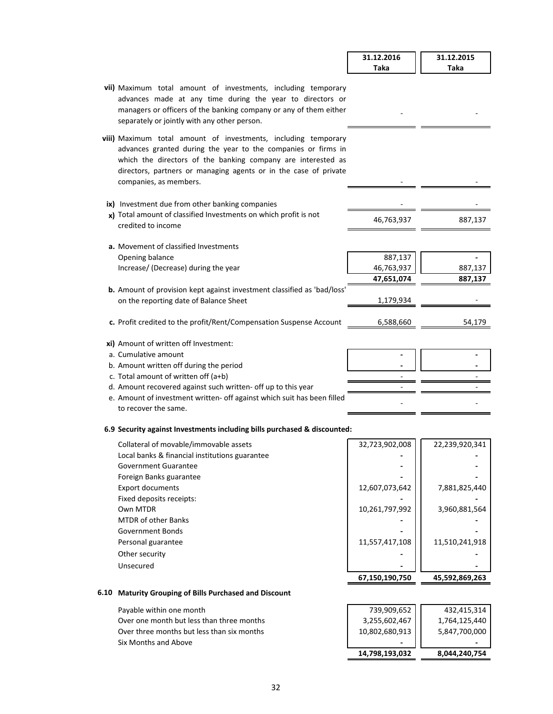|                                                                                                                                                                                                                                                                                               | 31.12.2016     | 31.12.2015     |
|-----------------------------------------------------------------------------------------------------------------------------------------------------------------------------------------------------------------------------------------------------------------------------------------------|----------------|----------------|
|                                                                                                                                                                                                                                                                                               | Taka           | Taka           |
| vii) Maximum total amount of investments, including temporary<br>advances made at any time during the year to directors or<br>managers or officers of the banking company or any of them either<br>separately or jointly with any other person.                                               |                |                |
| viii) Maximum total amount of investments, including temporary<br>advances granted during the year to the companies or firms in<br>which the directors of the banking company are interested as<br>directors, partners or managing agents or in the case of private<br>companies, as members. |                |                |
| ix) Investment due from other banking companies                                                                                                                                                                                                                                               |                |                |
| x) Total amount of classified Investments on which profit is not                                                                                                                                                                                                                              |                |                |
| credited to income                                                                                                                                                                                                                                                                            | 46,763,937     | 887,137        |
|                                                                                                                                                                                                                                                                                               |                |                |
| a. Movement of classified Investments                                                                                                                                                                                                                                                         |                |                |
| Opening balance                                                                                                                                                                                                                                                                               | 887,137        |                |
| Increase/ (Decrease) during the year                                                                                                                                                                                                                                                          | 46,763,937     | 887,137        |
|                                                                                                                                                                                                                                                                                               | 47,651,074     | 887,137        |
| <b>b.</b> Amount of provision kept against investment classified as 'bad/loss'                                                                                                                                                                                                                |                |                |
| on the reporting date of Balance Sheet                                                                                                                                                                                                                                                        | 1,179,934      |                |
| c. Profit credited to the profit/Rent/Compensation Suspense Account                                                                                                                                                                                                                           | 6,588,660      | 54,179         |
| xi) Amount of written off Investment:                                                                                                                                                                                                                                                         |                |                |
| a. Cumulative amount                                                                                                                                                                                                                                                                          |                |                |
| b. Amount written off during the period                                                                                                                                                                                                                                                       |                |                |
| c. Total amount of written off (a+b)                                                                                                                                                                                                                                                          |                |                |
| d. Amount recovered against such written- off up to this year                                                                                                                                                                                                                                 |                |                |
| e. Amount of investment written- off against which suit has been filled                                                                                                                                                                                                                       |                |                |
| to recover the same.                                                                                                                                                                                                                                                                          |                |                |
| 6.9 Security against Investments including bills purchased & discounted:                                                                                                                                                                                                                      |                |                |
| Collateral of movable/immovable assets                                                                                                                                                                                                                                                        | 32,723,902,008 | 22,239,920,341 |

|                                                | 67,150,190,750 | 45,592,869,263 |
|------------------------------------------------|----------------|----------------|
| Unsecured                                      |                |                |
| Other security                                 |                |                |
| Personal guarantee                             | 11,557,417,108 | 11,510,241,918 |
| Government Bonds                               |                |                |
| <b>MTDR of other Banks</b>                     |                |                |
| Own MTDR                                       | 10,261,797,992 | 3,960,881,564  |
| Fixed deposits receipts:                       |                |                |
| <b>Export documents</b>                        | 12,607,073,642 | 7,881,825,440  |
| Foreign Banks guarantee                        |                |                |
| Government Guarantee                           |                |                |
| Local banks & financial institutions guarantee |                |                |
| Collateral of movable/immovable assets         | 32,723,902,008 | 22,239,920,341 |
|                                                |                |                |

## **6.10 Maturity Grouping of Bills Purchased and Discount**

Payable within one month Over one month but less than three months Over three months but less than six months **Six Months and Above** 

| 14,798,193,032                                 | 8,044,240,754 |
|------------------------------------------------|---------------|
|                                                |               |
|                                                | 5,847,700,000 |
|                                                | 1,764,125,440 |
| 739,909,652<br>3,255,602,467<br>10,802,680,913 | 432,415,314   |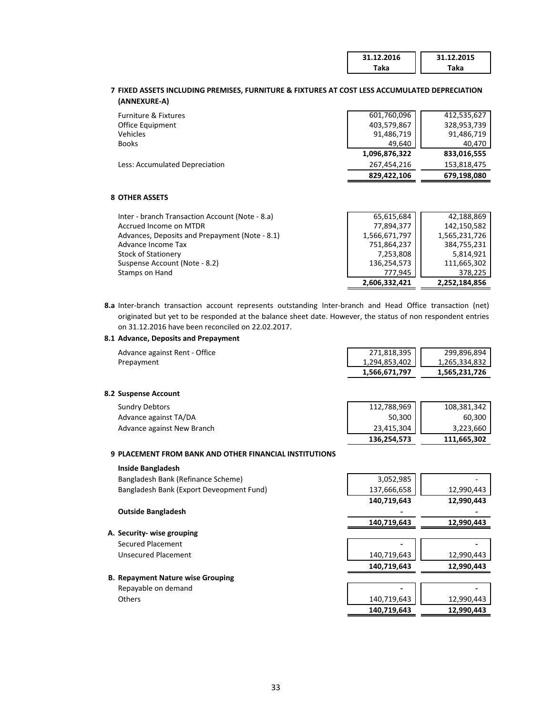| 31.12.2016 | 31.12.2015 |
|------------|------------|
| Гаkа       | 'aka       |

## **7 FIXED ASSETS INCLUDING PREMISES, FURNITURE & FIXTURES AT COST LESS ACCUMULATED DEPRECIATION (ANNEXURE-A)**

| Furniture & Fixtures           | 601,760,096   | 412,535,627 |
|--------------------------------|---------------|-------------|
| Office Equipment               | 403,579,867   | 328,953,739 |
| Vehicles                       | 91,486,719    | 91,486,719  |
| <b>Books</b>                   | 49.640        | 40.470      |
|                                | 1,096,876,322 | 833,016,555 |
| Less: Accumulated Depreciation | 267.454.216   | 153,818,475 |
|                                | 829.422.106   | 679,198,080 |

## **8 OTHER ASSETS**

|                                                 | 2,606,332,421 | 2,252,184,856 |
|-------------------------------------------------|---------------|---------------|
| Stamps on Hand                                  | 777.945       | 378,225       |
| Suspense Account (Note - 8.2)                   | 136,254,573   | 111,665,302   |
| <b>Stock of Stationery</b>                      | 7,253,808     | 5,814,921     |
| Advance Income Tax                              | 751,864,237   | 384,755,231   |
| Advances, Deposits and Prepayment (Note - 8.1)  | 1,566,671,797 | 1,565,231,726 |
| Accrued Income on MTDR                          | 77,894,377    | 142,150,582   |
| Inter - branch Transaction Account (Note - 8.a) | 65,615,684    | 42,188,869    |

**8.a** Inter-branch transaction account represents outstanding Inter-branch and Head Office transaction (net) originated but yet to be responded at the balance sheet date. However, the status of non respondent entries on 31.12.2016 have been reconciled on 22.02.2017.

## **8.1 Advance, Deposits and Prepayment**

| Advance against Rent - Office | 271,818,395   | 299.896.894   |
|-------------------------------|---------------|---------------|
| Prepayment                    | 1,294,853,402 | 1.265.334.832 |
|                               | 1,566,671,797 | 1,565,231,726 |

## **8.2 Suspense Account**

| <b>Sundry Debtors</b>      | 112,788,969 | 108,381,342 |
|----------------------------|-------------|-------------|
| Advance against TA/DA      | 50,300      | 60,300      |
| Advance against New Branch | 23,415,304  | 3,223,660   |
|                            | 136.254.573 | 111.665.302 |

### **9 PLACEMENT FROM BANK AND OTHER FINANCIAL INSTITUTIONS**

| <b>Inside Bangladesh</b>                 |             |            |
|------------------------------------------|-------------|------------|
| Bangladesh Bank (Refinance Scheme)       | 3,052,985   |            |
| Bangladesh Bank (Export Deveopment Fund) | 137,666,658 | 12,990,443 |
|                                          | 140,719,643 | 12,990,443 |
| <b>Outside Bangladesh</b>                |             |            |
|                                          | 140,719,643 | 12,990,443 |
| A. Security- wise grouping               |             |            |
| Secured Placement                        |             |            |
| Unsecured Placement                      | 140,719,643 | 12,990,443 |
|                                          | 140,719,643 | 12,990,443 |
| <b>B. Repayment Nature wise Grouping</b> |             |            |
| Repayable on demand                      |             |            |
| Others                                   | 140,719,643 | 12,990,443 |
|                                          | 140,719,643 | 12,990,443 |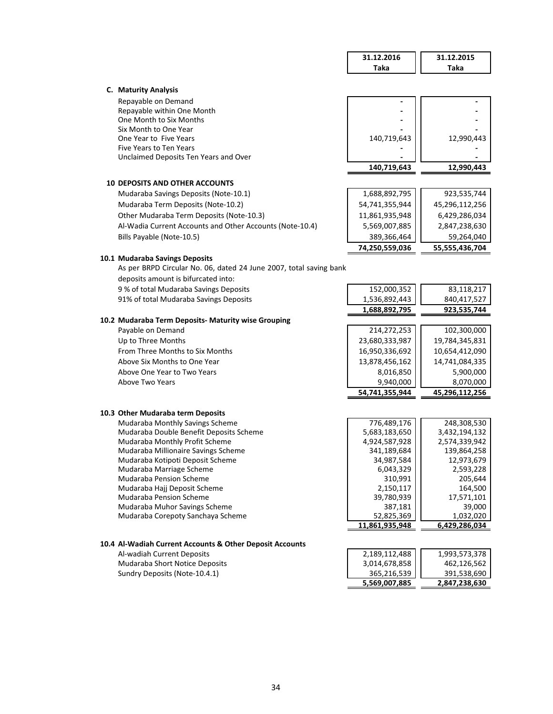|                                                                         | 31.12.2016                | 31.12.2015                |
|-------------------------------------------------------------------------|---------------------------|---------------------------|
|                                                                         | <b>Taka</b>               | Taka                      |
|                                                                         |                           |                           |
| C. Maturity Analysis                                                    |                           |                           |
| Repayable on Demand                                                     |                           |                           |
| Repayable within One Month                                              |                           |                           |
| One Month to Six Months<br>Six Month to One Year                        |                           |                           |
| One Year to Five Years                                                  | 140,719,643               | 12,990,443                |
| Five Years to Ten Years                                                 |                           |                           |
| Unclaimed Deposits Ten Years and Over                                   |                           |                           |
|                                                                         | 140,719,643               | 12,990,443                |
| <b>10 DEPOSITS AND OTHER ACCOUNTS</b>                                   |                           |                           |
| Mudaraba Savings Deposits (Note-10.1)                                   | 1,688,892,795             | 923,535,744               |
| Mudaraba Term Deposits (Note-10.2)                                      | 54,741,355,944            | 45,296,112,256            |
| Other Mudaraba Term Deposits (Note-10.3)                                | 11,861,935,948            | 6,429,286,034             |
| Al-Wadia Current Accounts and Other Accounts (Note-10.4)                | 5,569,007,885             | 2,847,238,630             |
| Bills Payable (Note-10.5)                                               | 389,366,464               | 59,264,040                |
|                                                                         | 74,250,559,036            | 55,555,436,704            |
| 10.1 Mudaraba Savings Deposits                                          |                           |                           |
| As per BRPD Circular No. 06, dated 24 June 2007, total saving bank      |                           |                           |
| deposits amount is bifurcated into:                                     |                           |                           |
| 9 % of total Mudaraba Savings Deposits                                  | 152,000,352               | 83,118,217                |
| 91% of total Mudaraba Savings Deposits                                  | 1,536,892,443             | 840,417,527               |
|                                                                         | 1,688,892,795             | 923,535,744               |
| 10.2 Mudaraba Term Deposits- Maturity wise Grouping                     |                           |                           |
| Payable on Demand                                                       | 214,272,253               | 102,300,000               |
| Up to Three Months                                                      | 23,680,333,987            | 19,784,345,831            |
| From Three Months to Six Months                                         | 16,950,336,692            | 10,654,412,090            |
| Above Six Months to One Year<br>Above One Year to Two Years             | 13,878,456,162            | 14,741,084,335            |
| Above Two Years                                                         | 8,016,850<br>9,940,000    | 5,900,000<br>8,070,000    |
|                                                                         | 54,741,355,944            | 45,296,112,256            |
|                                                                         |                           |                           |
| 10.3 Other Mudaraba term Deposits                                       |                           |                           |
| Mudaraba Monthly Savings Scheme                                         | 776,489,176               | 248,308,530               |
| Mudaraba Double Benefit Deposits Scheme                                 | 5,683,183,650             | 3,432,194,132             |
| Mudaraba Monthly Profit Scheme                                          | 4,924,587,928             | 2,574,339,942             |
| Mudaraba Millionaire Savings Scheme<br>Mudaraba Kotipoti Deposit Scheme | 341,189,684<br>34,987,584 | 139,864,258<br>12,973,679 |
| Mudaraba Marriage Scheme                                                | 6,043,329                 | 2,593,228                 |
| Mudaraba Pension Scheme                                                 | 310,991                   | 205,644                   |
| Mudaraba Hajj Deposit Scheme                                            | 2,150,117                 | 164,500                   |
| Mudaraba Pension Scheme                                                 | 39,780,939                | 17,571,101                |
| Mudaraba Muhor Savings Scheme                                           | 387,181                   | 39,000                    |
| Mudaraba Corepoty Sanchaya Scheme                                       | 52,825,369                | 1,032,020                 |
|                                                                         | 11,861,935,948            | 6,429,286,034             |
| 10.4 Al-Wadiah Current Accounts & Other Deposit Accounts                |                           |                           |
| Al-wadiah Current Deposits                                              | 2,189,112,488             | 1,993,573,378             |
| Mudaraba Short Notice Deposits                                          | 3,014,678,858             | 462,126,562               |
| Sundry Deposits (Note-10.4.1)                                           | 365,216,539               | 391,538,690               |
|                                                                         | 5,569,007,885             | 2,847,238,630             |
|                                                                         |                           |                           |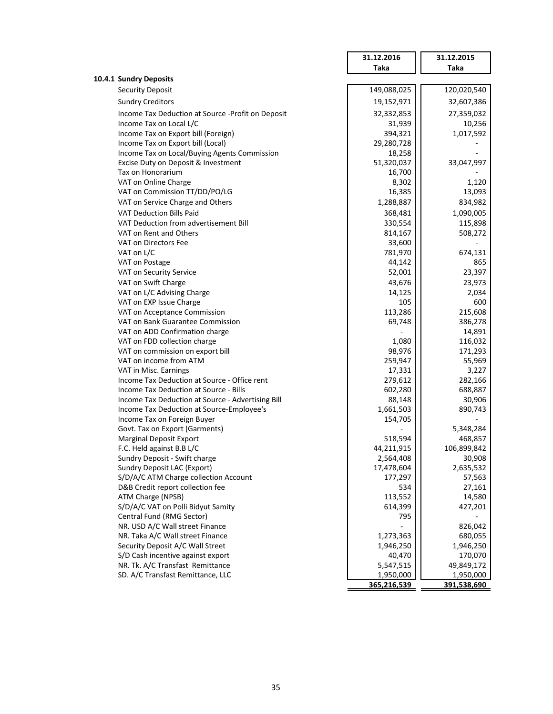|                                                   | 31.12.2016  | 31.12.2015  |
|---------------------------------------------------|-------------|-------------|
|                                                   | <b>Taka</b> | <b>Taka</b> |
| 10.4.1 Sundry Deposits                            |             |             |
| <b>Security Deposit</b>                           | 149,088,025 | 120,020,540 |
| <b>Sundry Creditors</b>                           | 19,152,971  | 32,607,386  |
| Income Tax Deduction at Source -Profit on Deposit | 32,332,853  | 27,359,032  |
| Income Tax on Local L/C                           | 31,939      | 10,256      |
| Income Tax on Export bill (Foreign)               | 394,321     | 1,017,592   |
| Income Tax on Export bill (Local)                 | 29,280,728  |             |
| Income Tax on Local/Buying Agents Commission      | 18,258      |             |
| Excise Duty on Deposit & Investment               | 51,320,037  | 33,047,997  |
| Tax on Honorarium                                 | 16,700      |             |
| VAT on Online Charge                              | 8,302       | 1,120       |
| VAT on Commission TT/DD/PO/LG                     | 16,385      | 13,093      |
| VAT on Service Charge and Others                  | 1,288,887   | 834,982     |
| <b>VAT Deduction Bills Paid</b>                   | 368,481     | 1,090,005   |
| VAT Deduction from advertisement Bill             | 330,554     | 115,898     |
| VAT on Rent and Others                            | 814,167     | 508,272     |
| VAT on Directors Fee                              | 33,600      |             |
| VAT on L/C                                        | 781,970     | 674,131     |
| VAT on Postage                                    | 44,142      | 865         |
| VAT on Security Service                           | 52,001      | 23,397      |
| VAT on Swift Charge                               | 43,676      | 23,973      |
| VAT on L/C Advising Charge                        | 14,125      | 2,034       |
| VAT on EXP Issue Charge                           | 105         | 600         |
| VAT on Acceptance Commission                      | 113,286     | 215,608     |
| VAT on Bank Guarantee Commission                  | 69,748      | 386,278     |
| VAT on ADD Confirmation charge                    |             | 14,891      |
| VAT on FDD collection charge                      | 1,080       | 116,032     |
| VAT on commission on export bill                  | 98,976      | 171,293     |
| VAT on income from ATM                            | 259,947     | 55,969      |
| VAT in Misc. Earnings                             | 17,331      | 3,227       |
| Income Tax Deduction at Source - Office rent      | 279,612     | 282,166     |
| Income Tax Deduction at Source - Bills            | 602,280     | 688,887     |
| Income Tax Deduction at Source - Advertising Bill | 88,148      | 30,906      |
| Income Tax Deduction at Source-Employee's         | 1,661,503   | 890,743     |
| Income Tax on Foreign Buyer                       | 154,705     |             |
| Govt. Tax on Export (Garments)                    |             | 5,348,284   |
| <b>Marginal Deposit Export</b>                    | 518,594     | 468,857     |
| F.C. Held against B.B L/C                         | 44,211,915  | 106,899,842 |
| Sundry Deposit - Swift charge                     | 2,564,408   | 30,908      |
| Sundry Deposit LAC (Export)                       | 17,478,604  | 2,635,532   |
| S/D/A/C ATM Charge collection Account             | 177,297     | 57,563      |
| D&B Credit report collection fee                  | 534         | 27,161      |
| ATM Charge (NPSB)                                 | 113,552     | 14,580      |
| S/D/A/C VAT on Polli Bidyut Samity                | 614,399     | 427,201     |
| Central Fund (RMG Sector)                         | 795         |             |
| NR. USD A/C Wall street Finance                   |             | 826,042     |
| NR. Taka A/C Wall street Finance                  | 1,273,363   | 680,055     |
| Security Deposit A/C Wall Street                  | 1,946,250   | 1,946,250   |
| S/D Cash incentive against export                 | 40,470      | 170,070     |
| NR. Tk. A/C Transfast Remittance                  | 5,547,515   | 49,849,172  |
| SD. A/C Transfast Remittance, LLC                 | 1,950,000   | 1,950,000   |
|                                                   | 365,216,539 | 391,538,690 |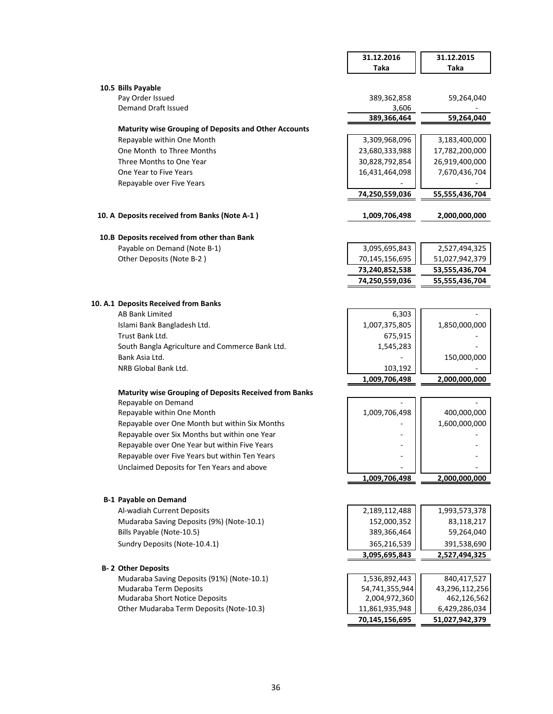|                                                                                                | 31.12.2016           | 31.12.2015     |
|------------------------------------------------------------------------------------------------|----------------------|----------------|
|                                                                                                | <b>Taka</b>          | <b>Taka</b>    |
|                                                                                                |                      |                |
| 10.5 Bills Payable                                                                             |                      |                |
| Pay Order Issued<br>Demand Draft Issued                                                        | 389,362,858<br>3,606 | 59,264,040     |
|                                                                                                | 389,366,464          | 59,264,040     |
| <b>Maturity wise Grouping of Deposits and Other Accounts</b>                                   |                      |                |
| Repayable within One Month                                                                     | 3,309,968,096        | 3,183,400,000  |
| One Month to Three Months                                                                      | 23,680,333,988       | 17,782,200,000 |
| Three Months to One Year                                                                       | 30,828,792,854       | 26,919,400,000 |
| One Year to Five Years                                                                         | 16,431,464,098       | 7,670,436,704  |
| Repayable over Five Years                                                                      |                      |                |
|                                                                                                | 74,250,559,036       | 55,555,436,704 |
| 10. A Deposits received from Banks (Note A-1)                                                  | 1,009,706,498        | 2,000,000,000  |
| 10.B Deposits received from other than Bank                                                    |                      |                |
| Payable on Demand (Note B-1)                                                                   | 3,095,695,843        | 2,527,494,325  |
| Other Deposits (Note B-2)                                                                      | 70,145,156,695       | 51,027,942,379 |
|                                                                                                | 73,240,852,538       | 53,555,436,704 |
|                                                                                                | 74,250,559,036       | 55,555,436,704 |
|                                                                                                |                      |                |
| 10. A.1 Deposits Received from Banks                                                           |                      |                |
| <b>AB Bank Limited</b>                                                                         | 6,303                |                |
| Islami Bank Bangladesh Ltd.                                                                    | 1,007,375,805        | 1,850,000,000  |
| Trust Bank Ltd.                                                                                | 675,915              |                |
| South Bangla Agriculture and Commerce Bank Ltd.                                                | 1,545,283            |                |
| Bank Asia Ltd.                                                                                 |                      | 150,000,000    |
| NRB Global Bank Ltd.                                                                           | 103,192              |                |
|                                                                                                | 1,009,706,498        | 2,000,000,000  |
| <b>Maturity wise Grouping of Deposits Received from Banks</b>                                  |                      |                |
| Repayable on Demand                                                                            |                      |                |
| Repayable within One Month                                                                     | 1,009,706,498        | 400,000,000    |
| Repayable over One Month but within Six Months                                                 |                      | 1,600,000,000  |
| Repayable over Six Months but within one Year<br>Repayable over One Year but within Five Years |                      |                |
| Repayable over Five Years but within Ten Years                                                 |                      |                |
| Unclaimed Deposits for Ten Years and above                                                     |                      |                |
|                                                                                                | 1,009,706,498        | 2,000,000,000  |
|                                                                                                |                      |                |
| <b>B-1 Payable on Demand</b>                                                                   |                      |                |
| Al-wadiah Current Deposits                                                                     | 2,189,112,488        | 1,993,573,378  |
| Mudaraba Saving Deposits (9%) (Note-10.1)                                                      | 152,000,352          | 83,118,217     |
| Bills Payable (Note-10.5)                                                                      | 389,366,464          | 59,264,040     |
| Sundry Deposits (Note-10.4.1)                                                                  | 365,216,539          | 391,538,690    |
|                                                                                                | 3,095,695,843        | 2,527,494,325  |
| <b>B-2 Other Deposits</b>                                                                      |                      |                |
| Mudaraba Saving Deposits (91%) (Note-10.1)                                                     | 1,536,892,443        | 840,417,527    |
| Mudaraba Term Deposits                                                                         | 54,741,355,944       | 43,296,112,256 |
| Mudaraba Short Notice Deposits                                                                 | 2,004,972,360        | 462,126,562    |
| Other Mudaraba Term Deposits (Note-10.3)                                                       | 11,861,935,948       | 6,429,286,034  |
|                                                                                                | 70,145,156,695       | 51,027,942,379 |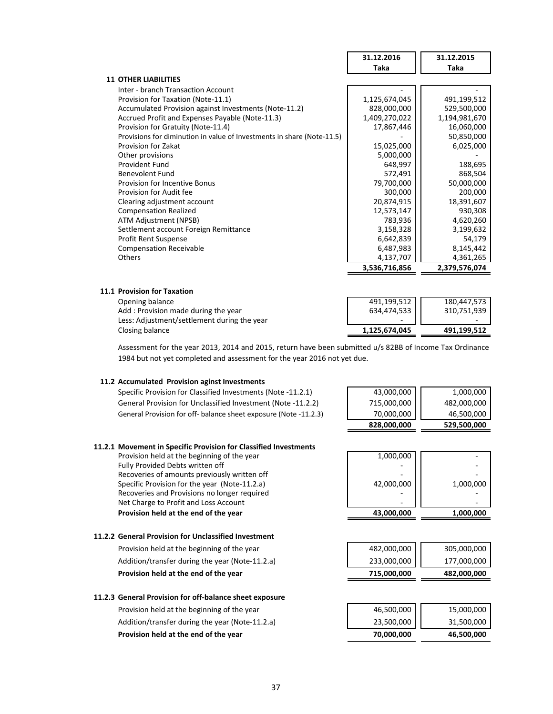|                                                                        | 31.12.2016    | 31.12.2015    |
|------------------------------------------------------------------------|---------------|---------------|
|                                                                        | Taka          | Taka          |
| <b>11 OTHER LIABILITIES</b>                                            |               |               |
| Inter - branch Transaction Account                                     |               |               |
| Provision for Taxation (Note-11.1)                                     | 1,125,674,045 | 491,199,512   |
| Accumulated Provision against Investments (Note-11.2)                  | 828,000,000   | 529,500,000   |
| Accrued Profit and Expenses Payable (Note-11.3)                        | 1,409,270,022 | 1,194,981,670 |
| Provision for Gratuity (Note-11.4)                                     | 17,867,446    | 16,060,000    |
| Provisions for diminution in value of Investments in share (Note-11.5) |               | 50,850,000    |
| Provision for Zakat                                                    | 15,025,000    | 6,025,000     |
| Other provisions                                                       | 5,000,000     |               |
| <b>Provident Fund</b>                                                  | 648,997       | 188,695       |
| Benevolent Fund                                                        | 572,491       | 868,504       |
| <b>Provision for Incentive Bonus</b>                                   | 79,700,000    | 50,000,000    |
| Provision for Audit fee                                                | 300,000       | 200,000       |
| Clearing adjustment account                                            | 20,874,915    | 18,391,607    |
| <b>Compensation Realized</b>                                           | 12,573,147    | 930,308       |
| ATM Adjustment (NPSB)                                                  | 783,936       | 4,620,260     |
| Settlement account Foreign Remittance                                  | 3,158,328     | 3,199,632     |
| <b>Profit Rent Suspense</b>                                            | 6,642,839     | 54,179        |
| <b>Compensation Receivable</b>                                         | 6,487,983     | 8,145,442     |
| <b>Others</b>                                                          | 4,137,707     | 4,361,265     |
|                                                                        | 3,536,716,856 | 2,379,576,074 |
|                                                                        |               |               |

## **11.1 Provision for Taxation**

| Opening balance                             | 491.199.512              | 180.447.573 |
|---------------------------------------------|--------------------------|-------------|
| Add: Provision made during the year         | 634,474,533              | 310,751,939 |
| Less: Adjustment/settlement during the year | $\overline{\phantom{a}}$ |             |
| Closing balance                             | 1.125.674.045            | 491.199.512 |

Assessment for the year 2013, 2014 and 2015, return have been submitted u/s 82BB of Income Tax Ordinance 1984 but not yet completed and assessment for the year 2016 not yet due.

## **11.2 Accumulated Provision aginst Investments**

Specific Provision for Classified Investments (Note -11.2.1) General Provision for Unclassified Investment (Note -11.2.2) General Provision for off- balance sheet exposure (Note -11.2.3)

| 43,000,000  | 1,000,000   |
|-------------|-------------|
| 715,000,000 | 482,000,000 |
| 70,000,000  | 46,500,000  |
| 828,000,000 | 529,500,000 |

### **11.2.1 Movement in Specific Provision for Classified Investments**

Provision held at the beginning of the year Fully Provided Debts written off Recoveries of amounts previously written off Specific Provision for the year (Note-11.2.a) Recoveries and Provisions no longer required Net Charge to Profit and Loss Account Provision held at the end of the year

| 1.000.000   |               |
|-------------|---------------|
| 828,000,000 | 529,500,000   |
| 70,000,000  | 46,500,000    |
|             | $-02,000,000$ |

| 43,000,000 | 1,000,000 |
|------------|-----------|
|            |           |
|            |           |
| 42,000,000 | 1,000,000 |
|            |           |
|            |           |
| 1,000,000  |           |

# **11.2.2 General Provision for Unclassified Investment**

Provision held at the beginning of the year Addition/transfer during the year (Note-11.2.a) Provision held at the end of the year

## **11.2.3 General Provision for off-balance sheet exposure**

Provision held at the beginning of the year Addition/transfer during the year (Note-11.2.a) Provision held at the end of the year

| 715,000,000 | 482,000,000 |
|-------------|-------------|
| 233,000,000 | 177,000,000 |
| 482,000,000 | 305,000,000 |

| 70,000,000 | 46,500,000 |
|------------|------------|
| 23,500,000 | 31,500,000 |
| 46,500,000 | 15,000,000 |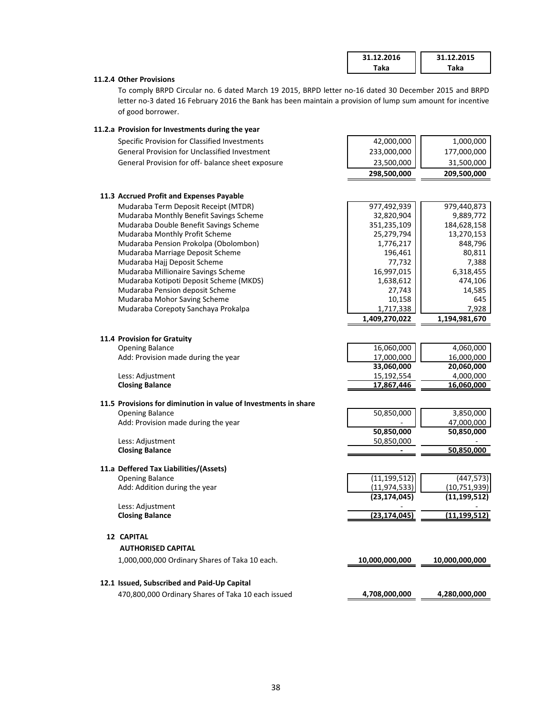| 31.12.2016 | 31.12.2015 |
|------------|------------|
| aka        | Гаkа       |

## **11.2.4 Other Provisions**

To comply BRPD Circular no. 6 dated March 19 2015, BRPD letter no-16 dated 30 December 2015 and BRPD letter no-3 dated 16 February 2016 the Bank has been maintain a provision of lump sum amount for incentive of good borrower.

## **11.2.a Provision for Investments during the year**

| Specific Provision for Classified Investments                           | 42,000,000               | 1,000,000               |
|-------------------------------------------------------------------------|--------------------------|-------------------------|
| <b>General Provision for Unclassified Investment</b>                    | 233,000,000              | 177,000,000             |
| General Provision for off- balance sheet exposure                       | 23,500,000               | 31,500,000              |
|                                                                         | 298,500,000              | 209,500,000             |
|                                                                         |                          |                         |
| 11.3 Accrued Profit and Expenses Payable                                |                          |                         |
| Mudaraba Term Deposit Receipt (MTDR)                                    | 977,492,939              | 979,440,873             |
| Mudaraba Monthly Benefit Savings Scheme                                 | 32,820,904               | 9,889,772               |
| Mudaraba Double Benefit Savings Scheme                                  | 351,235,109              | 184,628,158             |
| Mudaraba Monthly Profit Scheme<br>Mudaraba Pension Prokolpa (Obolombon) | 25,279,794<br>1,776,217  | 13,270,153<br>848,796   |
| Mudaraba Marriage Deposit Scheme                                        | 196,461                  | 80,811                  |
| Mudaraba Hajj Deposit Scheme                                            | 77,732                   | 7,388                   |
| Mudaraba Millionaire Savings Scheme                                     | 16,997,015               | 6,318,455               |
| Mudaraba Kotipoti Deposit Scheme (MKDS)                                 | 1,638,612                | 474,106                 |
| Mudaraba Pension deposit Scheme                                         | 27,743                   | 14,585                  |
| Mudaraba Mohor Saving Scheme                                            | 10,158                   | 645                     |
| Mudaraba Corepoty Sanchaya Prokalpa                                     | 1,717,338                | 7,928                   |
|                                                                         | 1,409,270,022            | 1,194,981,670           |
|                                                                         |                          |                         |
| 11.4 Provision for Gratuity                                             |                          |                         |
| <b>Opening Balance</b><br>Add: Provision made during the year           | 16,060,000<br>17,000,000 | 4,060,000<br>16,000,000 |
|                                                                         | 33,060,000               | 20,060,000              |
| Less: Adjustment                                                        | 15,192,554               | 4,000,000               |
| <b>Closing Balance</b>                                                  | 17,867,446               | 16,060,000              |
|                                                                         |                          |                         |
| 11.5 Provisions for diminution in value of Investments in share         |                          |                         |
| <b>Opening Balance</b>                                                  | 50,850,000               | 3,850,000               |
| Add: Provision made during the year                                     |                          | 47,000,000              |
|                                                                         | 50,850,000               | 50,850,000              |
| Less: Adjustment<br><b>Closing Balance</b>                              | 50,850,000               | 50,850,000              |
|                                                                         |                          |                         |
| 11.a Deffered Tax Liabilities/(Assets)                                  |                          |                         |
| <b>Opening Balance</b>                                                  | (11, 199, 512)           | (447, 573)              |
| Add: Addition during the year                                           | (11, 974, 533)           | (10, 751, 939)          |
|                                                                         | (23, 174, 045)           | (11, 199, 512)          |
| Less: Adjustment<br><b>Closing Balance</b>                              | (23, 174, 045)           | (11, 199, 512)          |
|                                                                         |                          |                         |
| <b>12 CAPITAL</b>                                                       |                          |                         |
| <b>AUTHORISED CAPITAL</b>                                               |                          |                         |
| 1,000,000,000 Ordinary Shares of Taka 10 each.                          | 10,000,000,000           | 10,000,000,000          |
|                                                                         |                          |                         |
| 12.1 Issued, Subscribed and Paid-Up Capital                             |                          |                         |
| 470,800,000 Ordinary Shares of Taka 10 each issued                      | 4,708,000,000            | 4,280,000,000           |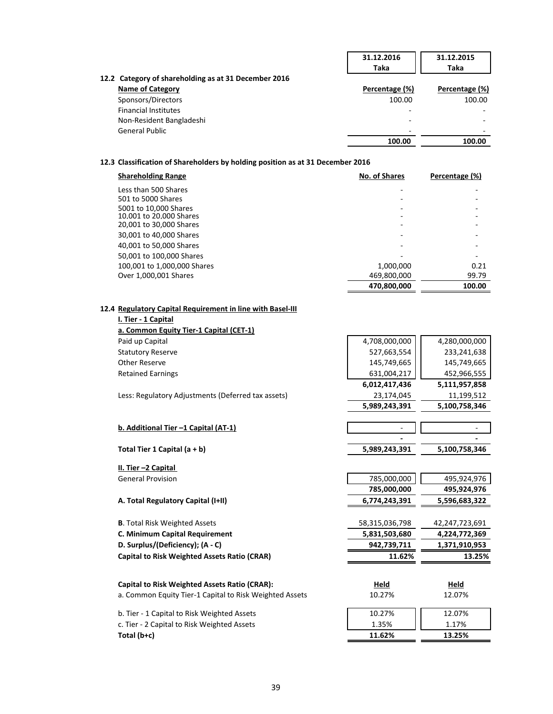|                                                      | 31.12.2016     | 31.12.2015     |
|------------------------------------------------------|----------------|----------------|
|                                                      | Taka           | Taka           |
| 12.2 Category of shareholding as at 31 December 2016 |                |                |
| <b>Name of Category</b>                              | Percentage (%) | Percentage (%) |
| Sponsors/Directors                                   | 100.00         | 100.00         |
| <b>Financial Institutes</b>                          |                |                |
| Non-Resident Bangladeshi                             | -              | -              |
| <b>General Public</b>                                |                |                |
|                                                      | 100.00         | 100.00         |

# **12.3 Classification of Shareholders by holding position as at 31 December 2016**

| <b>Shareholding Range</b>   | No. of Shares | Percentage (%) |
|-----------------------------|---------------|----------------|
| Less than 500 Shares        |               |                |
| 501 to 5000 Shares          |               |                |
| 5001 to 10,000 Shares       |               |                |
| 10.001 to 20.000 Shares     |               |                |
| 20,001 to 30,000 Shares     |               |                |
| 30,001 to 40,000 Shares     |               |                |
| 40,001 to 50,000 Shares     |               |                |
| 50,001 to 100,000 Shares    |               |                |
| 100,001 to 1,000,000 Shares | 1,000,000     | 0.21           |
| Over 1,000,001 Shares       | 469,800,000   | 99.79          |
|                             | 470,800,000   | 100.00         |

# **12.4 Regulatory Capital Requirement in line with Basel-III**

| I. Tier - 1 Capital                                     |                |                |
|---------------------------------------------------------|----------------|----------------|
| a. Common Equity Tier-1 Capital (CET-1)                 |                |                |
| Paid up Capital                                         | 4,708,000,000  | 4,280,000,000  |
| <b>Statutory Reserve</b>                                | 527,663,554    | 233,241,638    |
| <b>Other Reserve</b>                                    | 145,749,665    | 145,749,665    |
| <b>Retained Earnings</b>                                | 631,004,217    | 452,966,555    |
|                                                         | 6,012,417,436  | 5,111,957,858  |
| Less: Regulatory Adjustments (Deferred tax assets)      | 23,174,045     | 11,199,512     |
|                                                         | 5,989,243,391  | 5,100,758,346  |
| b. Additional Tier -1 Capital (AT-1)                    |                |                |
|                                                         |                |                |
| Total Tier 1 Capital $(a + b)$                          | 5,989,243,391  | 5,100,758,346  |
| II. Tier -2 Capital                                     |                |                |
| <b>General Provision</b>                                | 785,000,000    | 495,924,976    |
|                                                         | 785,000,000    | 495,924,976    |
| A. Total Regulatory Capital (I+II)                      | 6,774,243,391  | 5,596,683,322  |
| <b>B.</b> Total Risk Weighted Assets                    | 58,315,036,798 | 42,247,723,691 |
| C. Minimum Capital Requirement                          | 5,831,503,680  | 4,224,772,369  |
| D. Surplus/(Deficiency); (A - C)                        | 942,739,711    | 1,371,910,953  |
| <b>Capital to Risk Weighted Assets Ratio (CRAR)</b>     | 11.62%         | 13.25%         |
| <b>Capital to Risk Weighted Assets Ratio (CRAR):</b>    | Held           | Held           |
|                                                         |                |                |
| a. Common Equity Tier-1 Capital to Risk Weighted Assets | 10.27%         | 12.07%         |
| b. Tier - 1 Capital to Risk Weighted Assets             | 10.27%         | 12.07%         |
| c. Tier - 2 Capital to Risk Weighted Assets             | 1.35%          | 1.17%          |
| Total (b+c)                                             | 11.62%         | 13.25%         |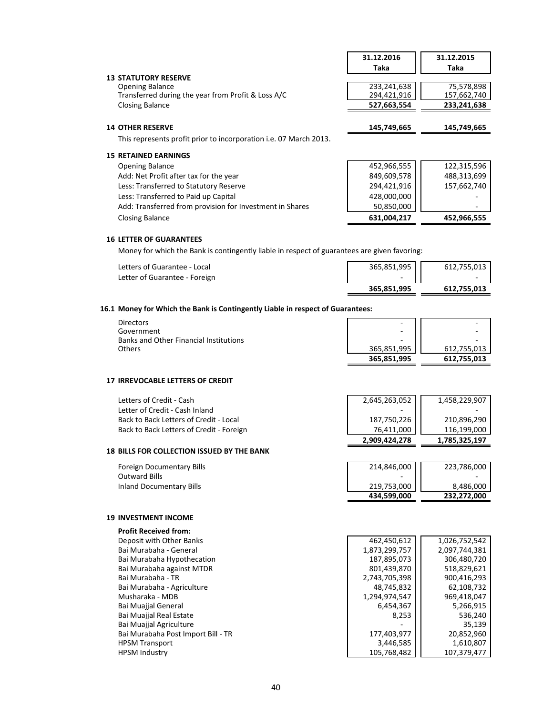|                                                                          | 31.12.2016  | 31.12.2015  |
|--------------------------------------------------------------------------|-------------|-------------|
|                                                                          | Taka        | Taka        |
| <b>13 STATUTORY RESERVE</b>                                              |             |             |
| <b>Opening Balance</b>                                                   | 233,241,638 | 75,578,898  |
| Transferred during the year from Profit & Loss A/C                       | 294,421,916 | 157,662,740 |
| <b>Closing Balance</b>                                                   | 527,663,554 | 233,241,638 |
|                                                                          |             |             |
| <b>14 OTHER RESERVE</b>                                                  | 145,749,665 | 145,749,665 |
| This represents profit prior to incorporation <i>i.e.</i> 07 March 2013. |             |             |
| <b>15 RETAINED EARNINGS</b>                                              |             |             |
| <b>Opening Balance</b>                                                   | 452,966,555 | 122,315,596 |
| Add: Net Profit after tax for the year                                   | 849,609,578 | 488,313,699 |
| Less: Transferred to Statutory Reserve                                   | 294,421,916 | 157,662,740 |
| Less: Transferred to Paid up Capital                                     | 428,000,000 |             |
| Add: Transferred from provision for Investment in Shares                 | 50,850,000  |             |
| <b>Closing Balance</b>                                                   | 631,004,217 | 452,966,555 |

## **16 LETTER OF GUARANTEES**

Money for which the Bank is contingently liable in respect of guarantees are given favoring:

| Letters of Guarantee - Local  | 365,851,995 | 612,755,013              |
|-------------------------------|-------------|--------------------------|
| Letter of Guarantee - Foreign |             | $\overline{\phantom{a}}$ |
|                               | 365.851.995 | 612,755,013              |

## **16.1 Money for Which the Bank is Contingently Liable in respect of Guarantees:**

| <b>Directors</b>                              | $\overline{\phantom{a}}$ | -                        |
|-----------------------------------------------|--------------------------|--------------------------|
| Government                                    | $\overline{\phantom{0}}$ | $\overline{\phantom{0}}$ |
| <b>Banks and Other Financial Institutions</b> | -                        |                          |
| <b>Others</b>                                 | 365.851.995              | 612,755,013              |
|                                               | 365,851,995              | 612,755,013              |

### **17 IRREVOCABLE LETTERS OF CREDIT**

| Letters of Credit - Cash                 | 2,645,263,052 | 1,458,229,907 |
|------------------------------------------|---------------|---------------|
| Letter of Credit - Cash Inland           |               |               |
| Back to Back Letters of Credit - Local   | 187,750,226   | 210,896,290   |
| Back to Back Letters of Credit - Foreign | 76.411.000    | 116.199.000   |
|                                          | 2,909,424,278 | 1,785,325,197 |

# **18 BILLS FOR COLLECTION ISSUED BY THE BANK**

| Foreign Documentary Bills | 214,846,000 | 223,786,000 |
|---------------------------|-------------|-------------|
| Outward Bills             |             |             |
| Inland Documentary Bills  | 219,753,000 | 8.486.000   |
|                           | 434,599,000 | 232.272.000 |

# **19 INVESTMENT INCOME**

| <b>Profit Received from:</b>       |               |               |
|------------------------------------|---------------|---------------|
| Deposit with Other Banks           | 462,450,612   | 1,026,752,542 |
| Bai Murabaha - General             | 1,873,299,757 | 2,097,744,381 |
| Bai Murabaha Hypothecation         | 187,895,073   | 306,480,720   |
| Bai Murabaha against MTDR          | 801,439,870   | 518,829,621   |
| Bai Murabaha - TR                  | 2.743.705.398 | 900.416.293   |
| Bai Murabaha - Agriculture         | 48,745,832    | 62,108,732    |
| Musharaka - MDB                    | 1,294,974,547 | 969,418,047   |
| <b>Bai Muajial General</b>         | 6,454,367     | 5,266,915     |
| <b>Bai Muajial Real Estate</b>     | 8,253         | 536,240       |
| Bai Muajjal Agriculture            |               | 35,139        |
| Bai Murabaha Post Import Bill - TR | 177,403,977   | 20,852,960    |
| <b>HPSM Transport</b>              | 3,446,585     | 1,610,807     |
| <b>HPSM Industry</b>               | 105,768,482   | 107.379.477   |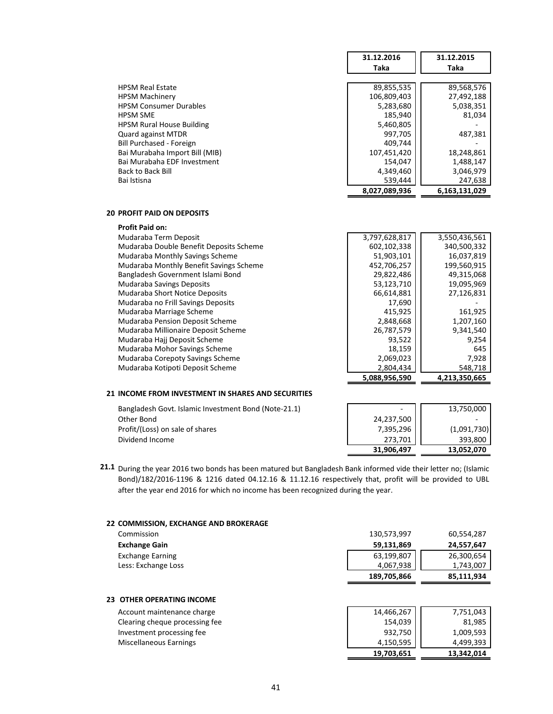|                                  | 31.12.2016    | 31.12.2015    |
|----------------------------------|---------------|---------------|
|                                  | Taka          | Taka          |
|                                  |               |               |
| <b>HPSM Real Estate</b>          | 89,855,535    | 89,568,576    |
| <b>HPSM Machinery</b>            | 106,809,403   | 27,492,188    |
| <b>HPSM Consumer Durables</b>    | 5,283,680     | 5,038,351     |
| <b>HPSM SME</b>                  | 185,940       | 81,034        |
| <b>HPSM Rural House Building</b> | 5,460,805     |               |
| <b>Quard against MTDR</b>        | 997,705       | 487,381       |
| Bill Purchased - Foreign         | 409,744       |               |
| Bai Murabaha Import Bill (MIB)   | 107,451,420   | 18,248,861    |
| Bai Murabaha EDF Investment      | 154.047       | 1,488,147     |
| <b>Back to Back Bill</b>         | 4,349,460     | 3,046,979     |
| Bai Istisna                      | 539,444       | 247,638       |
|                                  | 8,027,089,936 | 6,163,131,029 |
|                                  |               |               |

## **20 PROFIT PAID ON DEPOSITS**

| <b>Profit Paid on:</b>                  |               |               |
|-----------------------------------------|---------------|---------------|
| Mudaraba Term Deposit                   | 3,797,628,817 | 3,550,436,561 |
| Mudaraba Double Benefit Deposits Scheme | 602,102,338   | 340,500,332   |
| Mudaraba Monthly Savings Scheme         | 51,903,101    | 16,037,819    |
| Mudaraba Monthly Benefit Savings Scheme | 452,706,257   | 199,560,915   |
| Bangladesh Government Islami Bond       | 29,822,486    | 49,315,068    |
| <b>Mudaraba Savings Deposits</b>        | 53,123,710    | 19,095,969    |
| Mudaraba Short Notice Deposits          | 66,614,881    | 27,126,831    |
| Mudaraba no Frill Savings Deposits      | 17,690        |               |
| Mudaraba Marriage Scheme                | 415,925       | 161,925       |
| Mudaraba Pension Deposit Scheme         | 2,848,668     | 1,207,160     |
| Mudaraba Millionaire Deposit Scheme     | 26,787,579    | 9,341,540     |
| Mudaraba Hajj Deposit Scheme            | 93,522        | 9,254         |
| Mudaraba Mohor Savings Scheme           | 18,159        | 645           |
| Mudaraba Corepoty Savings Scheme        | 2,069,023     | 7,928         |
| Mudaraba Kotipoti Deposit Scheme        | 2,804,434     | 548,718       |
|                                         | 5.088.956.590 | 4,213,350,665 |

## **21 INCOME FROM INVESTMENT IN SHARES AND SECURITIES**

Bangladesh Govt. Islamic Investment Bond (Note-21.1) Other Bond 24,237,500 - Profit/(Loss) on sale of shares Dividend Income

| 273,701<br>31,906,497 | 393,800<br>13,052,070 |
|-----------------------|-----------------------|
| 7,395,296             | (1,091,730)           |
| 24,237,500            | 13,750,000            |

**21.1** During the year 2016 two bonds has been matured but Bangladesh Bank informed vide their letter no; (Islamic Bond)/182/2016-1196 & 1216 dated 04.12.16 & 11.12.16 respectively that, profit will be provided to UBL after the year end 2016 for which no income has been recognized during the year.

### **22 COMMISSION, EXCHANGE AND BROKERAGE**

| Commission              | 130,573,997 | 60,554,287 |
|-------------------------|-------------|------------|
| <b>Exchange Gain</b>    | 59,131,869  | 24,557,647 |
| <b>Exchange Earning</b> | 63,199,807  | 26,300,654 |
| Less: Exchange Loss     | 4.067.938   | 1,743,007  |
|                         | 189,705,866 | 85,111,934 |

# **23 OTHER OPERATING INCOME**

Account maintenance charge Clearing cheque processing fee Investment processing fee Miscellaneous Earnings

|                       | 7,751,043  |
|-----------------------|------------|
| 14,466,267<br>154,039 | 81,985     |
| 932,750               | 1,009,593  |
| 4,150,595             | 4,499,393  |
| 19,703,651            | 13,342,014 |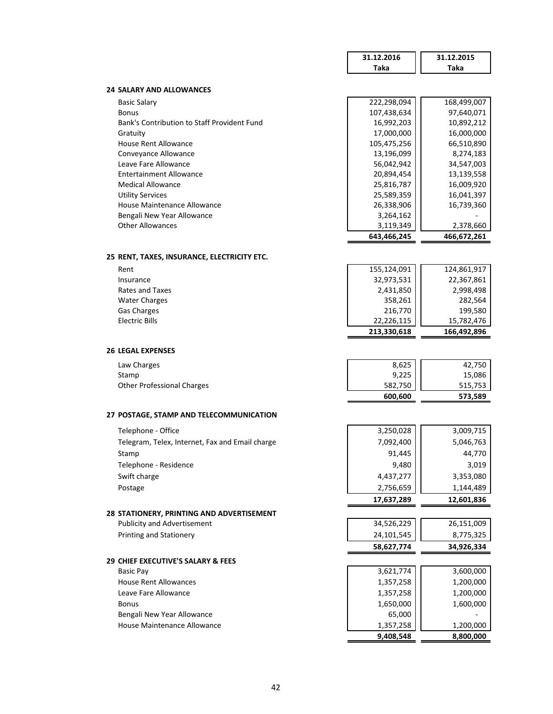|                                                 | 31.12.2016  | 31.12.2015  |
|-------------------------------------------------|-------------|-------------|
|                                                 | Taka        | Taka        |
| <b>24 SALARY AND ALLOWANCES</b>                 |             |             |
| <b>Basic Salary</b>                             | 222,298,094 | 168,499,007 |
| <b>Bonus</b>                                    | 107,438,634 | 97,640,071  |
| Bank's Contribution to Staff Provident Fund     | 16,992,203  | 10,892,212  |
| Gratuity                                        | 17,000,000  | 16,000,000  |
| <b>House Rent Allowance</b>                     | 105,475,256 | 66,510,890  |
| Convevance Allowance                            | 13,196,099  | 8,274,183   |
| Leave Fare Allowance                            | 56,042,942  | 34,547,003  |
| <b>Entertainment Allowance</b>                  | 20,894,454  | 13,139,558  |
| <b>Medical Allowance</b>                        | 25,816,787  | 16,009,920  |
| <b>Utility Services</b>                         | 25,589,359  | 16,041,397  |
| House Maintenance Allowance                     | 26,338,906  | 16,739,360  |
| Bengali New Year Allowance                      | 3,264,162   |             |
| <b>Other Allowances</b>                         | 3,119,349   | 2,378,660   |
|                                                 | 643,466,245 | 466,672,261 |
| 25 RENT, TAXES, INSURANCE, ELECTRICITY ETC.     |             |             |
| Rent                                            | 155,124,091 | 124,861,917 |
| Insurance                                       | 32,973,531  | 22,367,861  |
| Rates and Taxes                                 | 2,431,850   | 2,998,498   |
| <b>Water Charges</b>                            | 358,261     | 282,564     |
| Gas Charges                                     | 216,770     | 199,580     |
| <b>Electric Bills</b>                           | 22,226,115  | 15,782,476  |
|                                                 | 213,330,618 | 166,492,896 |
| <b>26 LEGAL EXPENSES</b>                        |             |             |
| Law Charges                                     | 8,625       | 42,750      |
| Stamp                                           | 9,225       | 15,086      |
| <b>Other Professional Charges</b>               | 582,750     | 515,753     |
|                                                 | 600,600     | 573,589     |
| 27 POSTAGE, STAMP AND TELECOMMUNICATION         |             |             |
| Telephone - Office                              | 3,250,028   | 3,009,715   |
| Telegram, Telex, Internet, Fax and Email charge | 7,092,400   | 5,046,763   |
| Stamp                                           | 91,445      | 44.770      |
| Telephone - Residence                           | 9,480       | 3,019       |
| Swift charge                                    | 4,437,277   | 3,353,080   |
| Postage                                         | 2,756,659   | 1,144,489   |
|                                                 | 17,637,289  | 12,601,836  |
| 28 STATIONERY, PRINTING AND ADVERTISEMENT       |             |             |
| <b>Publicity and Advertisement</b>              | 34,526,229  | 26,151,009  |
| <b>Printing and Stationery</b>                  | 24,101,545  | 8,775,325   |
|                                                 | 58,627,774  | 34,926,334  |
| 29 CHIEF EXECUTIVE'S SALARY & FEES              |             |             |
| <b>Basic Pay</b>                                | 3,621,774   | 3,600,000   |
| <b>House Rent Allowances</b>                    | 1,357,258   | 1,200,000   |
| Leave Fare Allowance                            | 1,357,258   | 1,200,000   |
| <b>Bonus</b>                                    | 1,650,000   | 1,600,000   |
| Bengali New Year Allowance                      | 65,000      |             |
| House Maintenance Allowance                     | 1,357,258   | 1,200,000   |
|                                                 | 9,408,548   | 8,800,000   |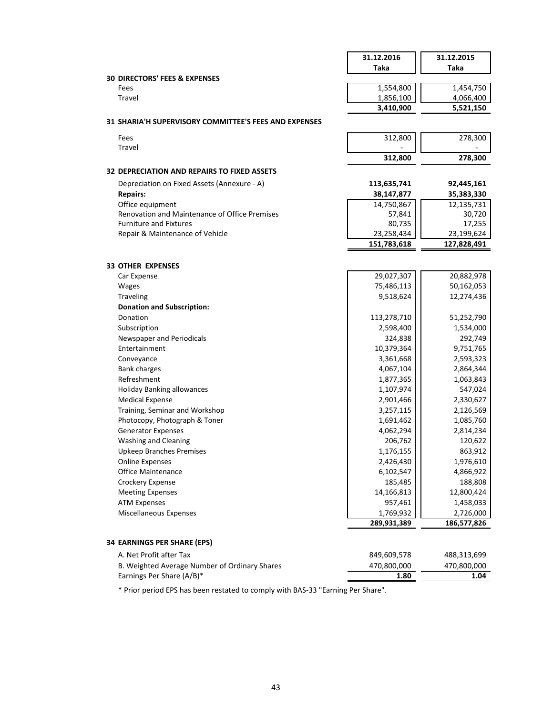|                                                                                | 31.12.2016       | 31.12.2015           |
|--------------------------------------------------------------------------------|------------------|----------------------|
|                                                                                | Taka             | <b>Taka</b>          |
| <b>30 DIRECTORS' FEES &amp; EXPENSES</b>                                       |                  |                      |
| Fees                                                                           | 1,554,800        | 1,454,750            |
| Travel                                                                         | 1,856,100        | 4,066,400            |
|                                                                                | 3,410,900        | 5,521,150            |
| 31 SHARIA'H SUPERVISORY COMMITTEE'S FEES AND EXPENSES                          |                  |                      |
| Fees                                                                           | 312,800          | 278,300              |
| Travel                                                                         |                  |                      |
|                                                                                | 312,800          | 278,300              |
| <b>32 DEPRECIATION AND REPAIRS TO FIXED ASSETS</b>                             |                  |                      |
|                                                                                |                  |                      |
| Depreciation on Fixed Assets (Annexure - A)                                    | 113,635,741      | 92,445,161           |
| <b>Repairs:</b>                                                                | 38,147,877       | 35,383,330           |
| Office equipment                                                               | 14,750,867       | 12,135,731           |
| Renovation and Maintenance of Office Premises<br><b>Furniture and Fixtures</b> | 57,841<br>80,735 | 30,720               |
| Repair & Maintenance of Vehicle                                                | 23,258,434       | 17,255<br>23,199,624 |
|                                                                                | 151,783,618      | 127,828,491          |
|                                                                                |                  |                      |
| <b>33 OTHER EXPENSES</b>                                                       |                  |                      |
| Car Expense                                                                    | 29,027,307       | 20,882,978           |
| Wages                                                                          | 75,486,113       | 50,162,053           |
| Traveling                                                                      | 9,518,624        | 12,274,436           |
| <b>Donation and Subscription:</b>                                              |                  |                      |
| Donation                                                                       | 113,278,710      | 51,252,790           |
| Subscription                                                                   | 2,598,400        | 1,534,000            |
| Newspaper and Periodicals                                                      | 324,838          | 292,749              |
| Entertainment                                                                  | 10,379,364       | 9,751,765            |
| Conveyance                                                                     | 3,361,668        | 2,593,323            |
| <b>Bank charges</b>                                                            | 4,067,104        | 2,864,344            |
| Refreshment                                                                    | 1,877,365        | 1,063,843            |
| <b>Holiday Banking allowances</b>                                              | 1,107,974        | 547,024              |
| <b>Medical Expense</b>                                                         | 2,901,466        | 2,330,627            |
| Training, Seminar and Workshop                                                 | 3,257,115        | 2,126,569            |
| Photocopy, Photograph & Toner                                                  | 1,691,462        | 1,085,760            |
| <b>Generator Expenses</b>                                                      | 4,062,294        | 2,814,234            |
| <b>Washing and Cleaning</b>                                                    | 206,762          | 120,622              |
| <b>Upkeep Branches Premises</b>                                                | 1,176,155        | 863,912              |
| <b>Online Expenses</b>                                                         | 2,426,430        | 1,976,610            |
| <b>Office Maintenance</b>                                                      | 6,102,547        | 4,866,922            |
| Crockery Expense                                                               | 185,485          | 188,808              |
| <b>Meeting Expenses</b>                                                        | 14,166,813       | 12,800,424           |
| <b>ATM Expenses</b>                                                            | 957,461          | 1,458,033            |
| Miscellaneous Expenses                                                         | 1,769,932        | 2,726,000            |
|                                                                                | 289,931,389      | 186,577,826          |
|                                                                                |                  |                      |
| <b>34 EARNINGS PER SHARE (EPS)</b>                                             |                  |                      |
| A. Net Profit after Tax                                                        | 849,609,578      | 488,313,699          |
| B. Weighted Average Number of Ordinary Shares                                  | 470,800,000      | 470,800,000          |

\* Prior period EPS has been restated to comply with BAS-33 "Earning Per Share".

Earnings Per Share (A/B)\* **1.04 1.80**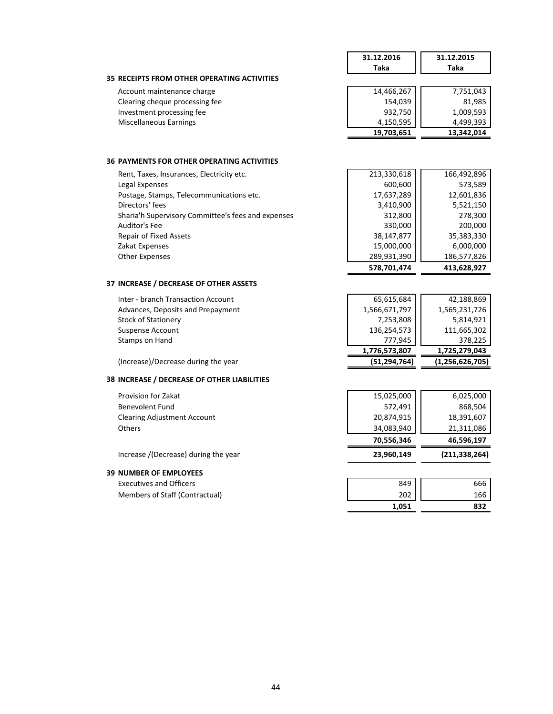|                                                    | 31.12.2016    | 31.12.2015         |
|----------------------------------------------------|---------------|--------------------|
|                                                    | Taka          | Taka               |
| <b>35 RECEIPTS FROM OTHER OPERATING ACTIVITIES</b> |               |                    |
| Account maintenance charge                         | 14,466,267    | 7,751,043          |
| Clearing cheque processing fee                     | 154,039       | 81,985             |
| Investment processing fee                          | 932,750       | 1,009,593          |
| Miscellaneous Earnings                             | 4,150,595     | 4,499,393          |
|                                                    | 19,703,651    | 13,342,014         |
| <b>36 PAYMENTS FOR OTHER OPERATING ACTIVITIES</b>  |               |                    |
| Rent, Taxes, Insurances, Electricity etc.          | 213,330,618   | 166,492,896        |
| Legal Expenses                                     | 600,600       | 573,589            |
| Postage, Stamps, Telecommunications etc.           | 17,637,289    | 12,601,836         |
| Directors' fees                                    | 3,410,900     | 5,521,150          |
| Sharia'h Supervisory Committee's fees and expenses | 312,800       | 278,300            |
| Auditor's Fee                                      | 330,000       | 200,000            |
| <b>Repair of Fixed Assets</b>                      | 38,147,877    | 35,383,330         |
| Zakat Expenses                                     | 15,000,000    | 6,000,000          |
| <b>Other Expenses</b>                              | 289,931,390   | 186,577,826        |
|                                                    | 578,701,474   | 413,628,927        |
| 37 INCREASE / DECREASE OF OTHER ASSETS             |               |                    |
| Inter - branch Transaction Account                 | 65,615,684    | 42,188,869         |
| Advances, Deposits and Prepayment                  | 1,566,671,797 | 1,565,231,726      |
| <b>Stock of Stationery</b>                         | 7,253,808     | 5,814,921          |
| <b>Suspense Account</b>                            | 136,254,573   | 111,665,302        |
| Stamps on Hand                                     | 777,945       | 378,225            |
|                                                    | 1,776,573,807 | 1,725,279,043      |
| (Increase)/Decrease during the year                | (51,294,764)  | (1, 256, 626, 705) |
| 38 INCREASE / DECREASE OF OTHER LIABILITIES        |               |                    |
| <b>Provision for Zakat</b>                         | 15,025,000    | 6,025,000          |
| <b>Benevolent Fund</b>                             | 572,491       | 868,504            |
| <b>Clearing Adjustment Account</b>                 | 20,874,915    | 18,391,607         |
| Others                                             | 34,083,940    | 21,311,086         |
|                                                    | 70,556,346    | 46,596,197         |
| Increase ((Decrease) during the year               | 23,960,149    | (211, 338, 264)    |
| <b>39 NUMBER OF EMPLOYEES</b>                      |               |                    |
| <b>Executives and Officers</b>                     | 849           | 666                |
| Members of Staff (Contractual)                     | 202           | 166                |
|                                                    | 1,051         | 832                |
|                                                    |               |                    |

## 44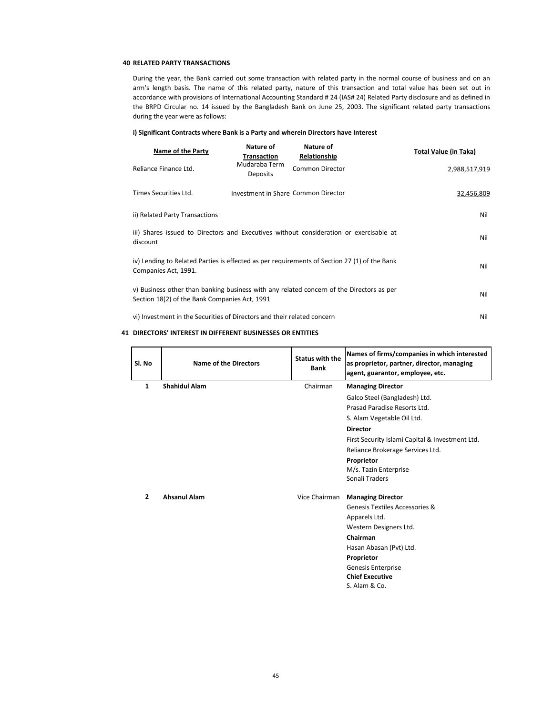### **40 RELATED PARTY TRANSACTIONS**

During the year, the Bank carried out some transaction with related party in the normal course of business and on an arm's length basis. The name of this related party, nature of this transaction and total value has been set out in accordance with provisions of International Accounting Standard # 24 (IAS# 24) Related Party disclosure and as defined in the BRPD Circular no. 14 issued by the Bangladesh Bank on June 25, 2003. The significant related party transactions during the year were as follows:

### **i) Significant Contracts where Bank is a Party and wherein Directors have Interest**

| Name of the Party                                                                                                                         | Nature of<br><b>Transaction</b>     | Nature of<br>Relationship | Total Value (in Taka) |
|-------------------------------------------------------------------------------------------------------------------------------------------|-------------------------------------|---------------------------|-----------------------|
| Reliance Finance Ltd.                                                                                                                     | Mudaraba Term<br><b>Deposits</b>    | <b>Common Director</b>    | 2,988,517,919         |
| Times Securities Ltd.                                                                                                                     | Investment in Share Common Director |                           | 32,456,809            |
| ii) Related Party Transactions                                                                                                            | Nil                                 |                           |                       |
| iii) Shares issued to Directors and Executives without consideration or exercisable at<br>discount                                        | Nil                                 |                           |                       |
| iv) Lending to Related Parties is effected as per requirements of Section 27 (1) of the Bank<br>Companies Act, 1991.                      | Nil                                 |                           |                       |
| v) Business other than banking business with any related concern of the Directors as per<br>Section 18(2) of the Bank Companies Act, 1991 | Nil                                 |                           |                       |
| vi) Investment in the Securities of Directors and their related concern                                                                   |                                     |                           | Nil                   |

## **41 DIRECTORS' INTEREST IN DIFFERENT BUSINESSES OR ENTITIES**

| SI. No         | <b>Name of the Directors</b> | Status with the<br><b>Bank</b> | Names of firms/companies in which interested<br>as proprietor, partner, director, managing<br>agent, guarantor, employee, etc. |
|----------------|------------------------------|--------------------------------|--------------------------------------------------------------------------------------------------------------------------------|
| $\mathbf{1}$   | <b>Shahidul Alam</b>         | Chairman                       | <b>Managing Director</b>                                                                                                       |
|                |                              |                                | Galco Steel (Bangladesh) Ltd.                                                                                                  |
|                |                              |                                | Prasad Paradise Resorts Ltd.                                                                                                   |
|                |                              |                                | S. Alam Vegetable Oil Ltd.                                                                                                     |
|                |                              |                                | <b>Director</b>                                                                                                                |
|                |                              |                                | First Security Islami Capital & Investment Ltd.                                                                                |
|                |                              |                                | Reliance Brokerage Services Ltd.                                                                                               |
|                |                              |                                | Proprietor                                                                                                                     |
|                |                              |                                | M/s. Tazin Enterprise                                                                                                          |
|                |                              |                                | Sonali Traders                                                                                                                 |
| $\overline{2}$ | <b>Ahsanul Alam</b>          | Vice Chairman                  | <b>Managing Director</b>                                                                                                       |
|                |                              |                                | Genesis Textiles Accessories &                                                                                                 |
|                |                              |                                | Apparels Ltd.                                                                                                                  |
|                |                              |                                | Western Designers Ltd.                                                                                                         |
|                |                              |                                | Chairman                                                                                                                       |
|                |                              |                                | Hasan Abasan (Pvt) Ltd.                                                                                                        |
|                |                              |                                | Proprietor                                                                                                                     |
|                |                              |                                | <b>Genesis Enterprise</b>                                                                                                      |
|                |                              |                                | <b>Chief Executive</b>                                                                                                         |
|                |                              |                                | S. Alam & Co.                                                                                                                  |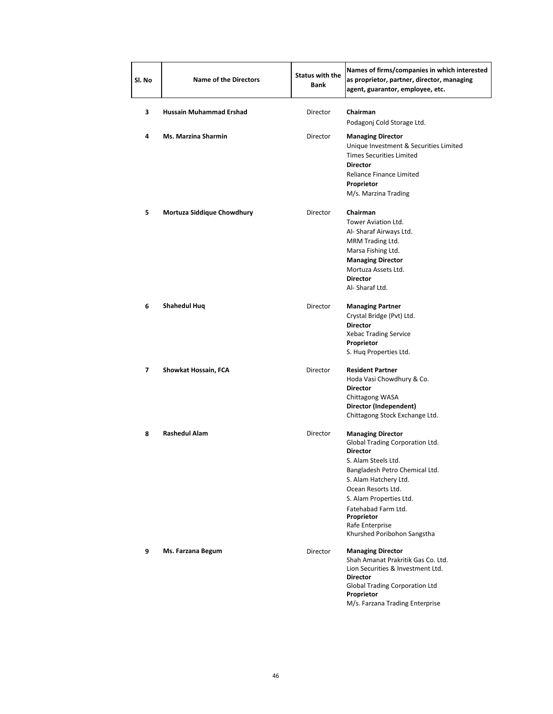| Sl. No | <b>Name of the Directors</b>   | <b>Status with the</b><br>Bank | Names of firms/companies in which interested<br>as proprietor, partner, director, managing<br>agent, guarantor, employee, etc.                                                                                                                                                                           |  |  |
|--------|--------------------------------|--------------------------------|----------------------------------------------------------------------------------------------------------------------------------------------------------------------------------------------------------------------------------------------------------------------------------------------------------|--|--|
| з      | <b>Hussain Muhammad Ershad</b> | Director                       | Chairman<br>Podagonj Cold Storage Ltd.                                                                                                                                                                                                                                                                   |  |  |
| 4      | <b>Ms. Marzina Sharmin</b>     | Director                       | <b>Managing Director</b><br>Unique Investment & Securities Limited<br><b>Times Securities Limited</b><br><b>Director</b><br>Reliance Finance Limited<br>Proprietor<br>M/s. Marzina Trading                                                                                                               |  |  |
| 5      | Mortuza Siddique Chowdhury     | Director                       | <b>Chairman</b><br>Tower Aviation Ltd.<br>Al- Sharaf Airways Ltd.<br>MRM Trading Ltd.<br>Marsa Fishing Ltd.<br><b>Managing Director</b><br>Mortuza Assets Ltd.<br><b>Director</b><br>Al-Sharaf Ltd.                                                                                                      |  |  |
| 6      | Shahedul Huq                   | Director                       | <b>Managing Partner</b><br>Crystal Bridge (Pvt) Ltd.<br><b>Director</b><br><b>Xebac Trading Service</b><br>Proprietor<br>S. Hug Properties Ltd.                                                                                                                                                          |  |  |
| 7      | Showkat Hossain, FCA           | Director                       | <b>Resident Partner</b><br>Hoda Vasi Chowdhury & Co.<br><b>Director</b><br>Chittagong WASA<br>Director (Independent)<br>Chittagong Stock Exchange Ltd.                                                                                                                                                   |  |  |
| 8      | <b>Rashedul Alam</b>           | Director                       | <b>Managing Director</b><br>Global Trading Corporation Ltd.<br><b>Director</b><br>S. Alam Steels Ltd.<br>Bangladesh Petro Chemical Ltd.<br>S. Alam Hatchery Ltd.<br>Ocean Resorts Ltd.<br>S. Alam Properties Ltd.<br>Fatehabad Farm Ltd.<br>Proprietor<br>Rafe Enterprise<br>Khurshed Poribohon Sangstha |  |  |
| 9      | Ms. Farzana Begum              | Director                       | <b>Managing Director</b><br>Shah Amanat Prakritik Gas Co. Ltd.<br>Lion Securities & Investment Ltd.<br><b>Director</b><br>Global Trading Corporation Ltd<br>Proprietor<br>M/s. Farzana Trading Enterprise                                                                                                |  |  |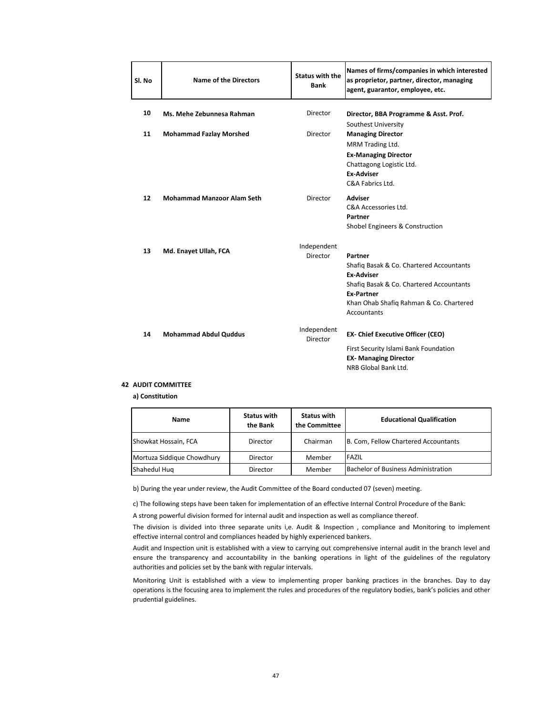| Sl. No | <b>Name of the Directors</b>      | <b>Status with the</b><br><b>Bank</b> | Names of firms/companies in which interested<br>as proprietor, partner, director, managing<br>agent, guarantor, employee, etc.                                                                      |
|--------|-----------------------------------|---------------------------------------|-----------------------------------------------------------------------------------------------------------------------------------------------------------------------------------------------------|
| 10     | Ms. Mehe Zebunnesa Rahman         | Director                              | Director, BBA Programme & Asst. Prof.<br>Southest University                                                                                                                                        |
| 11     | <b>Mohammad Fazlay Morshed</b>    | Director                              | <b>Managing Director</b><br>MRM Trading Ltd.<br><b>Ex-Managing Director</b><br>Chattagong Logistic Ltd.<br><b>Ex-Adviser</b><br>C&A Fabrics Ltd.                                                    |
| 12     | <b>Mohammad Manzoor Alam Seth</b> | Director                              | Adviser<br>C&A Accessories Ltd.<br>Partner<br>Shobel Engineers & Construction                                                                                                                       |
| 13     | Md. Enayet Ullah, FCA             | Independent<br>Director               | Partner<br>Shafiq Basak & Co. Chartered Accountants<br><b>Ex-Adviser</b><br>Shafiq Basak & Co. Chartered Accountants<br><b>Ex-Partner</b><br>Khan Ohab Shafiq Rahman & Co. Chartered<br>Accountants |
| 14     | <b>Mohammad Abdul Quddus</b>      | Independent<br>Director               | <b>EX- Chief Executive Officer (CEO)</b><br>First Security Islami Bank Foundation<br><b>EX-Managing Director</b><br>NRB Global Bank Ltd.                                                            |

## **42 AUDIT COMMITTEE**

**a) Constitution**

| <b>Name</b>                | <b>Status with</b><br>the Bank | <b>Status with</b><br>the Committee | <b>Educational Qualification</b>           |
|----------------------------|--------------------------------|-------------------------------------|--------------------------------------------|
| Showkat Hossain, FCA       | Director                       | Chairman                            | B. Com, Fellow Chartered Accountants       |
| Mortuza Siddique Chowdhury | Director                       | Member                              | FAZIL                                      |
| Shahedul Hug               | Director                       | Member                              | <b>Bachelor of Business Administration</b> |

b) During the year under review, the Audit Committee of the Board conducted 07 (seven) meeting.

c) The following steps have been taken for implementation of an effective Internal Control Procedure of the Bank:

A strong powerful division formed for internal audit and inspection as well as compliance thereof.

The division is divided into three separate units i,e. Audit & Inspection , compliance and Monitoring to implement effective internal control and compliances headed by highly experienced bankers.

Audit and Inspection unit is established with a view to carrying out comprehensive internal audit in the branch level and ensure the transparency and accountability in the banking operations in light of the guidelines of the regulatory authorities and policies set by the bank with regular intervals.

Monitoring Unit is established with a view to implementing proper banking practices in the branches. Day to day operations is the focusing area to implement the rules and procedures of the regulatory bodies, bank's policies and other prudential guidelines.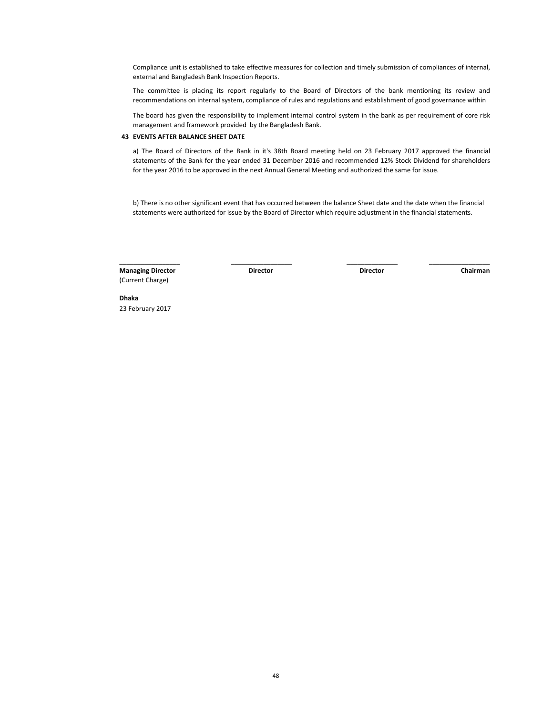Compliance unit is established to take effective measures for collection and timely submission of compliances of internal, external and Bangladesh Bank Inspection Reports.

The committee is placing its report regularly to the Board of Directors of the bank mentioning its review and recommendations on internal system, compliance of rules and regulations and establishment of good governance within

The board has given the responsibility to implement internal control system in the bank as per requirement of core risk management and framework provided by the Bangladesh Bank.

### **43 EVENTS AFTER BALANCE SHEET DATE**

a) The Board of Directors of the Bank in it's 38th Board meeting held on 23 February 2017 approved the financial statements of the Bank for the year ended 31 December 2016 and recommended 12% Stock Dividend for shareholders for the year 2016 to be approved in the next Annual General Meeting and authorized the same for issue.

b) There is no other significant event that has occurred between the balance Sheet date and the date when the financial statements were authorized for issue by the Board of Director which require adjustment in the financial statements.

 $\_$  , and the set of the set of the set of the set of the set of the set of the set of the set of the set of the set of the set of the set of the set of the set of the set of the set of the set of the set of the set of th

**Managing Director Director Chairman** (Current Charge)

**Director**

**Dhaka** 23 February 2017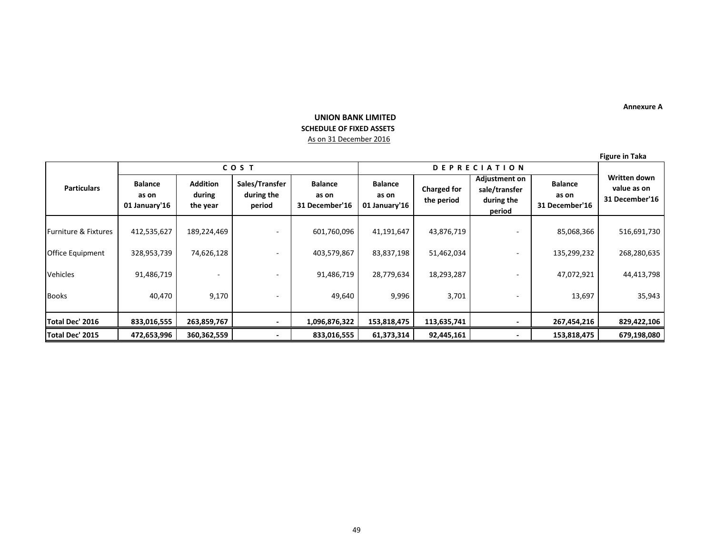### **Annexure A**

# **UNION BANK LIMITED SCHEDULE OF FIXED ASSETS**  As on 31 December 2016

**Figure in Taka**

|                      | <b>COST</b>                              |                                       |                                        | <b>DEPRECIATION</b>                       |                                          |                                  |                                                               |                                           |                                               |
|----------------------|------------------------------------------|---------------------------------------|----------------------------------------|-------------------------------------------|------------------------------------------|----------------------------------|---------------------------------------------------------------|-------------------------------------------|-----------------------------------------------|
| <b>Particulars</b>   | <b>Balance</b><br>as on<br>01 January'16 | <b>Addition</b><br>during<br>the year | Sales/Transfer<br>during the<br>period | <b>Balance</b><br>as on<br>31 December'16 | <b>Balance</b><br>as on<br>01 January'16 | <b>Charged for</b><br>the period | <b>Adjustment on</b><br>sale/transfer<br>during the<br>period | <b>Balance</b><br>as on<br>31 December'16 | Written down<br>value as on<br>31 December'16 |
| Furniture & Fixtures | 412,535,627                              | 189,224,469                           |                                        | 601,760,096                               | 41,191,647                               | 43,876,719                       |                                                               | 85,068,366                                | 516,691,730                                   |
| Office Equipment     | 328,953,739                              | 74,626,128                            |                                        | 403,579,867                               | 83,837,198                               | 51,462,034                       |                                                               | 135,299,232                               | 268,280,635                                   |
| Vehicles             | 91,486,719                               |                                       |                                        | 91,486,719                                | 28,779,634                               | 18,293,287                       |                                                               | 47,072,921                                | 44,413,798                                    |
| <b>Books</b>         | 40,470                                   | 9,170                                 |                                        | 49,640                                    | 9,996                                    | 3,701                            |                                                               | 13,697                                    | 35,943                                        |
| Total Dec' 2016      | 833,016,555                              | 263,859,767                           |                                        | 1,096,876,322                             | 153,818,475                              | 113,635,741                      |                                                               | 267,454,216                               | 829,422,106                                   |
| Total Dec' 2015      | 472,653,996                              | 360,362,559                           |                                        | 833,016,555                               | 61,373,314                               | 92,445,161                       |                                                               | 153,818,475                               | 679,198,080                                   |